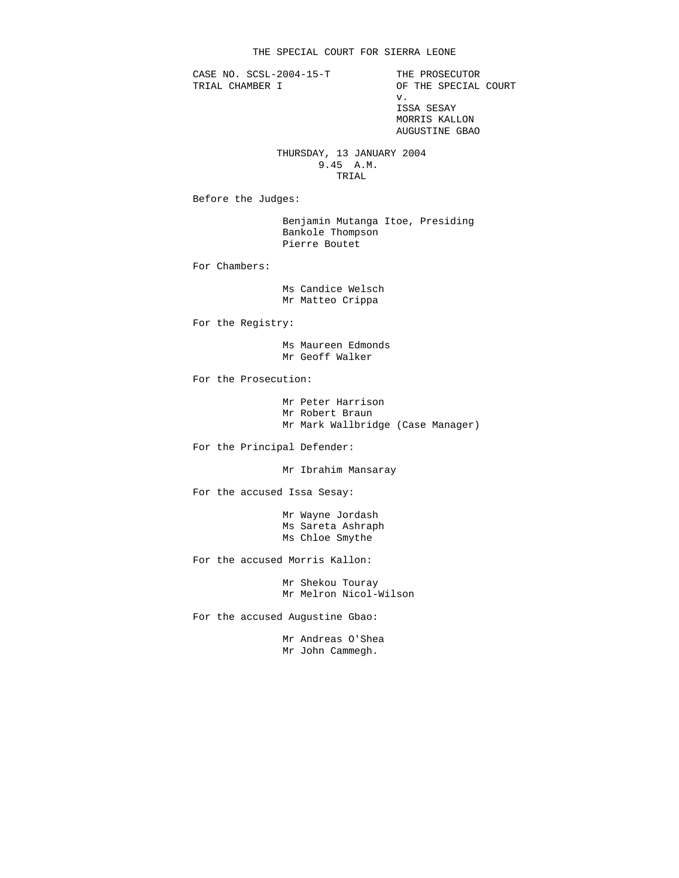CASE NO. SCSL-2004-15-T THE PROSECUTOR<br>TRIAL CHAMBER I OF THE SPECIAL

OF THE SPECIAL COURT v. ISSA SESAY MORRIS KALLON AUGUSTINE GBAO

> THURSDAY, 13 JANUARY 2004 9.45 A.M. TRIAL

Before the Judges:

 Benjamin Mutanga Itoe, Presiding Bankole Thompson Pierre Boutet

For Chambers:

 Ms Candice Welsch Mr Matteo Crippa

For the Registry:

 Ms Maureen Edmonds Mr Geoff Walker

For the Prosecution:

 Mr Peter Harrison Mr Robert Braun Mr Mark Wallbridge (Case Manager)

For the Principal Defender:

Mr Ibrahim Mansaray

For the accused Issa Sesay:

 Mr Wayne Jordash Ms Sareta Ashraph Ms Chloe Smythe

For the accused Morris Kallon:

 Mr Shekou Touray Mr Melron Nicol-Wilson

For the accused Augustine Gbao:

 Mr Andreas O'Shea Mr John Cammegh.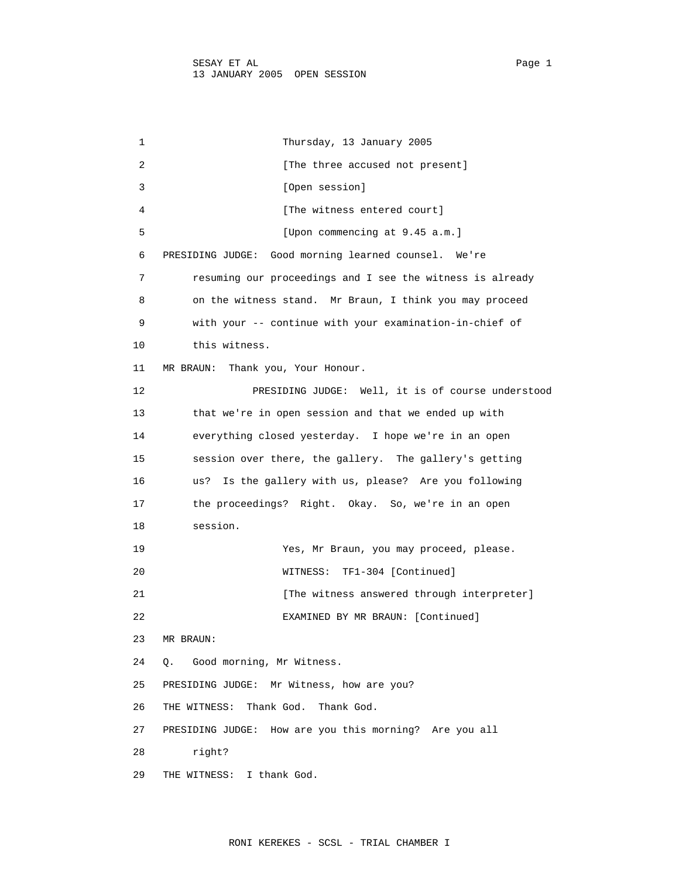1 Thursday, 13 January 2005 2 **Example 2** [The three accused not present] 3 [Open session] 4 [The witness entered court] 5 [Upon commencing at 9.45 a.m.] 6 PRESIDING JUDGE: Good morning learned counsel. We're 7 resuming our proceedings and I see the witness is already 8 on the witness stand. Mr Braun, I think you may proceed 9 with your -- continue with your examination-in-chief of 10 this witness. 11 MR BRAUN: Thank you, Your Honour. 12 PRESIDING JUDGE: Well, it is of course understood 13 that we're in open session and that we ended up with 14 everything closed yesterday. I hope we're in an open 15 session over there, the gallery. The gallery's getting 16 us? Is the gallery with us, please? Are you following 17 the proceedings? Right. Okay. So, we're in an open 18 session. 19 Yes, Mr Braun, you may proceed, please. 20 WITNESS: TF1-304 [Continued] 21 **Example 21** [The witness answered through interpreter] 22 EXAMINED BY MR BRAUN: [Continued] 23 MR BRAUN: 24 Q. Good morning, Mr Witness. 25 PRESIDING JUDGE: Mr Witness, how are you? 26 THE WITNESS: Thank God. Thank God. 27 PRESIDING JUDGE: How are you this morning? Are you all 28 right? 29 THE WITNESS: I thank God.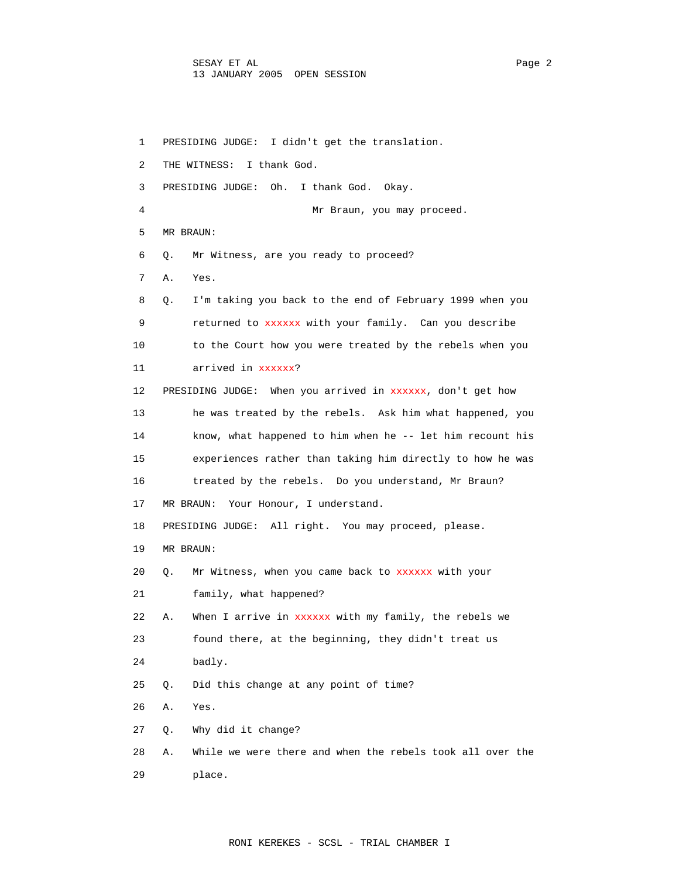1 PRESIDING JUDGE: I didn't get the translation. 2 THE WITNESS: I thank God. 3 PRESIDING JUDGE: Oh. I thank God. Okay. 4 Mr Braun, you may proceed. 5 MR BRAUN: 6 Q. Mr Witness, are you ready to proceed? 7 A. Yes. 8 Q. I'm taking you back to the end of February 1999 when you 9 returned to xxxxxx with your family. Can you describe 10 to the Court how you were treated by the rebels when you 11 arrived in xxxxxx? 12 PRESIDING JUDGE: When you arrived in xxxxxx, don't get how 13 he was treated by the rebels. Ask him what happened, you 14 know, what happened to him when he -- let him recount his 15 experiences rather than taking him directly to how he was 16 treated by the rebels. Do you understand, Mr Braun? 17 MR BRAUN: Your Honour, I understand. 18 PRESIDING JUDGE: All right. You may proceed, please. 19 MR BRAUN: 20 Q. Mr Witness, when you came back to xxxxxx with your 21 family, what happened? 22 A. When I arrive in xxxxxx with my family, the rebels we 23 found there, at the beginning, they didn't treat us 24 badly. 25 Q. Did this change at any point of time? 26 A. Yes. 27 Q. Why did it change? 28 A. While we were there and when the rebels took all over the 29 place.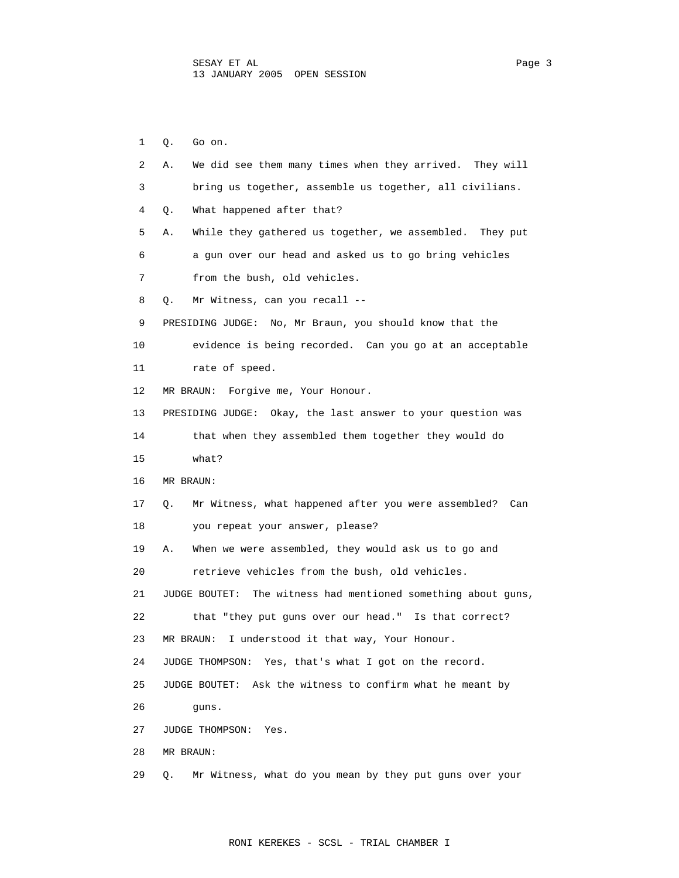1 Q. Go on. 2 A. We did see them many times when they arrived. They will 3 bring us together, assemble us together, all civilians. 4 Q. What happened after that? 5 A. While they gathered us together, we assembled. They put 6 a gun over our head and asked us to go bring vehicles 7 from the bush, old vehicles. 8 Q. Mr Witness, can you recall -- 9 PRESIDING JUDGE: No, Mr Braun, you should know that the 10 evidence is being recorded. Can you go at an acceptable 11 rate of speed. 12 MR BRAUN: Forgive me, Your Honour. 13 PRESIDING JUDGE: Okay, the last answer to your question was 14 that when they assembled them together they would do 15 what? 16 MR BRAUN: 17 Q. Mr Witness, what happened after you were assembled? Can 18 you repeat your answer, please? 19 A. When we were assembled, they would ask us to go and 20 retrieve vehicles from the bush, old vehicles. 21 JUDGE BOUTET: The witness had mentioned something about guns, 22 that "they put guns over our head." Is that correct? 23 MR BRAUN: I understood it that way, Your Honour. 24 JUDGE THOMPSON: Yes, that's what I got on the record. 25 JUDGE BOUTET: Ask the witness to confirm what he meant by 26 guns. 27 JUDGE THOMPSON: Yes. 28 MR BRAUN: 29 Q. Mr Witness, what do you mean by they put guns over your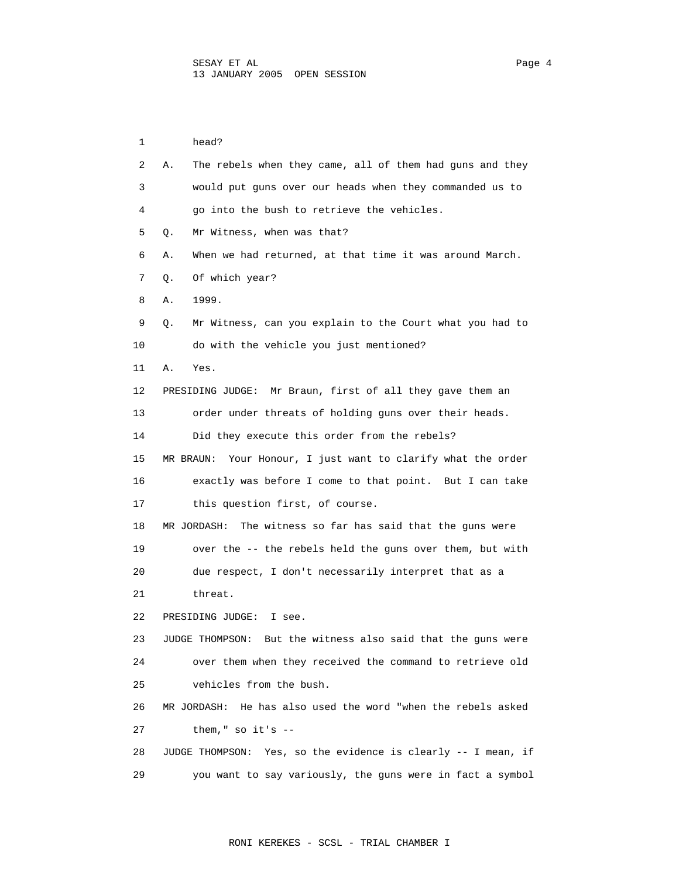1 head? 2 A. The rebels when they came, all of them had guns and they 3 would put guns over our heads when they commanded us to 4 go into the bush to retrieve the vehicles. 5 Q. Mr Witness, when was that? 6 A. When we had returned, at that time it was around March. 7 Q. Of which year? 8 A. 1999. 9 Q. Mr Witness, can you explain to the Court what you had to 10 do with the vehicle you just mentioned? 11 A. Yes. 12 PRESIDING JUDGE: Mr Braun, first of all they gave them an 13 order under threats of holding guns over their heads. 14 Did they execute this order from the rebels? 15 MR BRAUN: Your Honour, I just want to clarify what the order 16 exactly was before I come to that point. But I can take 17 this question first, of course. 18 MR JORDASH: The witness so far has said that the guns were 19 over the -- the rebels held the guns over them, but with 20 due respect, I don't necessarily interpret that as a 21 threat. 22 PRESIDING JUDGE: I see. 23 JUDGE THOMPSON: But the witness also said that the guns were 24 over them when they received the command to retrieve old 25 vehicles from the bush. 26 MR JORDASH: He has also used the word "when the rebels asked 27 them," so it's -- 28 JUDGE THOMPSON: Yes, so the evidence is clearly -- I mean, if 29 you want to say variously, the guns were in fact a symbol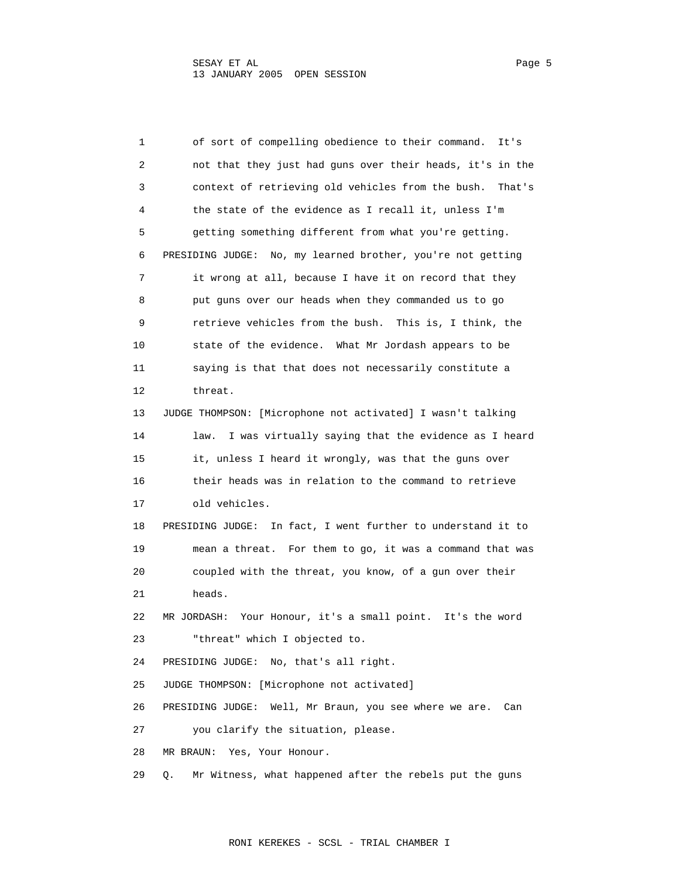| 1  | of sort of compelling obedience to their command.<br>It's        |
|----|------------------------------------------------------------------|
| 2  | not that they just had guns over their heads, it's in the        |
| 3  | context of retrieving old vehicles from the bush.<br>That's      |
| 4  | the state of the evidence as I recall it, unless I'm             |
| 5  | getting something different from what you're getting.            |
| 6  | PRESIDING JUDGE: No, my learned brother, you're not getting      |
| 7  | it wrong at all, because I have it on record that they           |
| 8  | put guns over our heads when they commanded us to go             |
| 9  | retrieve vehicles from the bush. This is, I think, the           |
| 10 | state of the evidence. What Mr Jordash appears to be             |
| 11 | saying is that that does not necessarily constitute a            |
| 12 | threat.                                                          |
| 13 | JUDGE THOMPSON: [Microphone not activated] I wasn't talking      |
| 14 | I was virtually saying that the evidence as I heard<br>law.      |
| 15 | it, unless I heard it wrongly, was that the guns over            |
| 16 | their heads was in relation to the command to retrieve           |
| 17 | old vehicles.                                                    |
| 18 | PRESIDING JUDGE:<br>In fact, I went further to understand it to  |
| 19 | mean a threat. For them to go, it was a command that was         |
| 20 | coupled with the threat, you know, of a gun over their           |
| 21 | heads.                                                           |
| 22 | Your Honour, it's a small point. It's the word<br>MR JORDASH:    |
| 23 | "threat" which I objected to.                                    |
| 24 | PRESIDING JUDGE:<br>No, that's all right.                        |
| 25 | JUDGE THOMPSON: [Microphone not activated]                       |
| 26 | PRESIDING JUDGE:<br>Well, Mr Braun, you see where we are.<br>Can |
| 27 | you clarify the situation, please.                               |
| 28 | Yes, Your Honour.<br>MR BRAUN:                                   |
| 29 | Mr Witness, what happened after the rebels put the guns<br>Q.    |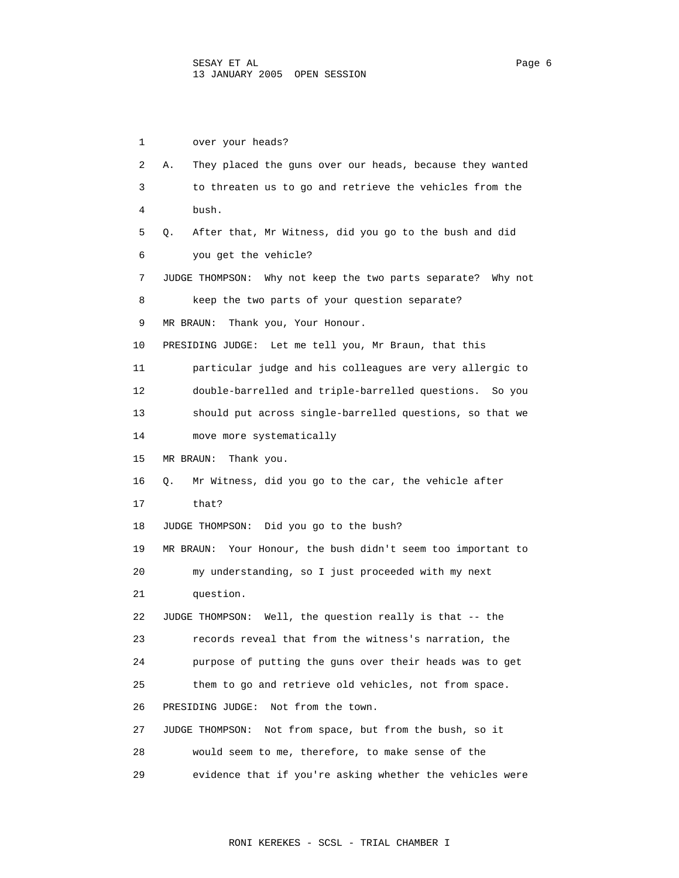1 over your heads? 2 A. They placed the guns over our heads, because they wanted 3 to threaten us to go and retrieve the vehicles from the 4 bush. 5 Q. After that, Mr Witness, did you go to the bush and did 6 you get the vehicle? 7 JUDGE THOMPSON: Why not keep the two parts separate? Why not 8 keep the two parts of your question separate? 9 MR BRAUN: Thank you, Your Honour. 10 PRESIDING JUDGE: Let me tell you, Mr Braun, that this 11 particular judge and his colleagues are very allergic to 12 double-barrelled and triple-barrelled questions. So you 13 should put across single-barrelled questions, so that we 14 move more systematically 15 MR BRAUN: Thank you. 16 Q. Mr Witness, did you go to the car, the vehicle after 17 that? 18 JUDGE THOMPSON: Did you go to the bush? 19 MR BRAUN: Your Honour, the bush didn't seem too important to 20 my understanding, so I just proceeded with my next 21 question. 22 JUDGE THOMPSON: Well, the question really is that -- the 23 records reveal that from the witness's narration, the 24 purpose of putting the guns over their heads was to get 25 them to go and retrieve old vehicles, not from space. 26 PRESIDING JUDGE: Not from the town. 27 JUDGE THOMPSON: Not from space, but from the bush, so it 28 would seem to me, therefore, to make sense of the 29 evidence that if you're asking whether the vehicles were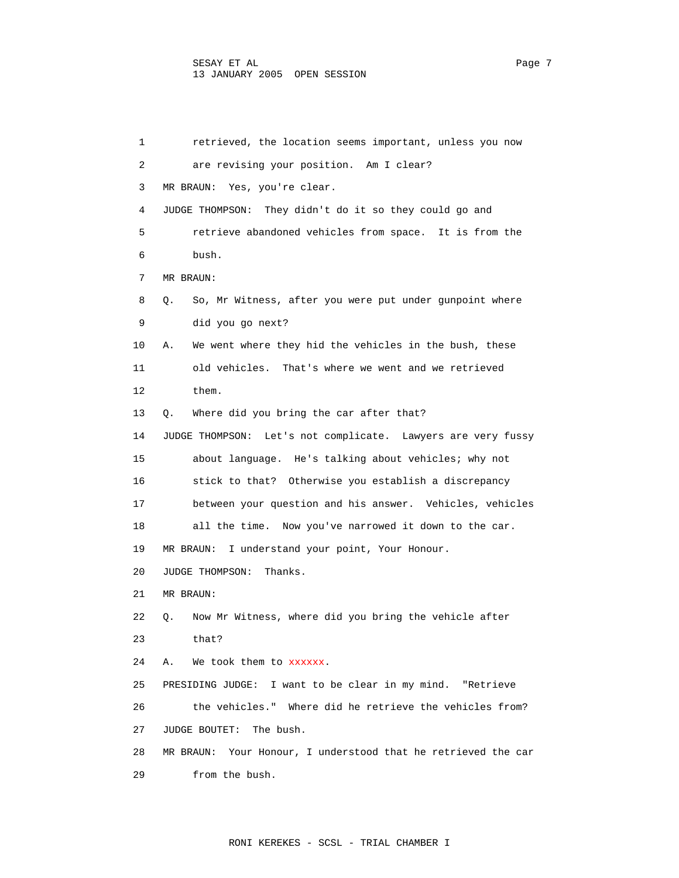| 1  | retrieved, the location seems important, unless you now       |
|----|---------------------------------------------------------------|
| 2  | are revising your position. Am I clear?                       |
| 3  | MR BRAUN: Yes, you're clear.                                  |
| 4  | JUDGE THOMPSON: They didn't do it so they could go and        |
| 5  | retrieve abandoned vehicles from space. It is from the        |
| 6  | bush.                                                         |
| 7  | MR BRAUN:                                                     |
| 8  | So, Mr Witness, after you were put under gunpoint where<br>Q. |
| 9  | did you go next?                                              |
| 10 | We went where they hid the vehicles in the bush, these<br>А.  |
| 11 | old vehicles. That's where we went and we retrieved           |
| 12 | them.                                                         |
| 13 | Where did you bring the car after that?<br>О.                 |
| 14 | JUDGE THOMPSON: Let's not complicate. Lawyers are very fussy  |
| 15 | about language. He's talking about vehicles; why not          |
| 16 | stick to that? Otherwise you establish a discrepancy          |
| 17 | between your question and his answer. Vehicles, vehicles      |
| 18 | all the time. Now you've narrowed it down to the car.         |
| 19 | I understand your point, Your Honour.<br>MR BRAUN:            |
| 20 | JUDGE THOMPSON:<br>Thanks.                                    |
| 21 | MR BRAUN:                                                     |
| 22 | Now Mr Witness, where did you bring the vehicle after<br>Q.   |
| 23 | that?                                                         |
| 24 | We took them to xxxxxx.<br>Α.                                 |
| 25 | PRESIDING JUDGE: I want to be clear in my mind. "Retrieve     |
| 26 | the vehicles." Where did he retrieve the vehicles from?       |
| 27 | The bush.<br>JUDGE BOUTET:                                    |
| 28 | MR BRAUN: Your Honour, I understood that he retrieved the car |
| 29 | from the bush.                                                |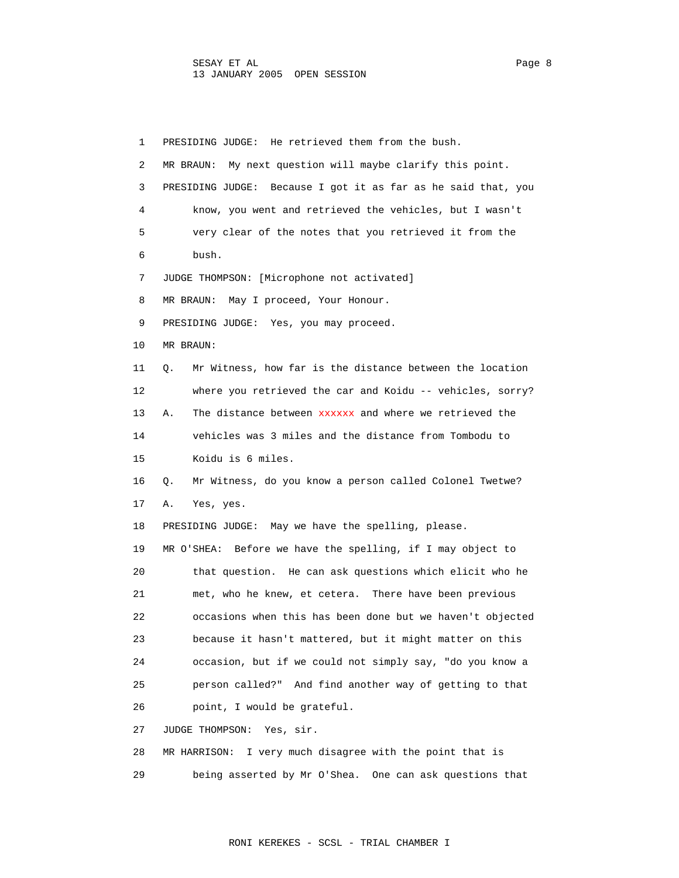1 PRESIDING JUDGE: He retrieved them from the bush. 2 MR BRAUN: My next question will maybe clarify this point. 3 PRESIDING JUDGE: Because I got it as far as he said that, you 4 know, you went and retrieved the vehicles, but I wasn't 5 very clear of the notes that you retrieved it from the 6 bush. 7 JUDGE THOMPSON: [Microphone not activated] 8 MR BRAUN: May I proceed, Your Honour. 9 PRESIDING JUDGE: Yes, you may proceed. 10 MR BRAUN: 11 Q. Mr Witness, how far is the distance between the location 12 where you retrieved the car and Koidu -- vehicles, sorry? 13 A. The distance between **xxxxxx** and where we retrieved the 14 vehicles was 3 miles and the distance from Tombodu to 15 Koidu is 6 miles. 16 Q. Mr Witness, do you know a person called Colonel Twetwe? 17 A. Yes, yes. 18 PRESIDING JUDGE: May we have the spelling, please. 19 MR O'SHEA: Before we have the spelling, if I may object to 20 that question. He can ask questions which elicit who he 21 met, who he knew, et cetera. There have been previous 22 occasions when this has been done but we haven't objected 23 because it hasn't mattered, but it might matter on this 24 occasion, but if we could not simply say, "do you know a 25 person called?" And find another way of getting to that 26 point, I would be grateful. 27 JUDGE THOMPSON: Yes, sir. 28 MR HARRISON: I very much disagree with the point that is

29 being asserted by Mr O'Shea. One can ask questions that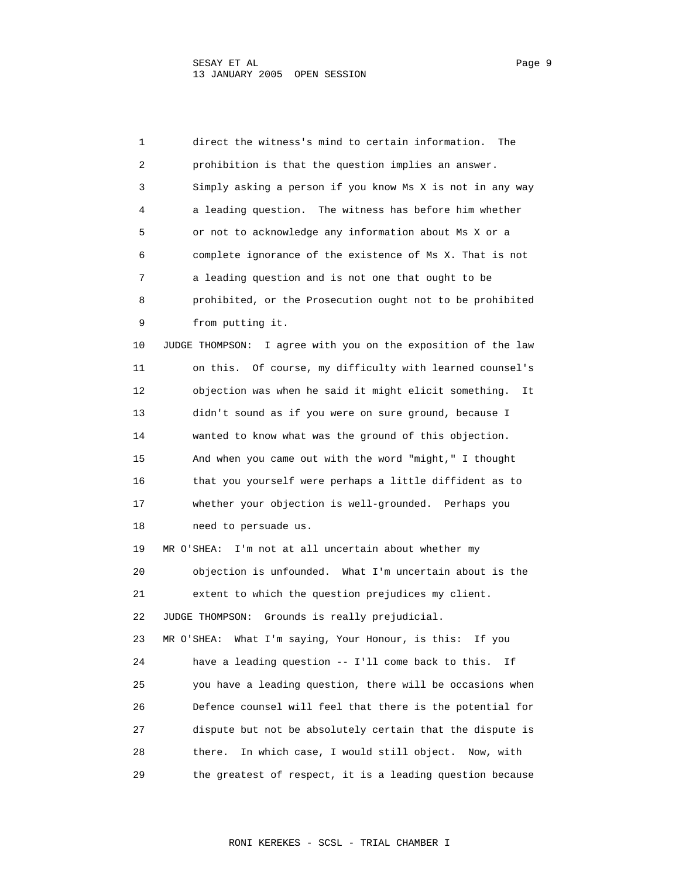1 direct the witness's mind to certain information. The 2 prohibition is that the question implies an answer. 3 Simply asking a person if you know Ms X is not in any way 4 a leading question. The witness has before him whether 5 or not to acknowledge any information about Ms X or a 6 complete ignorance of the existence of Ms X. That is not 7 a leading question and is not one that ought to be 8 prohibited, or the Prosecution ought not to be prohibited 9 from putting it. 10 JUDGE THOMPSON: I agree with you on the exposition of the law 11 on this. Of course, my difficulty with learned counsel's 12 objection was when he said it might elicit something. It 13 didn't sound as if you were on sure ground, because I 14 wanted to know what was the ground of this objection. 15 And when you came out with the word "might," I thought 16 that you yourself were perhaps a little diffident as to 17 whether your objection is well-grounded. Perhaps you 18 need to persuade us. 19 MR O'SHEA: I'm not at all uncertain about whether my 20 objection is unfounded. What I'm uncertain about is the 21 extent to which the question prejudices my client. 22 JUDGE THOMPSON: Grounds is really prejudicial. 23 MR O'SHEA: What I'm saying, Your Honour, is this: If you 24 have a leading question -- I'll come back to this. If 25 you have a leading question, there will be occasions when 26 Defence counsel will feel that there is the potential for 27 dispute but not be absolutely certain that the dispute is 28 there. In which case, I would still object. Now, with 29 the greatest of respect, it is a leading question because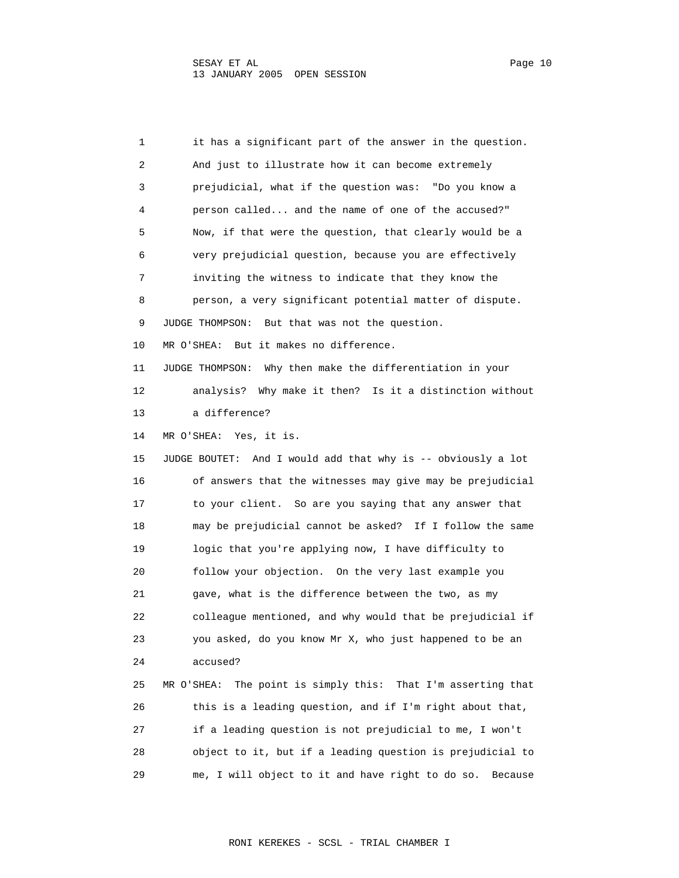1 it has a significant part of the answer in the question. 2 And just to illustrate how it can become extremely 3 prejudicial, what if the question was: "Do you know a 4 person called... and the name of one of the accused?" 5 Now, if that were the question, that clearly would be a 6 very prejudicial question, because you are effectively 7 inviting the witness to indicate that they know the 8 person, a very significant potential matter of dispute. 9 JUDGE THOMPSON: But that was not the question. 10 MR O'SHEA: But it makes no difference. 11 JUDGE THOMPSON: Why then make the differentiation in your 12 analysis? Why make it then? Is it a distinction without 13 a difference? 14 MR O'SHEA: Yes, it is. 15 JUDGE BOUTET: And I would add that why is -- obviously a lot 16 of answers that the witnesses may give may be prejudicial 17 to your client. So are you saying that any answer that 18 may be prejudicial cannot be asked? If I follow the same 19 logic that you're applying now, I have difficulty to 20 follow your objection. On the very last example you 21 gave, what is the difference between the two, as my 22 colleague mentioned, and why would that be prejudicial if 23 you asked, do you know Mr X, who just happened to be an 24 accused? 25 MR O'SHEA: The point is simply this: That I'm asserting that 26 this is a leading question, and if I'm right about that, 27 if a leading question is not prejudicial to me, I won't 28 object to it, but if a leading question is prejudicial to 29 me, I will object to it and have right to do so. Because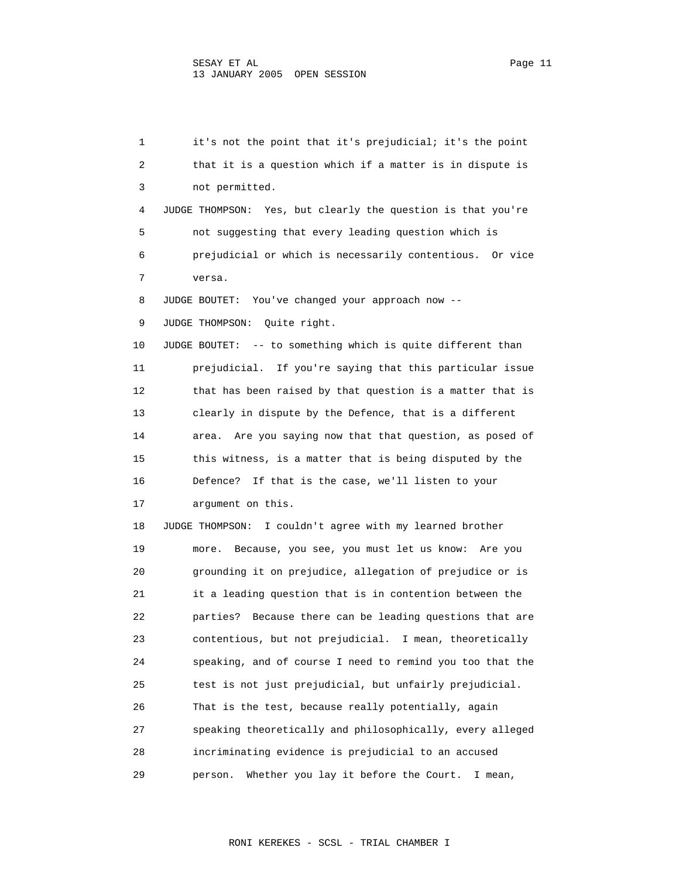1 it's not the point that it's prejudicial; it's the point 2 that it is a question which if a matter is in dispute is 3 not permitted. 4 JUDGE THOMPSON: Yes, but clearly the question is that you're 5 not suggesting that every leading question which is 6 prejudicial or which is necessarily contentious. Or vice 7 versa. 8 JUDGE BOUTET: You've changed your approach now -- 9 JUDGE THOMPSON: Quite right. 10 JUDGE BOUTET: -- to something which is quite different than 11 prejudicial. If you're saying that this particular issue 12 that has been raised by that question is a matter that is 13 clearly in dispute by the Defence, that is a different 14 area. Are you saying now that that question, as posed of 15 this witness, is a matter that is being disputed by the 16 Defence? If that is the case, we'll listen to your 17 argument on this. 18 JUDGE THOMPSON: I couldn't agree with my learned brother 19 more. Because, you see, you must let us know: Are you 20 grounding it on prejudice, allegation of prejudice or is 21 it a leading question that is in contention between the 22 parties? Because there can be leading questions that are 23 contentious, but not prejudicial. I mean, theoretically 24 speaking, and of course I need to remind you too that the 25 test is not just prejudicial, but unfairly prejudicial. 26 That is the test, because really potentially, again 27 speaking theoretically and philosophically, every alleged 28 incriminating evidence is prejudicial to an accused 29 person. Whether you lay it before the Court. I mean,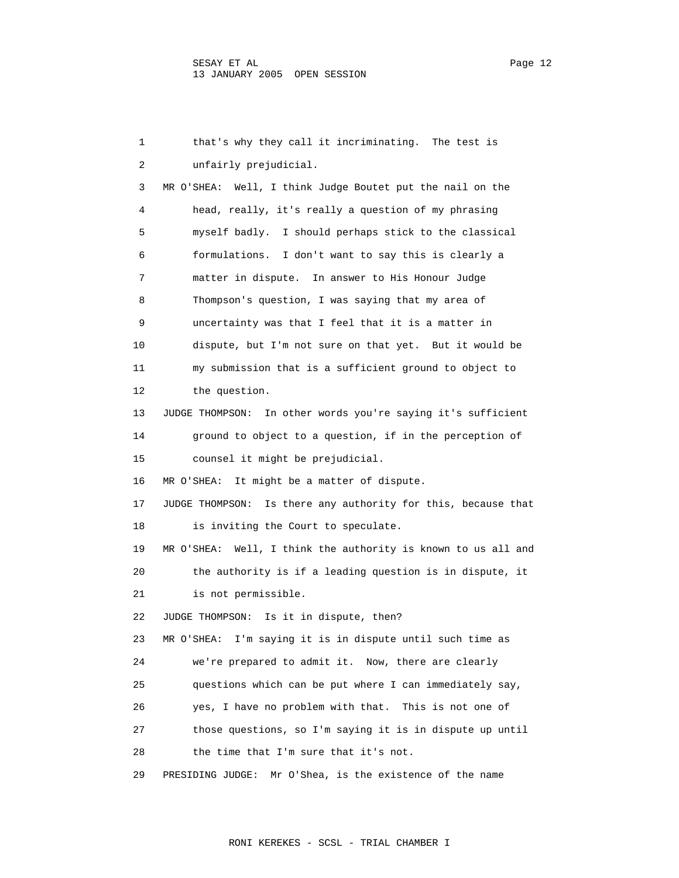1 that's why they call it incriminating. The test is 2 unfairly prejudicial. 3 MR O'SHEA: Well, I think Judge Boutet put the nail on the 4 head, really, it's really a question of my phrasing 5 myself badly. I should perhaps stick to the classical 6 formulations. I don't want to say this is clearly a 7 matter in dispute. In answer to His Honour Judge 8 Thompson's question, I was saying that my area of 9 uncertainty was that I feel that it is a matter in 10 dispute, but I'm not sure on that yet. But it would be 11 my submission that is a sufficient ground to object to 12 the question. 13 JUDGE THOMPSON: In other words you're saying it's sufficient 14 ground to object to a question, if in the perception of 15 counsel it might be prejudicial. 16 MR O'SHEA: It might be a matter of dispute. 17 JUDGE THOMPSON: Is there any authority for this, because that 18 is inviting the Court to speculate. 19 MR O'SHEA: Well, I think the authority is known to us all and 20 the authority is if a leading question is in dispute, it 21 is not permissible. 22 JUDGE THOMPSON: Is it in dispute, then? 23 MR O'SHEA: I'm saying it is in dispute until such time as 24 we're prepared to admit it. Now, there are clearly 25 questions which can be put where I can immediately say, 26 yes, I have no problem with that. This is not one of 27 those questions, so I'm saying it is in dispute up until 28 the time that I'm sure that it's not. 29 PRESIDING JUDGE: Mr O'Shea, is the existence of the name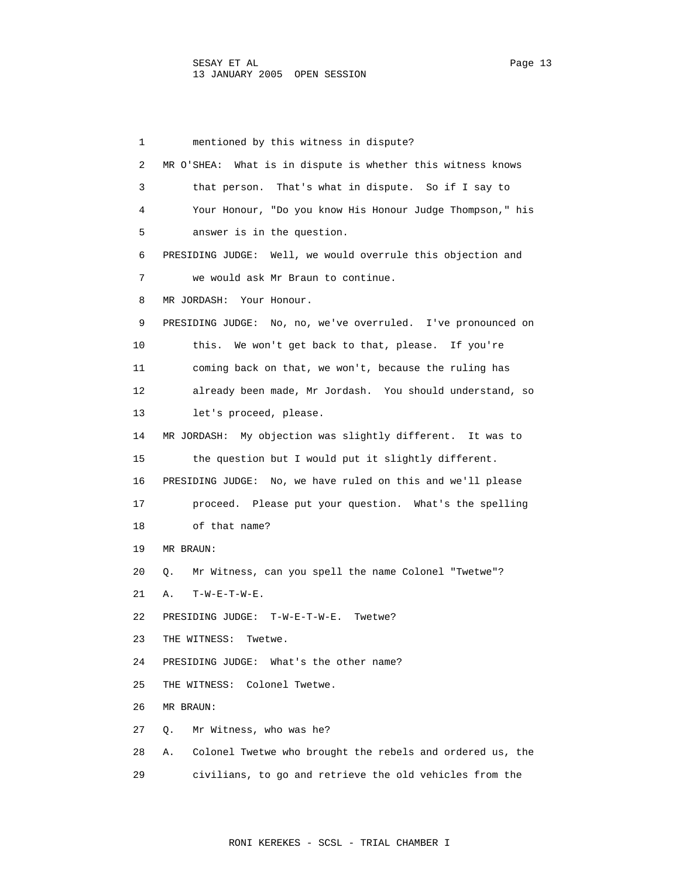1 mentioned by this witness in dispute? 2 MR O'SHEA: What is in dispute is whether this witness knows 3 that person. That's what in dispute. So if I say to 4 Your Honour, "Do you know His Honour Judge Thompson," his 5 answer is in the question. 6 PRESIDING JUDGE: Well, we would overrule this objection and 7 we would ask Mr Braun to continue. 8 MR JORDASH: Your Honour. 9 PRESIDING JUDGE: No, no, we've overruled. I've pronounced on 10 this. We won't get back to that, please. If you're 11 coming back on that, we won't, because the ruling has 12 already been made, Mr Jordash. You should understand, so 13 let's proceed, please. 14 MR JORDASH: My objection was slightly different. It was to 15 the question but I would put it slightly different. 16 PRESIDING JUDGE: No, we have ruled on this and we'll please 17 proceed. Please put your question. What's the spelling 18 of that name? 19 MR BRAUN: 20 Q. Mr Witness, can you spell the name Colonel "Twetwe"? 21 A. T-W-E-T-W-E. 22 PRESIDING JUDGE: T-W-E-T-W-E. Twetwe? 23 THE WITNESS: Twetwe. 24 PRESIDING JUDGE: What's the other name? 25 THE WITNESS: Colonel Twetwe. 26 MR BRAUN: 27 Q. Mr Witness, who was he? 28 A. Colonel Twetwe who brought the rebels and ordered us, the 29 civilians, to go and retrieve the old vehicles from the

RONI KEREKES - SCSL - TRIAL CHAMBER I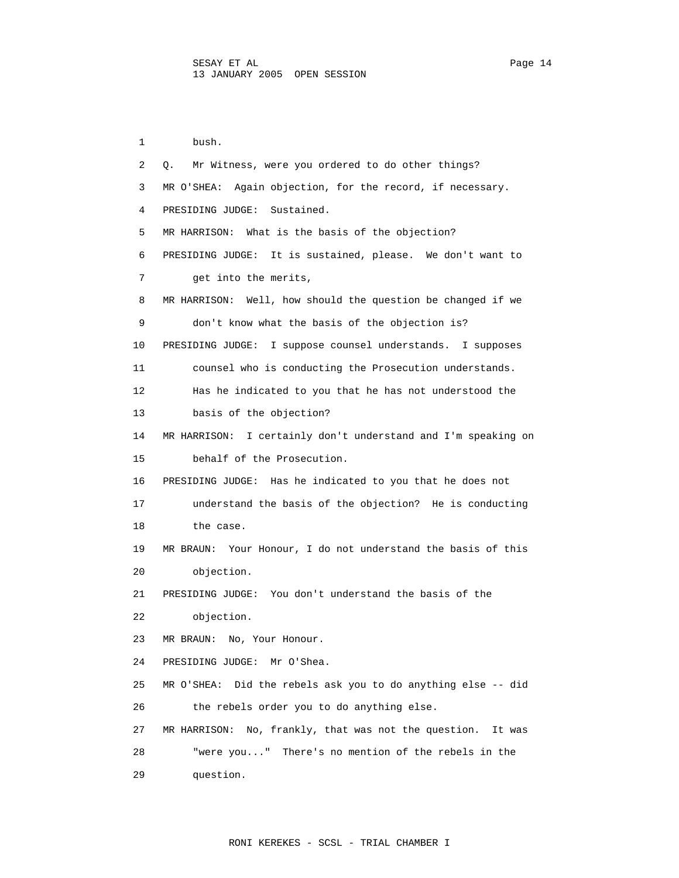1 bush. 2 Q. Mr Witness, were you ordered to do other things? 3 MR O'SHEA: Again objection, for the record, if necessary. 4 PRESIDING JUDGE: Sustained. 5 MR HARRISON: What is the basis of the objection? 6 PRESIDING JUDGE: It is sustained, please. We don't want to 7 get into the merits, 8 MR HARRISON: Well, how should the question be changed if we 9 don't know what the basis of the objection is? 10 PRESIDING JUDGE: I suppose counsel understands. I supposes 11 counsel who is conducting the Prosecution understands. 12 Has he indicated to you that he has not understood the 13 basis of the objection? 14 MR HARRISON: I certainly don't understand and I'm speaking on 15 behalf of the Prosecution. 16 PRESIDING JUDGE: Has he indicated to you that he does not 17 understand the basis of the objection? He is conducting 18 the case. 19 MR BRAUN: Your Honour, I do not understand the basis of this 20 objection. 21 PRESIDING JUDGE: You don't understand the basis of the 22 objection. 23 MR BRAUN: No, Your Honour. 24 PRESIDING JUDGE: Mr O'Shea. 25 MR O'SHEA: Did the rebels ask you to do anything else -- did 26 the rebels order you to do anything else. 27 MR HARRISON: No, frankly, that was not the question. It was 28 "were you..." There's no mention of the rebels in the 29 question.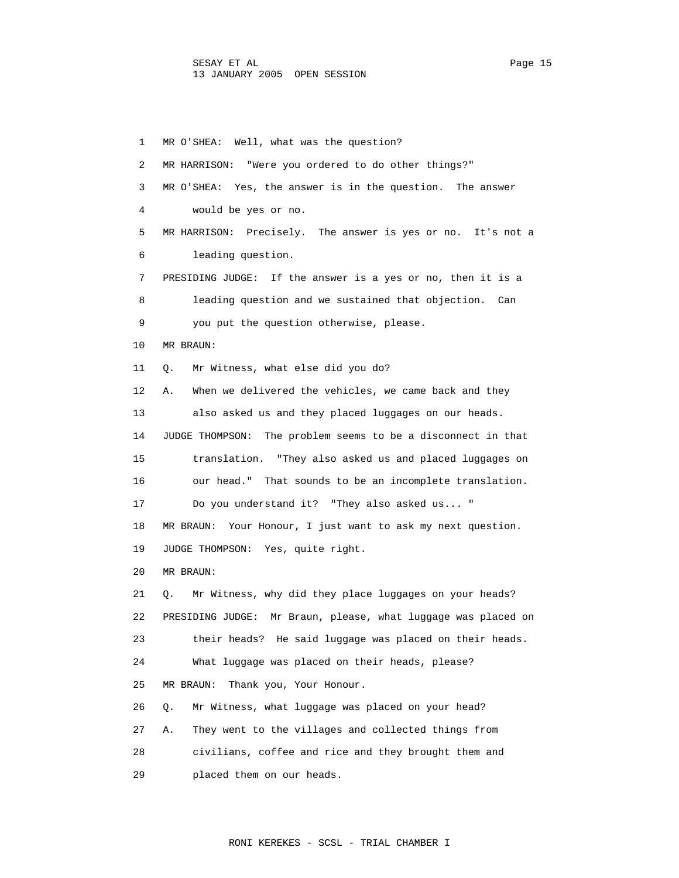1 MR O'SHEA: Well, what was the question? 2 MR HARRISON: "Were you ordered to do other things?" 3 MR O'SHEA: Yes, the answer is in the question. The answer 4 would be yes or no. 5 MR HARRISON: Precisely. The answer is yes or no. It's not a 6 leading question. 7 PRESIDING JUDGE: If the answer is a yes or no, then it is a 8 leading question and we sustained that objection. Can 9 you put the question otherwise, please. 10 MR BRAUN: 11 Q. Mr Witness, what else did you do? 12 A. When we delivered the vehicles, we came back and they 13 also asked us and they placed luggages on our heads. 14 JUDGE THOMPSON: The problem seems to be a disconnect in that 15 translation. "They also asked us and placed luggages on 16 our head." That sounds to be an incomplete translation. 17 Do you understand it? "They also asked us... " 18 MR BRAUN: Your Honour, I just want to ask my next question. 19 JUDGE THOMPSON: Yes, quite right. 20 MR BRAUN: 21 Q. Mr Witness, why did they place luggages on your heads? 22 PRESIDING JUDGE: Mr Braun, please, what luggage was placed on 23 their heads? He said luggage was placed on their heads. 24 What luggage was placed on their heads, please? 25 MR BRAUN: Thank you, Your Honour. 26 Q. Mr Witness, what luggage was placed on your head? 27 A. They went to the villages and collected things from 28 civilians, coffee and rice and they brought them and 29 placed them on our heads.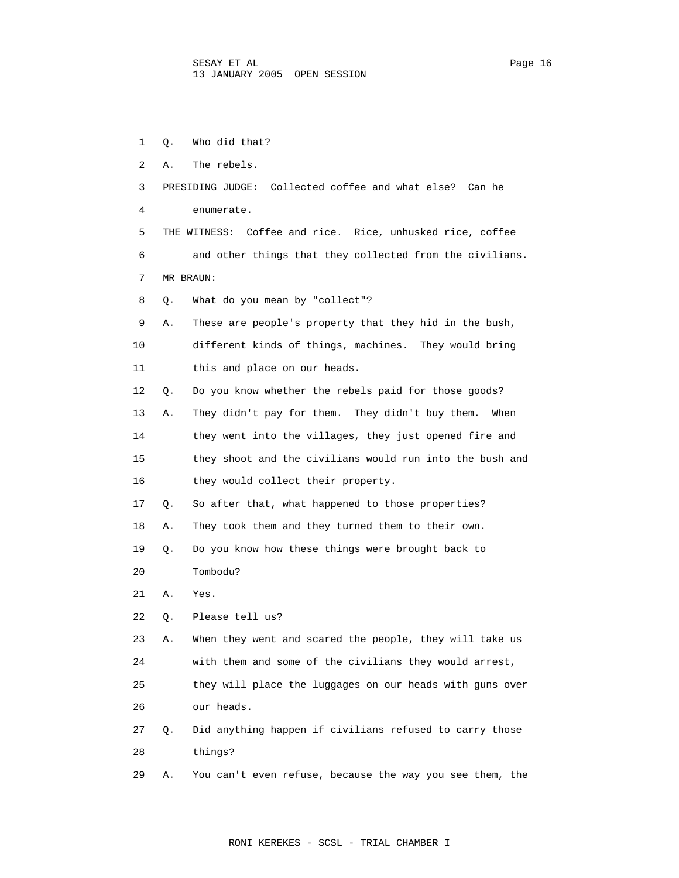1 Q. Who did that? 2 A. The rebels. 3 PRESIDING JUDGE: Collected coffee and what else? Can he 4 enumerate. 5 THE WITNESS: Coffee and rice. Rice, unhusked rice, coffee 6 and other things that they collected from the civilians. 7 MR BRAUN: 8 Q. What do you mean by "collect"? 9 A. These are people's property that they hid in the bush, 10 different kinds of things, machines. They would bring 11 this and place on our heads. 12 Q. Do you know whether the rebels paid for those goods? 13 A. They didn't pay for them. They didn't buy them. When 14 they went into the villages, they just opened fire and 15 they shoot and the civilians would run into the bush and 16 they would collect their property. 17 Q. So after that, what happened to those properties? 18 A. They took them and they turned them to their own. 19 Q. Do you know how these things were brought back to 20 Tombodu? 21 A. Yes. 22 Q. Please tell us? 23 A. When they went and scared the people, they will take us 24 with them and some of the civilians they would arrest, 25 they will place the luggages on our heads with guns over 26 our heads. 27 Q. Did anything happen if civilians refused to carry those 28 things?

29 A. You can't even refuse, because the way you see them, the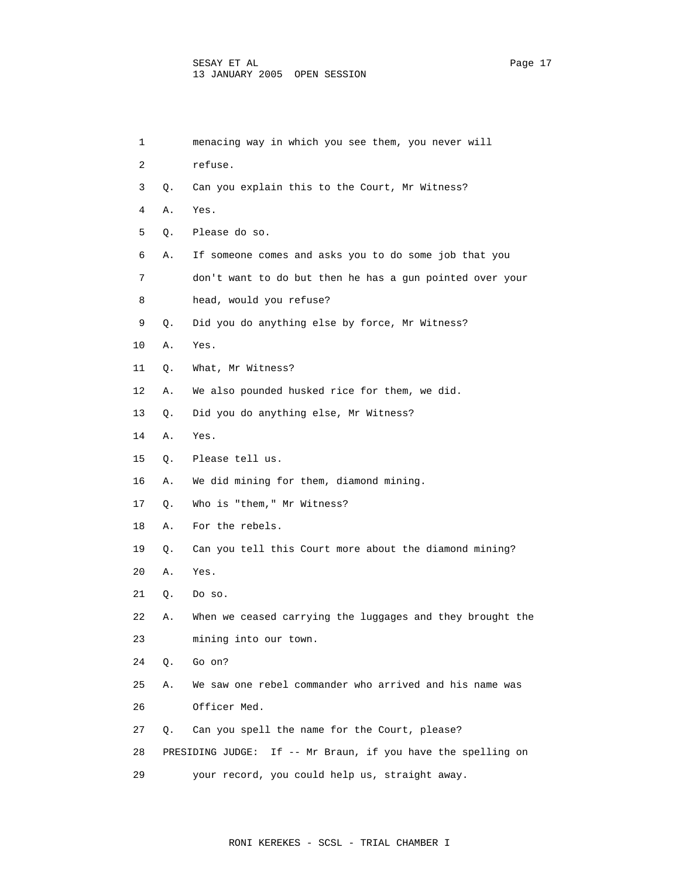| 1  |    | menacing way in which you see them, you never will           |
|----|----|--------------------------------------------------------------|
| 2  |    | refuse.                                                      |
| 3  | Q. | Can you explain this to the Court, Mr Witness?               |
| 4  | Α. | Yes.                                                         |
| 5  | Q. | Please do so.                                                |
| 6  | Α. | If someone comes and asks you to do some job that you        |
| 7  |    | don't want to do but then he has a gun pointed over your     |
| 8  |    | head, would you refuse?                                      |
| 9  | Q. | Did you do anything else by force, Mr Witness?               |
| 10 | Α. | Yes.                                                         |
| 11 | Q. | What, Mr Witness?                                            |
| 12 | Α. | We also pounded husked rice for them, we did.                |
| 13 | Q. | Did you do anything else, Mr Witness?                        |
| 14 | Α. | Yes.                                                         |
| 15 | Q. | Please tell us.                                              |
| 16 | Α. | We did mining for them, diamond mining.                      |
| 17 | Q. | Who is "them," Mr Witness?                                   |
| 18 | Α. | For the rebels.                                              |
| 19 | Q. | Can you tell this Court more about the diamond mining?       |
| 20 | Α. | Yes.                                                         |
| 21 | Q. | Do so.                                                       |
| 22 | Α. | When we ceased carrying the luggages and they brought the    |
| 23 |    | mining into our town.                                        |
| 24 | Q. | Go on?                                                       |
| 25 | Α. | We saw one rebel commander who arrived and his name was      |
| 26 |    | Officer Med.                                                 |
| 27 | Q. | Can you spell the name for the Court, please?                |
| 28 |    | PRESIDING JUDGE: If -- Mr Braun, if you have the spelling on |
| 29 |    | your record, you could help us, straight away.               |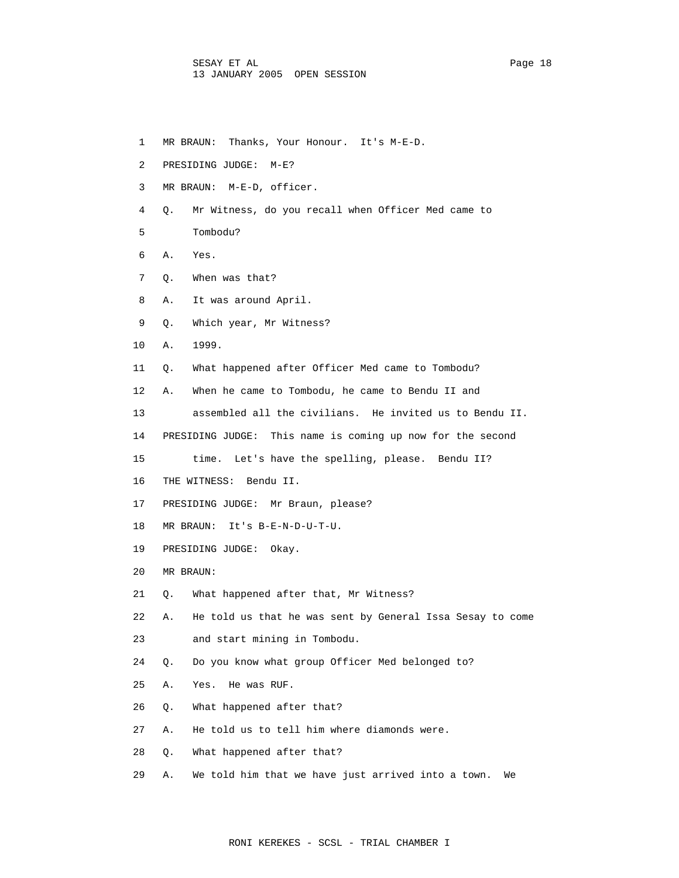- 1 MR BRAUN: Thanks, Your Honour. It's M-E-D.
- 2 PRESIDING JUDGE: M-E?
- 3 MR BRAUN: M-E-D, officer.
- 4 Q. Mr Witness, do you recall when Officer Med came to
- 5 Tombodu?
- 6 A. Yes.
- 7 Q. When was that?
- 8 A. It was around April.
- 9 Q. Which year, Mr Witness?
- 10 A. 1999.
- 11 Q. What happened after Officer Med came to Tombodu?
- 12 A. When he came to Tombodu, he came to Bendu II and
- 13 assembled all the civilians. He invited us to Bendu II.
- 14 PRESIDING JUDGE: This name is coming up now for the second
- 15 time. Let's have the spelling, please. Bendu II?
- 16 THE WITNESS: Bendu II.
- 17 PRESIDING JUDGE: Mr Braun, please?
- 18 MR BRAUN: It's B-E-N-D-U-T-U.
- 19 PRESIDING JUDGE: Okay.
- 20 MR BRAUN:
- 21 Q. What happened after that, Mr Witness?
- 22 A. He told us that he was sent by General Issa Sesay to come
- 23 and start mining in Tombodu.
- 24 Q. Do you know what group Officer Med belonged to?
- 25 A. Yes. He was RUF.
- 26 Q. What happened after that?
- 27 A. He told us to tell him where diamonds were.
- 28 Q. What happened after that?
- 29 A. We told him that we have just arrived into a town. We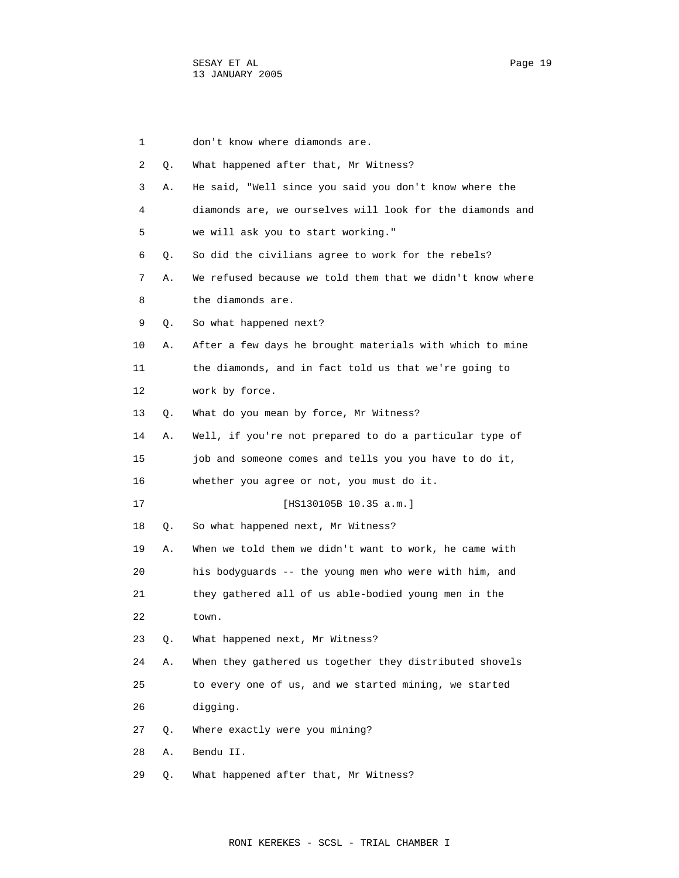| 1  |    | don't know where diamonds are.                            |
|----|----|-----------------------------------------------------------|
| 2  | Q. | What happened after that, Mr Witness?                     |
| 3  | Α. | He said, "Well since you said you don't know where the    |
| 4  |    | diamonds are, we ourselves will look for the diamonds and |
| 5  |    | we will ask you to start working."                        |
| 6  | О. | So did the civilians agree to work for the rebels?        |
| 7  | Α. | We refused because we told them that we didn't know where |
| 8  |    | the diamonds are.                                         |
| 9  | Q. | So what happened next?                                    |
| 10 | Α. | After a few days he brought materials with which to mine  |
| 11 |    | the diamonds, and in fact told us that we're going to     |
| 12 |    | work by force.                                            |
| 13 | Q. | What do you mean by force, Mr Witness?                    |
| 14 | Α. | Well, if you're not prepared to do a particular type of   |
| 15 |    | job and someone comes and tells you you have to do it,    |
| 16 |    | whether you agree or not, you must do it.                 |
| 17 |    | [HS130105B 10.35 a.m.]                                    |
| 18 | Q. | So what happened next, Mr Witness?                        |
| 19 | Α. | When we told them we didn't want to work, he came with    |
| 20 |    | his bodyguards -- the young men who were with him, and    |
| 21 |    | they gathered all of us able-bodied young men in the      |
| 22 |    | town.                                                     |
| 23 | Q. | What happened next, Mr Witness?                           |
| 24 | Α. | When they gathered us together they distributed shovels   |
| 25 |    | to every one of us, and we started mining, we started     |
| 26 |    | digging.                                                  |
| 27 | Q. | Where exactly were you mining?                            |
| 28 | Α. | Bendu II.                                                 |
| 29 | Q. | What happened after that, Mr Witness?                     |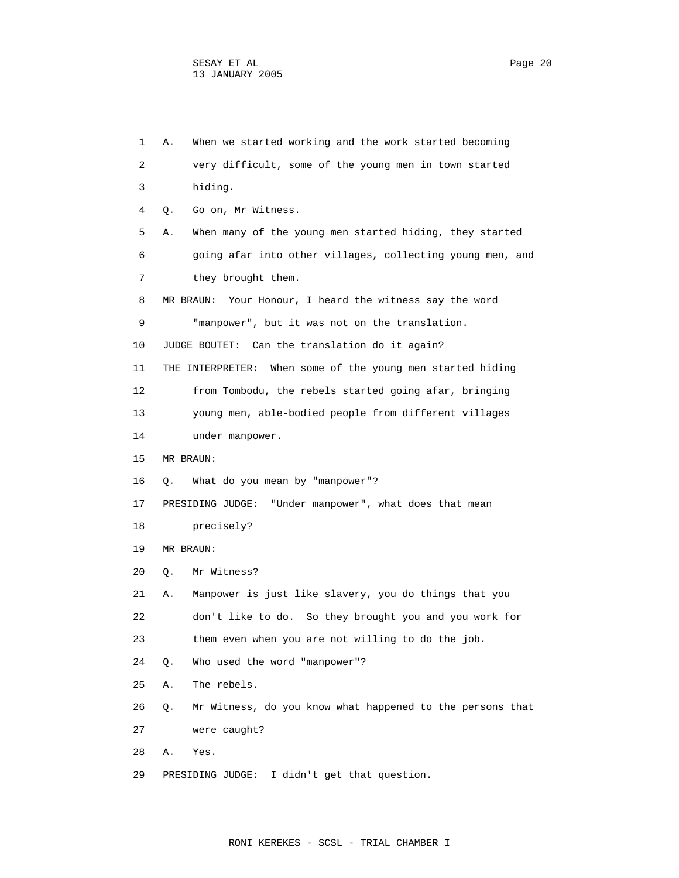|    | 1 | When we started working and the work started becoming<br>Α.     |
|----|---|-----------------------------------------------------------------|
|    | 2 | very difficult, some of the young men in town started           |
|    | 3 | hiding.                                                         |
|    | 4 | Go on, Mr Witness.<br>Q.                                        |
|    | 5 | When many of the young men started hiding, they started<br>Α.   |
|    | 6 | going afar into other villages, collecting young men, and       |
|    | 7 | they brought them.                                              |
|    | 8 | MR BRAUN: Your Honour, I heard the witness say the word         |
|    | 9 | "manpower", but it was not on the translation.                  |
| 10 |   | JUDGE BOUTET: Can the translation do it again?                  |
| 11 |   | THE INTERPRETER: When some of the young men started hiding      |
| 12 |   | from Tombodu, the rebels started going afar, bringing           |
| 13 |   | young men, able-bodied people from different villages           |
| 14 |   | under manpower.                                                 |
| 15 |   | MR BRAUN:                                                       |
| 16 |   | What do you mean by "manpower"?<br>О.                           |
| 17 |   | PRESIDING JUDGE:<br>"Under manpower", what does that mean       |
| 18 |   | precisely?                                                      |
| 19 |   | MR BRAUN:                                                       |
| 20 |   | О.<br>Mr Witness?                                               |
| 21 |   | Manpower is just like slavery, you do things that you<br>Α.     |
| 22 |   | don't like to do. So they brought you and you work for          |
| 23 |   | them even when you are not willing to do the job.               |
| 24 |   | О.<br>Who used the word "manpower"?                             |
| 25 |   | The rebels.<br>Α.                                               |
| 26 |   | Mr Witness, do you know what happened to the persons that<br>Q. |
| 27 |   | were caught?                                                    |
| 28 |   | Α.<br>Yes.                                                      |
| 29 |   | PRESIDING JUDGE:<br>I didn't get that question.                 |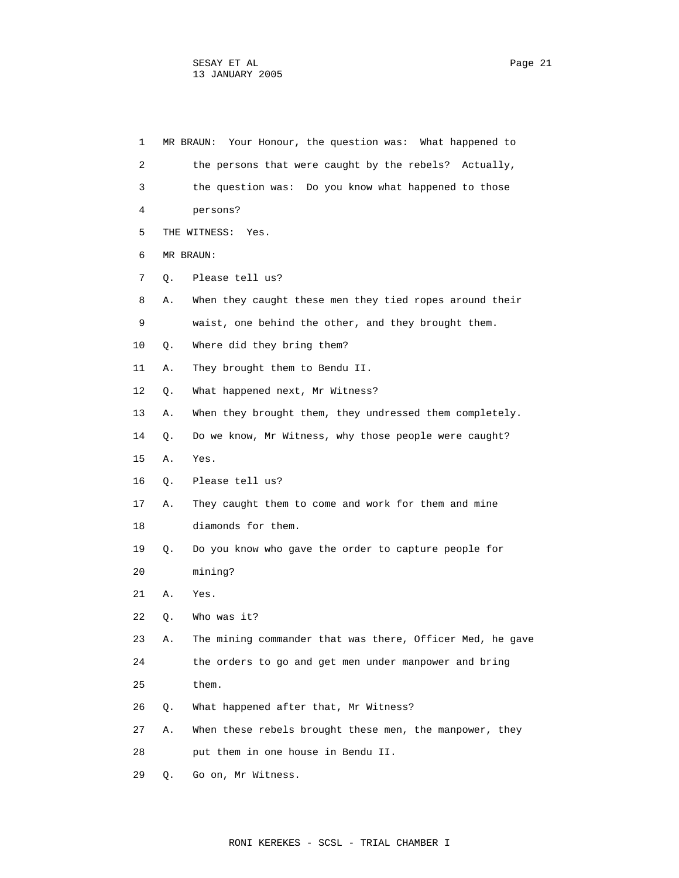| 1  |    | MR BRAUN: Your Honour, the question was: What happened to |
|----|----|-----------------------------------------------------------|
| 2  |    | the persons that were caught by the rebels?<br>Actually,  |
| 3  |    | the question was: Do you know what happened to those      |
| 4  |    | persons?                                                  |
| 5  |    | THE WITNESS:<br>Yes.                                      |
| 6  |    | MR BRAUN:                                                 |
| 7  | Q. | Please tell us?                                           |
| 8  | Α. | When they caught these men they tied ropes around their   |
| 9  |    | waist, one behind the other, and they brought them.       |
| 10 | Q. | Where did they bring them?                                |
| 11 | Α. | They brought them to Bendu II.                            |
| 12 | О. | What happened next, Mr Witness?                           |
| 13 | Α. | When they brought them, they undressed them completely.   |
| 14 | Q. | Do we know, Mr Witness, why those people were caught?     |
| 15 | Α. | Yes.                                                      |
| 16 | О. | Please tell us?                                           |
| 17 | Α. | They caught them to come and work for them and mine       |
| 18 |    | diamonds for them.                                        |
| 19 | Q. | Do you know who gave the order to capture people for      |
| 20 |    | mining?                                                   |
| 21 | Α. | Yes.                                                      |
| 22 | Q. | Who was it?                                               |
| 23 | Α. | The mining commander that was there, Officer Med, he gave |
| 24 |    | the orders to go and get men under manpower and bring     |
| 25 |    | them.                                                     |
| 26 | Q. | What happened after that, Mr Witness?                     |
| 27 | Α. | When these rebels brought these men, the manpower, they   |
| 28 |    | put them in one house in Bendu II.                        |
| 29 | Q. | Go on, Mr Witness.                                        |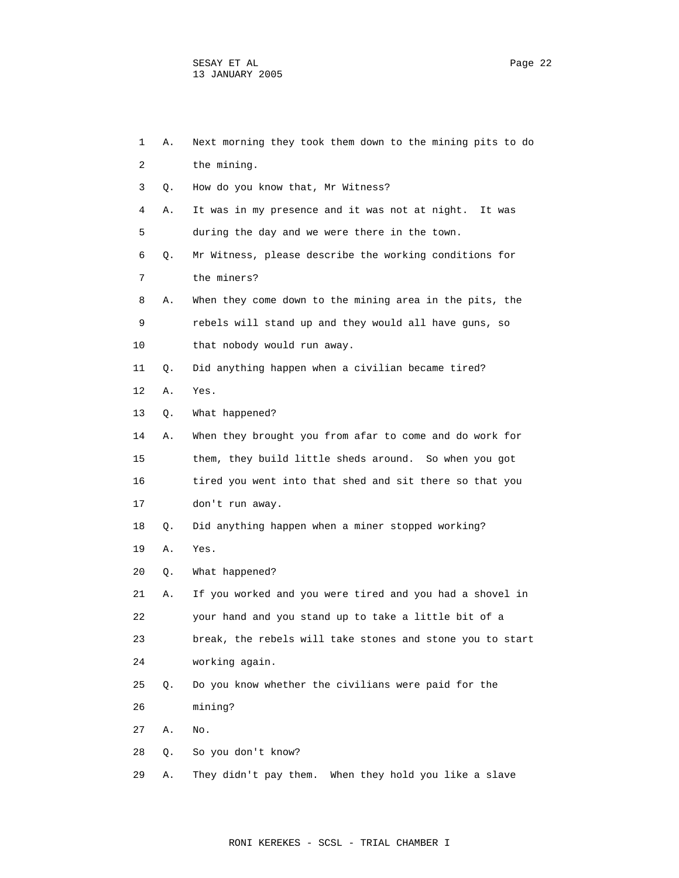| 1  | Α. | Next morning they took them down to the mining pits to do |
|----|----|-----------------------------------------------------------|
| 2  |    | the mining.                                               |
| 3  | Q. | How do you know that, Mr Witness?                         |
| 4  | Α. | It was in my presence and it was not at night. It was     |
| 5  |    | during the day and we were there in the town.             |
| 6  | Q. | Mr Witness, please describe the working conditions for    |
| 7  |    | the miners?                                               |
| 8  | Α. | When they come down to the mining area in the pits, the   |
| 9  |    | rebels will stand up and they would all have guns, so     |
| 10 |    | that nobody would run away.                               |
| 11 | Q. | Did anything happen when a civilian became tired?         |
| 12 | Α. | Yes.                                                      |
| 13 | Q. | What happened?                                            |
| 14 | Α. | When they brought you from afar to come and do work for   |
| 15 |    | them, they build little sheds around. So when you got     |
| 16 |    | tired you went into that shed and sit there so that you   |
| 17 |    | don't run away.                                           |
| 18 | Q. | Did anything happen when a miner stopped working?         |
| 19 | Α. | Yes.                                                      |
| 20 | Q. | What happened?                                            |
| 21 | Α. | If you worked and you were tired and you had a shovel in  |
| 22 |    | your hand and you stand up to take a little bit of a      |
| 23 |    | break, the rebels will take stones and stone you to start |
| 24 |    | working again.                                            |
| 25 | Q. | Do you know whether the civilians were paid for the       |
| 26 |    | mining?                                                   |
| 27 | Α. | No.                                                       |
| 28 | Q. | So you don't know?                                        |
| 29 | Α. | When they hold you like a slave<br>They didn't pay them.  |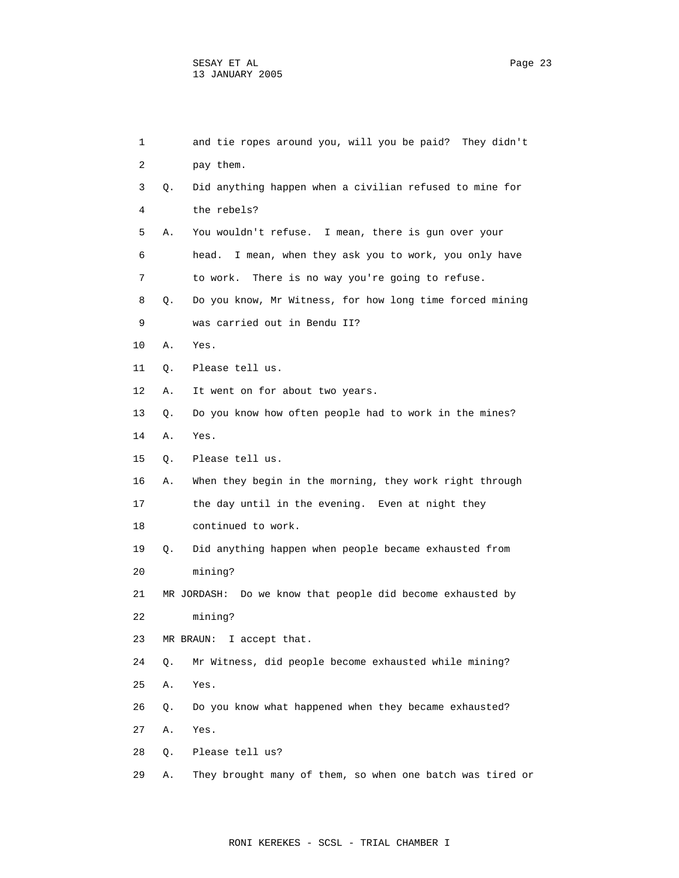| 1  |    | and tie ropes around you, will you be paid? They didn't    |
|----|----|------------------------------------------------------------|
| 2  |    | pay them.                                                  |
| 3  | Q. | Did anything happen when a civilian refused to mine for    |
| 4  |    | the rebels?                                                |
| 5  | Α. | You wouldn't refuse. I mean, there is gun over your        |
| 6  |    | head.<br>I mean, when they ask you to work, you only have  |
| 7  |    | to work.<br>There is no way you're going to refuse.        |
| 8  | Q. | Do you know, Mr Witness, for how long time forced mining   |
| 9  |    | was carried out in Bendu II?                               |
| 10 | Α. | Yes.                                                       |
| 11 | Q. | Please tell us.                                            |
| 12 | Α. | It went on for about two years.                            |
| 13 | Q. | Do you know how often people had to work in the mines?     |
| 14 | Α. | Yes.                                                       |
| 15 | Q. | Please tell us.                                            |
| 16 | Α. | When they begin in the morning, they work right through    |
| 17 |    | the day until in the evening. Even at night they           |
| 18 |    | continued to work.                                         |
| 19 | О. | Did anything happen when people became exhausted from      |
| 20 |    | mining?                                                    |
| 21 |    | MR JORDASH: Do we know that people did become exhausted by |
| 22 |    | mining?                                                    |
| 23 |    | MR BRAUN:<br>I accept that.                                |
| 24 | Q. | Mr Witness, did people become exhausted while mining?      |
| 25 | Α. | Yes.                                                       |
| 26 | Q. | Do you know what happened when they became exhausted?      |
| 27 | Α. | Yes.                                                       |
| 28 | Q. | Please tell us?                                            |
| 29 | Α. | They brought many of them, so when one batch was tired or  |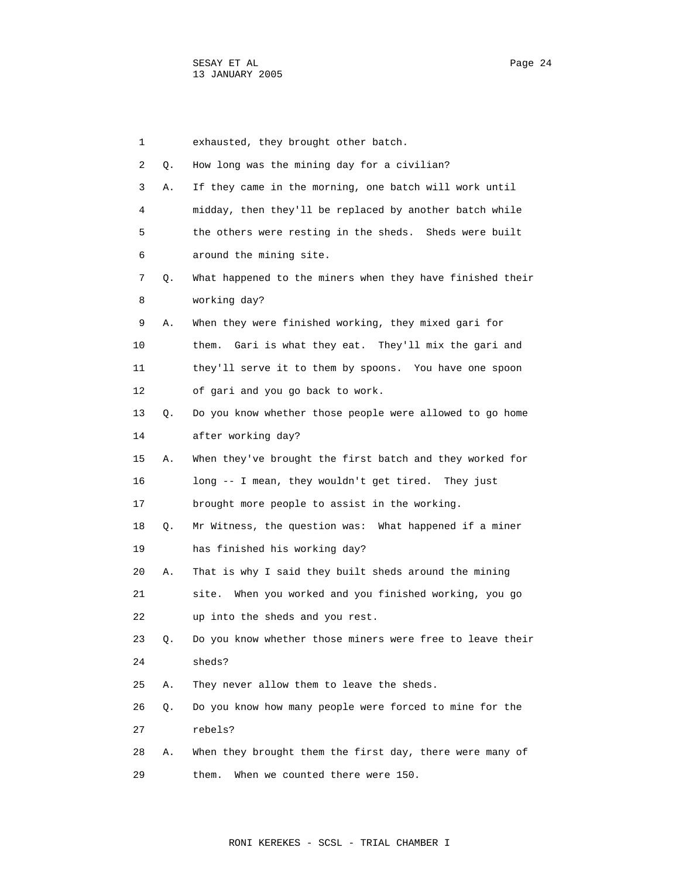| 1  |    | exhausted, they brought other batch.                      |
|----|----|-----------------------------------------------------------|
| 2  | Q. | How long was the mining day for a civilian?               |
| 3  | Α. | If they came in the morning, one batch will work until    |
| 4  |    | midday, then they'll be replaced by another batch while   |
| 5  |    | the others were resting in the sheds. Sheds were built    |
| 6  |    | around the mining site.                                   |
| 7  | Q. | What happened to the miners when they have finished their |
| 8  |    | working day?                                              |
| 9  | Α. | When they were finished working, they mixed gari for      |
| 10 |    | Gari is what they eat. They'll mix the gari and<br>them.  |
| 11 |    | they'll serve it to them by spoons. You have one spoon    |
| 12 |    | of gari and you go back to work.                          |
| 13 | Q. | Do you know whether those people were allowed to go home  |
| 14 |    | after working day?                                        |
| 15 | Α. | When they've brought the first batch and they worked for  |
| 16 |    | long -- I mean, they wouldn't get tired. They just        |
| 17 |    | brought more people to assist in the working.             |
| 18 | Q. | Mr Witness, the question was: What happened if a miner    |
| 19 |    | has finished his working day?                             |
| 20 | Α. | That is why I said they built sheds around the mining     |
| 21 |    | site. When you worked and you finished working, you go    |
| 22 |    | up into the sheds and you rest.                           |
| 23 | Q. | Do you know whether those miners were free to leave their |
| 24 |    | sheds?                                                    |
| 25 | Α. | They never allow them to leave the sheds.                 |
| 26 | Q. | Do you know how many people were forced to mine for the   |
| 27 |    | rebels?                                                   |
| 28 | Α. | When they brought them the first day, there were many of  |
| 29 |    | When we counted there were 150.<br>them.                  |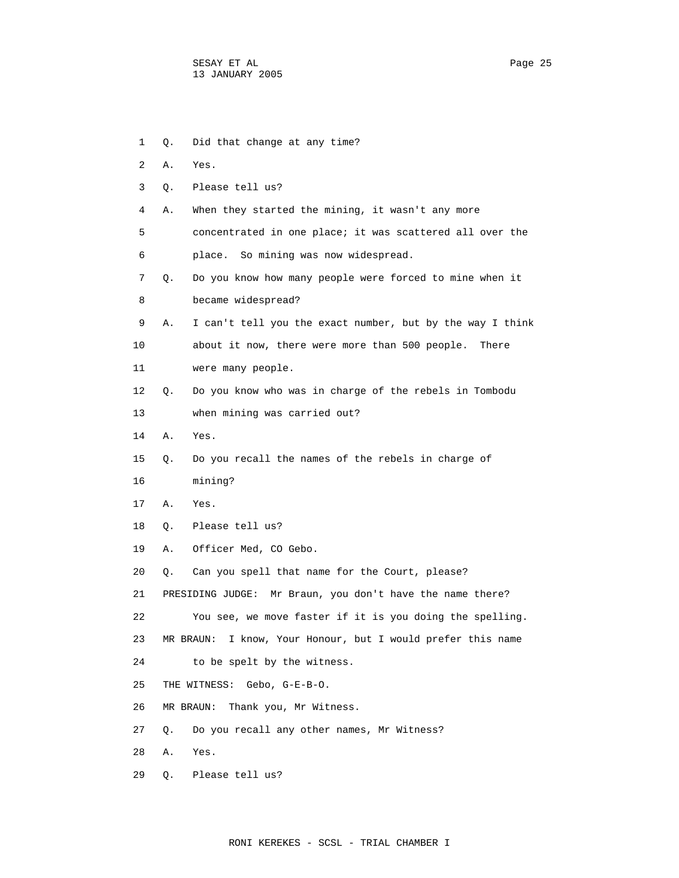1 Q. Did that change at any time? 2 A. Yes. 3 Q. Please tell us? 4 A. When they started the mining, it wasn't any more 5 concentrated in one place; it was scattered all over the 6 place. So mining was now widespread. 7 Q. Do you know how many people were forced to mine when it 8 became widespread? 9 A. I can't tell you the exact number, but by the way I think 10 about it now, there were more than 500 people. There 11 were many people. 12 Q. Do you know who was in charge of the rebels in Tombodu 13 when mining was carried out? 14 A. Yes. 15 Q. Do you recall the names of the rebels in charge of 16 mining? 17 A. Yes. 18 Q. Please tell us? 19 A. Officer Med, CO Gebo. 20 Q. Can you spell that name for the Court, please? 21 PRESIDING JUDGE: Mr Braun, you don't have the name there? 22 You see, we move faster if it is you doing the spelling. 23 MR BRAUN: I know, Your Honour, but I would prefer this name 24 to be spelt by the witness. 25 THE WITNESS: Gebo, G-E-B-O. 26 MR BRAUN: Thank you, Mr Witness. 27 Q. Do you recall any other names, Mr Witness? 28 A. Yes. 29 Q. Please tell us?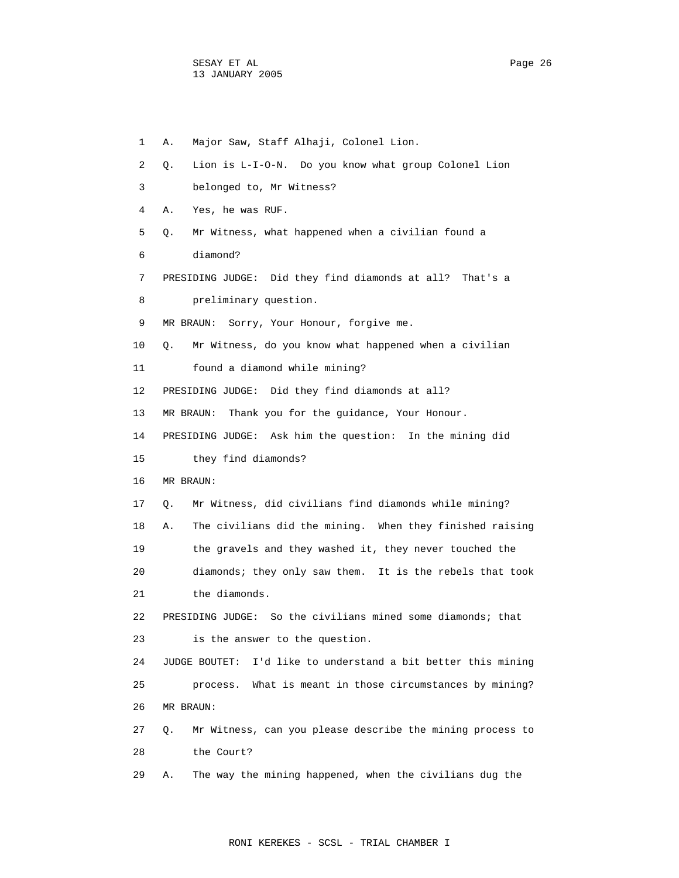| 1  | Α.<br>Major Saw, Staff Alhaji, Colonel Lion.                            |
|----|-------------------------------------------------------------------------|
| 2  | Lion is L-I-O-N. Do you know what group Colonel Lion<br>О.              |
| 3  | belonged to, Mr Witness?                                                |
| 4  | Yes, he was RUF.<br>Α.                                                  |
| 5  | Mr Witness, what happened when a civilian found a<br>Q.                 |
| 6  | diamond?                                                                |
| 7  | PRESIDING JUDGE: Did they find diamonds at all? That's a                |
| 8  | preliminary question.                                                   |
| 9  | MR BRAUN: Sorry, Your Honour, forgive me.                               |
| 10 | Mr Witness, do you know what happened when a civilian<br>О.             |
| 11 | found a diamond while mining?                                           |
| 12 | PRESIDING JUDGE: Did they find diamonds at all?                         |
| 13 | MR BRAUN: Thank you for the quidance, Your Honour.                      |
| 14 | PRESIDING JUDGE: Ask him the question: In the mining did                |
| 15 | they find diamonds?                                                     |
| 16 | MR BRAUN:                                                               |
| 17 | Mr Witness, did civilians find diamonds while mining?<br>О.             |
| 18 | The civilians did the mining. When they finished raising<br>Α.          |
| 19 | the gravels and they washed it, they never touched the                  |
| 20 | diamonds; they only saw them. It is the rebels that took                |
| 21 | the diamonds.                                                           |
| 22 | So the civilians mined some diamonds; that<br>PRESIDING JUDGE:          |
| 23 | is the answer to the question.                                          |
| 24 | I'd like to understand a bit better this mining<br><b>JUDGE BOUTET:</b> |
| 25 | process. What is meant in those circumstances by mining?                |
| 26 | MR BRAUN:                                                               |
| 27 | Mr Witness, can you please describe the mining process to<br>О.         |
| 28 | the Court?                                                              |
| 29 | The way the mining happened, when the civilians dug the<br>Α.           |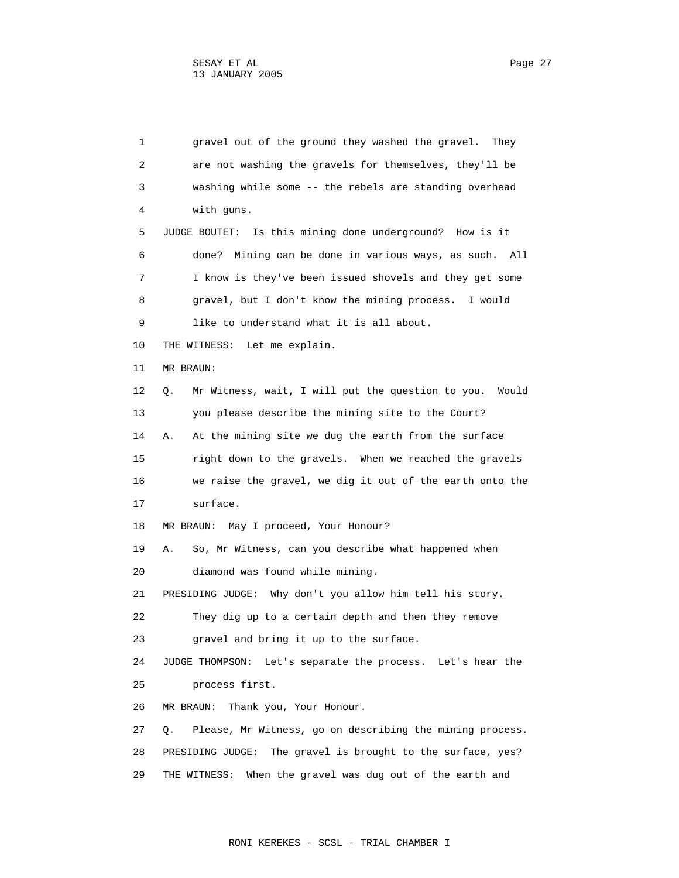1 gravel out of the ground they washed the gravel. They 2 are not washing the gravels for themselves, they'll be 3 washing while some -- the rebels are standing overhead 4 with guns. 5 JUDGE BOUTET: Is this mining done underground? How is it 6 done? Mining can be done in various ways, as such. All 7 I know is they've been issued shovels and they get some 8 gravel, but I don't know the mining process. I would 9 like to understand what it is all about. 10 THE WITNESS: Let me explain. 11 MR BRAUN: 12 Q. Mr Witness, wait, I will put the question to you. Would 13 you please describe the mining site to the Court? 14 A. At the mining site we dug the earth from the surface 15 right down to the gravels. When we reached the gravels 16 we raise the gravel, we dig it out of the earth onto the 17 surface. 18 MR BRAUN: May I proceed, Your Honour? 19 A. So, Mr Witness, can you describe what happened when 20 diamond was found while mining. 21 PRESIDING JUDGE: Why don't you allow him tell his story. 22 They dig up to a certain depth and then they remove 23 gravel and bring it up to the surface. 24 JUDGE THOMPSON: Let's separate the process. Let's hear the 25 process first. 26 MR BRAUN: Thank you, Your Honour. 27 Q. Please, Mr Witness, go on describing the mining process. 28 PRESIDING JUDGE: The gravel is brought to the surface, yes?

29 THE WITNESS: When the gravel was dug out of the earth and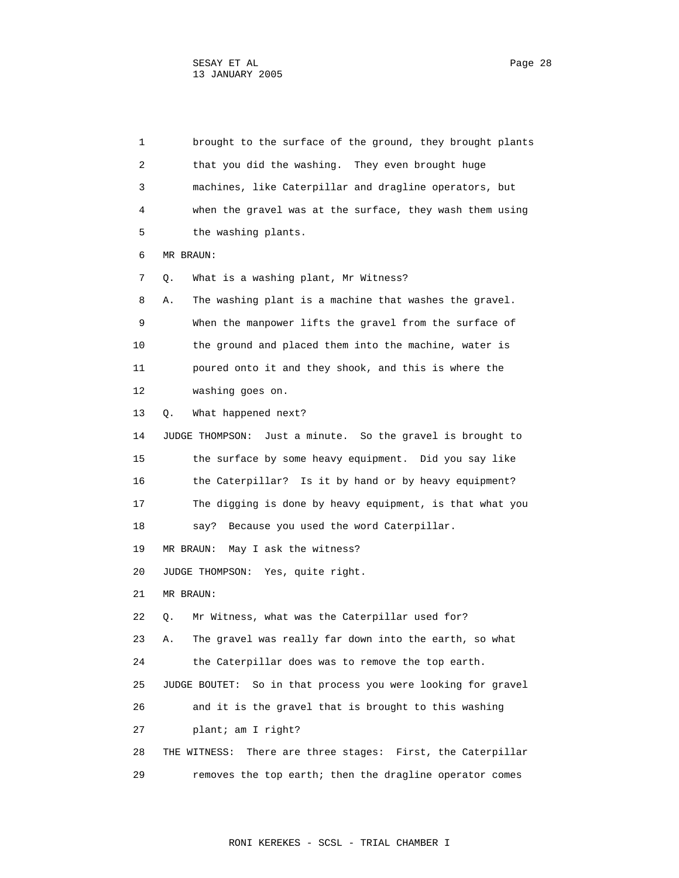1 brought to the surface of the ground, they brought plants 2 that you did the washing. They even brought huge 3 machines, like Caterpillar and dragline operators, but 4 when the gravel was at the surface, they wash them using 5 the washing plants. 6 MR BRAUN: 7 Q. What is a washing plant, Mr Witness? 8 A. The washing plant is a machine that washes the gravel. 9 When the manpower lifts the gravel from the surface of 10 the ground and placed them into the machine, water is 11 poured onto it and they shook, and this is where the 12 washing goes on. 13 Q. What happened next? 14 JUDGE THOMPSON: Just a minute. So the gravel is brought to 15 the surface by some heavy equipment. Did you say like 16 the Caterpillar? Is it by hand or by heavy equipment? 17 The digging is done by heavy equipment, is that what you 18 say? Because you used the word Caterpillar. 19 MR BRAUN: May I ask the witness? 20 JUDGE THOMPSON: Yes, quite right. 21 MR BRAUN: 22 Q. Mr Witness, what was the Caterpillar used for? 23 A. The gravel was really far down into the earth, so what 24 the Caterpillar does was to remove the top earth. 25 JUDGE BOUTET: So in that process you were looking for gravel 26 and it is the gravel that is brought to this washing 27 plant; am I right? 28 THE WITNESS: There are three stages: First, the Caterpillar 29 removes the top earth; then the dragline operator comes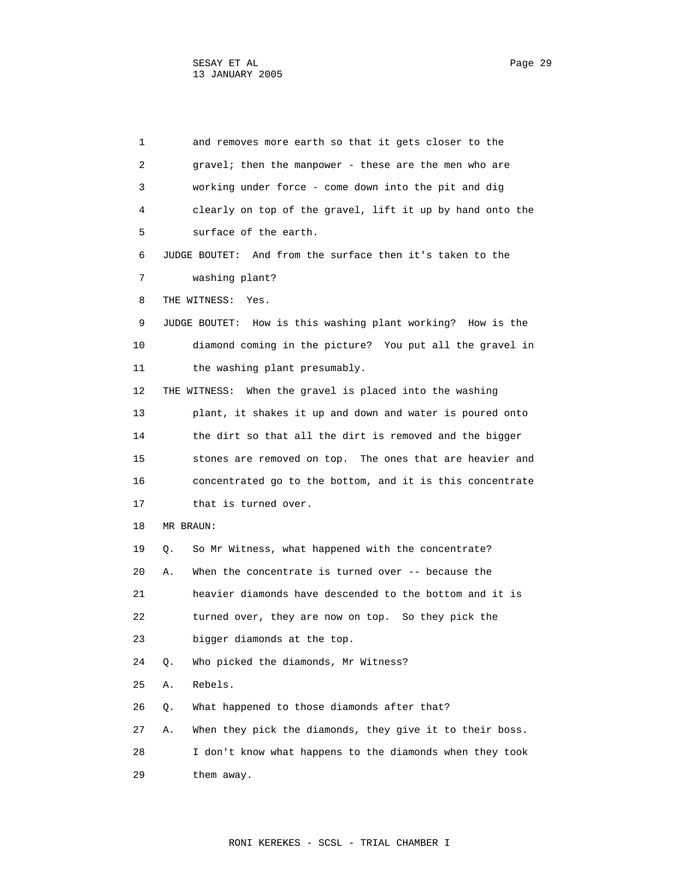| 1  |    | and removes more earth so that it gets closer to the        |
|----|----|-------------------------------------------------------------|
| 2  |    | gravel; then the manpower - these are the men who are       |
| 3  |    | working under force - come down into the pit and dig        |
| 4  |    | clearly on top of the gravel, lift it up by hand onto the   |
| 5  |    | surface of the earth.                                       |
| 6  |    | JUDGE BOUTET: And from the surface then it's taken to the   |
| 7  |    | washing plant?                                              |
| 8  |    | THE WITNESS:<br>Yes.                                        |
| 9  |    | JUDGE BOUTET: How is this washing plant working? How is the |
| 10 |    | diamond coming in the picture? You put all the gravel in    |
| 11 |    | the washing plant presumably.                               |
| 12 |    | When the gravel is placed into the washing<br>THE WITNESS:  |
| 13 |    | plant, it shakes it up and down and water is poured onto    |
| 14 |    | the dirt so that all the dirt is removed and the bigger     |
| 15 |    | stones are removed on top. The ones that are heavier and    |
| 16 |    | concentrated go to the bottom, and it is this concentrate   |
| 17 |    | that is turned over.                                        |
| 18 |    | MR BRAUN:                                                   |
| 19 | Q. | So Mr Witness, what happened with the concentrate?          |
| 20 | Α. | When the concentrate is turned over -- because the          |
| 21 |    | heavier diamonds have descended to the bottom and it is     |
| 22 |    | turned over, they are now on top. So they pick the          |
| 23 |    | bigger diamonds at the top.                                 |
| 24 | Q. | Who picked the diamonds, Mr Witness?                        |
| 25 | Α. | Rebels.                                                     |
| 26 | Q. | What happened to those diamonds after that?                 |
| 27 | Α. | When they pick the diamonds, they give it to their boss.    |
| 28 |    | I don't know what happens to the diamonds when they took    |
| 29 |    | them away.                                                  |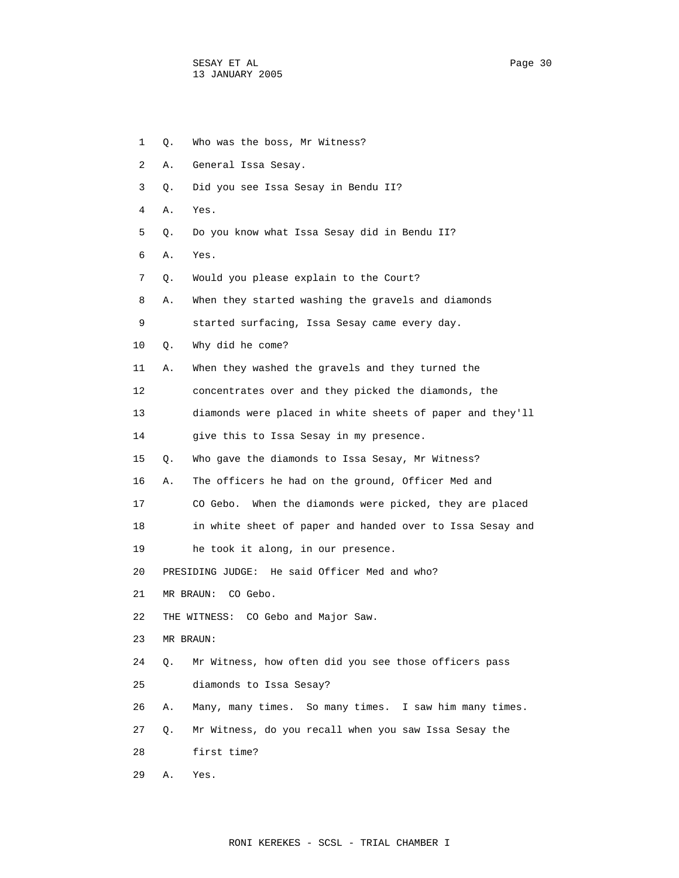1 Q. Who was the boss, Mr Witness? 2 A. General Issa Sesay. 3 Q. Did you see Issa Sesay in Bendu II? 4 A. Yes. 5 Q. Do you know what Issa Sesay did in Bendu II? 6 A. Yes. 7 Q. Would you please explain to the Court? 8 A. When they started washing the gravels and diamonds 9 started surfacing, Issa Sesay came every day. 10 Q. Why did he come? 11 A. When they washed the gravels and they turned the 12 concentrates over and they picked the diamonds, the 13 diamonds were placed in white sheets of paper and they'll 14 give this to Issa Sesay in my presence. 15 Q. Who gave the diamonds to Issa Sesay, Mr Witness? 16 A. The officers he had on the ground, Officer Med and 17 CO Gebo. When the diamonds were picked, they are placed 18 in white sheet of paper and handed over to Issa Sesay and 19 he took it along, in our presence. 20 PRESIDING JUDGE: He said Officer Med and who? 21 MR BRAUN: CO Gebo. 22 THE WITNESS: CO Gebo and Major Saw. 23 MR BRAUN: 24 Q. Mr Witness, how often did you see those officers pass 25 diamonds to Issa Sesay? 26 A. Many, many times. So many times. I saw him many times. 27 Q. Mr Witness, do you recall when you saw Issa Sesay the 28 first time? 29 A. Yes.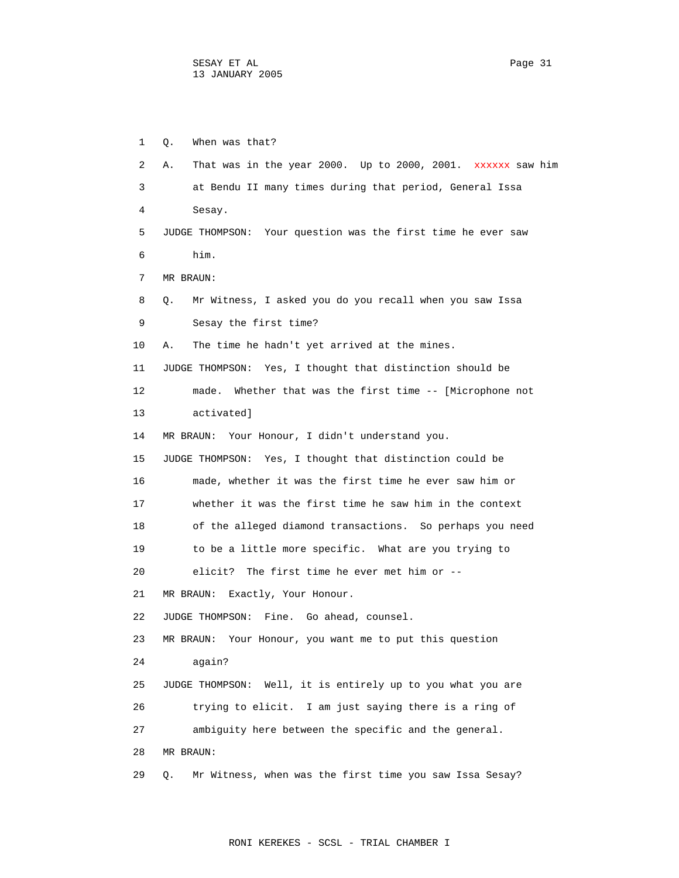1 Q. When was that? 2 A. That was in the year 2000. Up to 2000, 2001. xxxxxx saw him 3 at Bendu II many times during that period, General Issa 4 Sesay. 5 JUDGE THOMPSON: Your question was the first time he ever saw 6 him. 7 MR BRAUN: 8 Q. Mr Witness, I asked you do you recall when you saw Issa 9 Sesay the first time? 10 A. The time he hadn't yet arrived at the mines. 11 JUDGE THOMPSON: Yes, I thought that distinction should be 12 made. Whether that was the first time -- [Microphone not 13 activated] 14 MR BRAUN: Your Honour, I didn't understand you. 15 JUDGE THOMPSON: Yes, I thought that distinction could be 16 made, whether it was the first time he ever saw him or 17 whether it was the first time he saw him in the context 18 of the alleged diamond transactions. So perhaps you need 19 to be a little more specific. What are you trying to 20 elicit? The first time he ever met him or -- 21 MR BRAUN: Exactly, Your Honour. 22 JUDGE THOMPSON: Fine. Go ahead, counsel. 23 MR BRAUN: Your Honour, you want me to put this question 24 again? 25 JUDGE THOMPSON: Well, it is entirely up to you what you are 26 trying to elicit. I am just saying there is a ring of 27 ambiguity here between the specific and the general. 28 MR BRAUN: 29 Q. Mr Witness, when was the first time you saw Issa Sesay?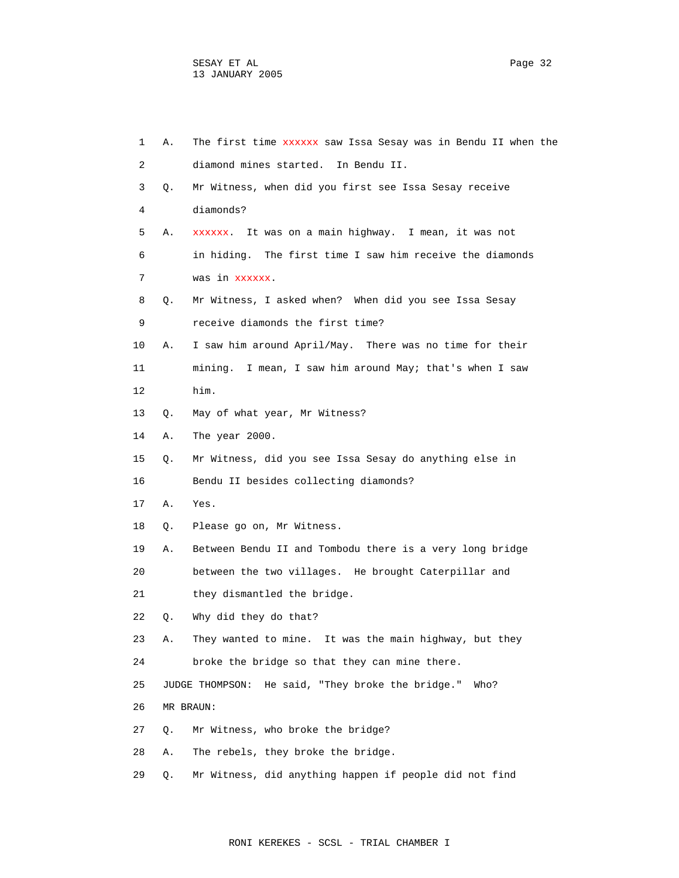| 1  | Α. | The first time xxxxxx saw Issa Sesay was in Bendu II when the |
|----|----|---------------------------------------------------------------|
| 2  |    | diamond mines started.<br>In Bendu II.                        |
| 3  | Q. | Mr Witness, when did you first see Issa Sesay receive         |
| 4  |    | diamonds?                                                     |
| 5  | Α. | xxxxxx. It was on a main highway. I mean, it was not          |
| 6  |    | in hiding. The first time I saw him receive the diamonds      |
| 7  |    | was in xxxxxx.                                                |
| 8  | Q. | Mr Witness, I asked when? When did you see Issa Sesay         |
| 9  |    | receive diamonds the first time?                              |
| 10 | Α. | I saw him around April/May. There was no time for their       |
| 11 |    | mining. I mean, I saw him around May; that's when I saw       |
| 12 |    | him.                                                          |
| 13 | Q. | May of what year, Mr Witness?                                 |
| 14 | Α. | The year 2000.                                                |
| 15 | Q. | Mr Witness, did you see Issa Sesay do anything else in        |
| 16 |    | Bendu II besides collecting diamonds?                         |
| 17 | Α. | Yes.                                                          |
| 18 | Q. | Please go on, Mr Witness.                                     |
| 19 | Α. | Between Bendu II and Tombodu there is a very long bridge      |
| 20 |    | between the two villages. He brought Caterpillar and          |
| 21 |    | they dismantled the bridge.                                   |
| 22 | Q. | Why did they do that?                                         |
| 23 | Α. | They wanted to mine. It was the main highway, but they        |
| 24 |    | broke the bridge so that they can mine there.                 |
| 25 |    | JUDGE THOMPSON: He said, "They broke the bridge."<br>Who?     |
| 26 |    | MR BRAUN:                                                     |
| 27 | Q. | Mr Witness, who broke the bridge?                             |
| 28 | Α. | The rebels, they broke the bridge.                            |
| 29 | Q. | Mr Witness, did anything happen if people did not find        |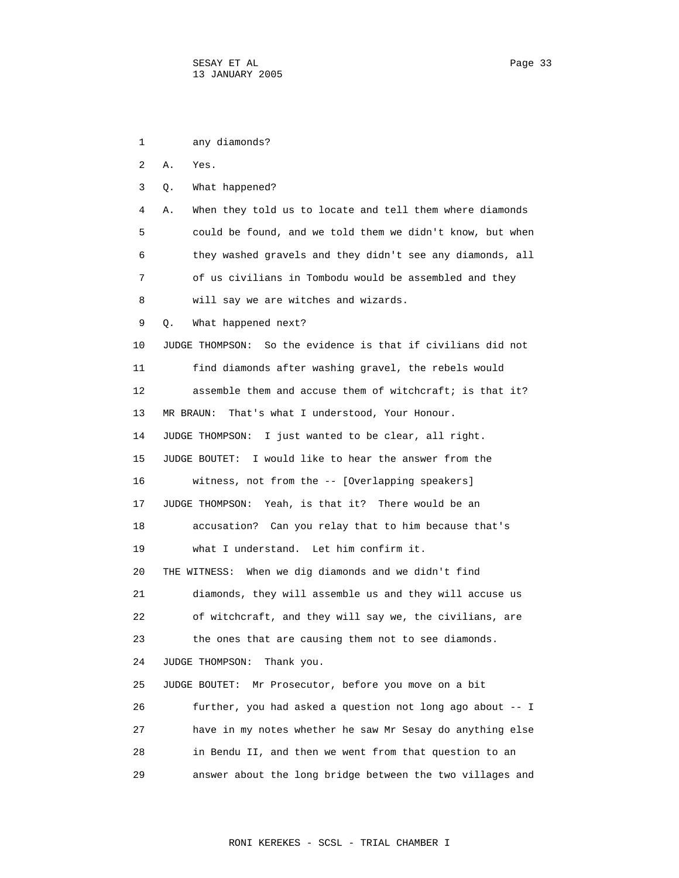1 any diamonds? 2 A. Yes. 3 Q. What happened? 4 A. When they told us to locate and tell them where diamonds 5 could be found, and we told them we didn't know, but when 6 they washed gravels and they didn't see any diamonds, all 7 of us civilians in Tombodu would be assembled and they 8 will say we are witches and wizards. 9 Q. What happened next? 10 JUDGE THOMPSON: So the evidence is that if civilians did not 11 find diamonds after washing gravel, the rebels would 12 assemble them and accuse them of witchcraft; is that it? 13 MR BRAUN: That's what I understood, Your Honour. 14 JUDGE THOMPSON: I just wanted to be clear, all right. 15 JUDGE BOUTET: I would like to hear the answer from the 16 witness, not from the -- [Overlapping speakers] 17 JUDGE THOMPSON: Yeah, is that it? There would be an 18 accusation? Can you relay that to him because that's 19 what I understand. Let him confirm it. 20 THE WITNESS: When we dig diamonds and we didn't find 21 diamonds, they will assemble us and they will accuse us 22 of witchcraft, and they will say we, the civilians, are 23 the ones that are causing them not to see diamonds. 24 JUDGE THOMPSON: Thank you. 25 JUDGE BOUTET: Mr Prosecutor, before you move on a bit 26 further, you had asked a question not long ago about -- I 27 have in my notes whether he saw Mr Sesay do anything else 28 in Bendu II, and then we went from that question to an 29 answer about the long bridge between the two villages and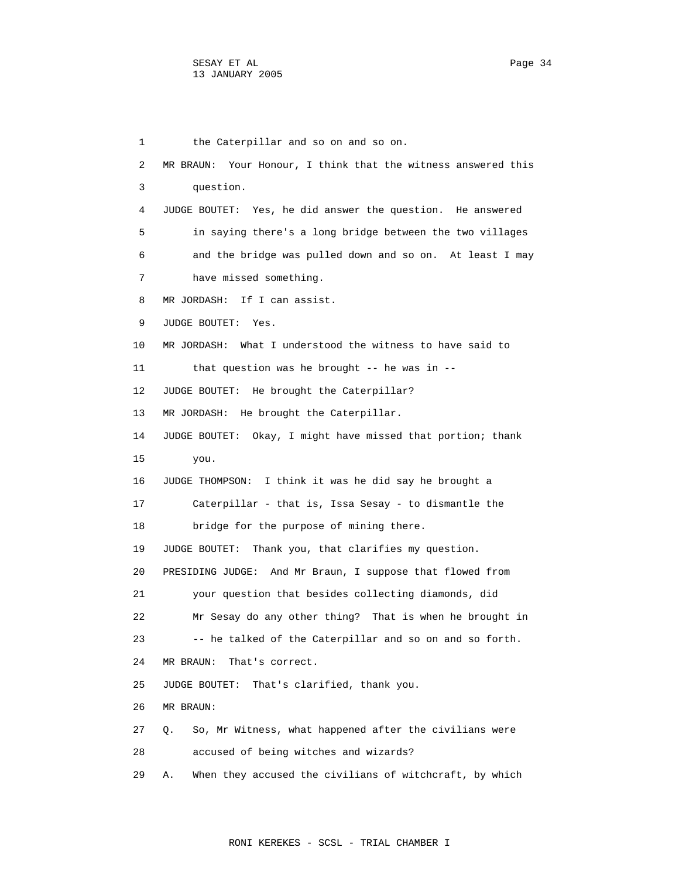1 the Caterpillar and so on and so on. 2 MR BRAUN: Your Honour, I think that the witness answered this 3 question. 4 JUDGE BOUTET: Yes, he did answer the question. He answered 5 in saying there's a long bridge between the two villages 6 and the bridge was pulled down and so on. At least I may 7 have missed something. 8 MR JORDASH: If I can assist. 9 JUDGE BOUTET: Yes. 10 MR JORDASH: What I understood the witness to have said to 11 that question was he brought -- he was in -- 12 JUDGE BOUTET: He brought the Caterpillar? 13 MR JORDASH: He brought the Caterpillar. 14 JUDGE BOUTET: Okay, I might have missed that portion; thank 15 you. 16 JUDGE THOMPSON: I think it was he did say he brought a 17 Caterpillar - that is, Issa Sesay - to dismantle the 18 bridge for the purpose of mining there. 19 JUDGE BOUTET: Thank you, that clarifies my question. 20 PRESIDING JUDGE: And Mr Braun, I suppose that flowed from 21 your question that besides collecting diamonds, did 22 Mr Sesay do any other thing? That is when he brought in 23 -- he talked of the Caterpillar and so on and so forth. 24 MR BRAUN: That's correct. 25 JUDGE BOUTET: That's clarified, thank you. 26 MR BRAUN: 27 Q. So, Mr Witness, what happened after the civilians were 28 accused of being witches and wizards? 29 A. When they accused the civilians of witchcraft, by which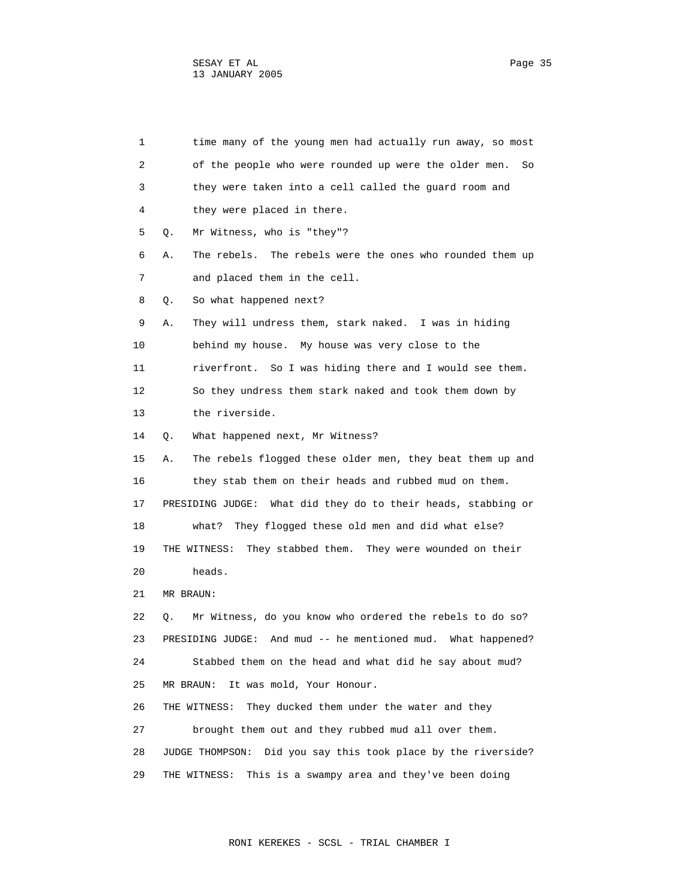| 1  | time many of the young men had actually run away, so most         |
|----|-------------------------------------------------------------------|
| 2  | of the people who were rounded up were the older men.<br>So       |
| 3  | they were taken into a cell called the quard room and             |
| 4  | they were placed in there.                                        |
| 5  | Mr Witness, who is "they"?<br>Q.                                  |
| 6  | The rebels were the ones who rounded them up<br>Α.<br>The rebels. |
| 7  | and placed them in the cell.                                      |
| 8  | So what happened next?<br>Q.                                      |
| 9  | They will undress them, stark naked. I was in hiding<br>Α.        |
| 10 | behind my house. My house was very close to the                   |
| 11 | riverfront. So I was hiding there and I would see them.           |
| 12 | So they undress them stark naked and took them down by            |
| 13 | the riverside.                                                    |
| 14 | What happened next, Mr Witness?<br>Q.                             |
| 15 | The rebels flogged these older men, they beat them up and<br>Α.   |
| 16 | they stab them on their heads and rubbed mud on them.             |
| 17 | What did they do to their heads, stabbing or<br>PRESIDING JUDGE:  |
| 18 | They flogged these old men and did what else?<br>what?            |
| 19 | They stabbed them. They were wounded on their<br>THE WITNESS:     |
| 20 | heads.                                                            |
| 21 | MR BRAUN:                                                         |
| 22 | Mr Witness, do you know who ordered the rebels to do so?<br>Q.    |
| 23 | PRESIDING JUDGE: And mud -- he mentioned mud. What happened?      |
| 24 | Stabbed them on the head and what did he say about mud?           |
| 25 | It was mold, Your Honour.<br>MR BRAUN:                            |
| 26 | They ducked them under the water and they<br>THE WITNESS:         |
| 27 | brought them out and they rubbed mud all over them.               |
| 28 | Did you say this took place by the riverside?<br>JUDGE THOMPSON:  |
| 29 | This is a swampy area and they've been doing<br>THE WITNESS:      |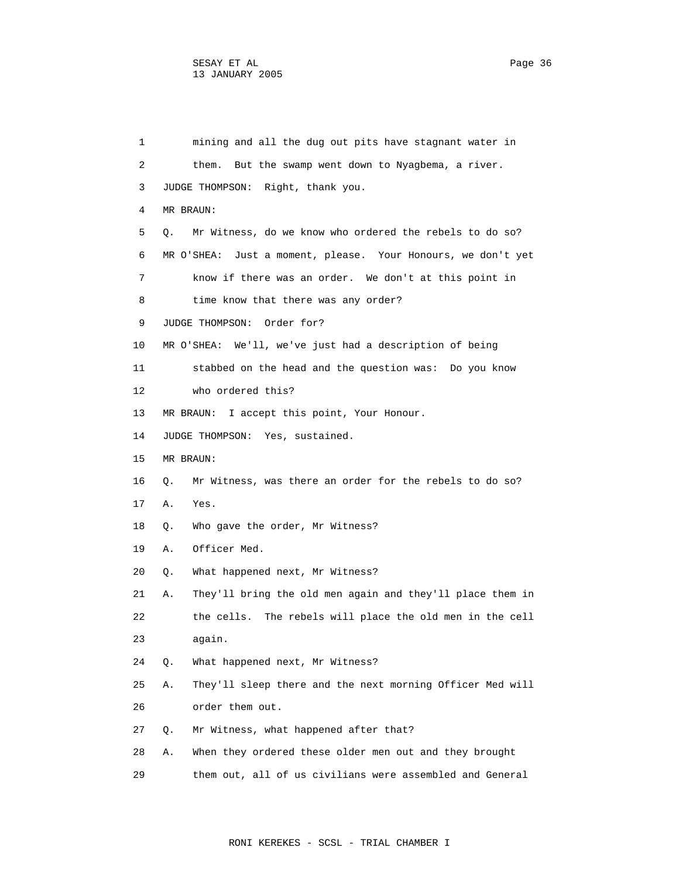1 mining and all the dug out pits have stagnant water in 2 them. But the swamp went down to Nyagbema, a river. 3 JUDGE THOMPSON: Right, thank you. 4 MR BRAUN: 5 Q. Mr Witness, do we know who ordered the rebels to do so? 6 MR O'SHEA: Just a moment, please. Your Honours, we don't yet 7 know if there was an order. We don't at this point in 8 time know that there was any order? 9 JUDGE THOMPSON: Order for? 10 MR O'SHEA: We'll, we've just had a description of being 11 stabbed on the head and the question was: Do you know 12 who ordered this? 13 MR BRAUN: I accept this point, Your Honour. 14 JUDGE THOMPSON: Yes, sustained. 15 MR BRAUN: 16 Q. Mr Witness, was there an order for the rebels to do so? 17 A. Yes. 18 Q. Who gave the order, Mr Witness? 19 A. Officer Med. 20 Q. What happened next, Mr Witness? 21 A. They'll bring the old men again and they'll place them in 22 the cells. The rebels will place the old men in the cell 23 again. 24 Q. What happened next, Mr Witness? 25 A. They'll sleep there and the next morning Officer Med will 26 order them out. 27 Q. Mr Witness, what happened after that? 28 A. When they ordered these older men out and they brought

29 them out, all of us civilians were assembled and General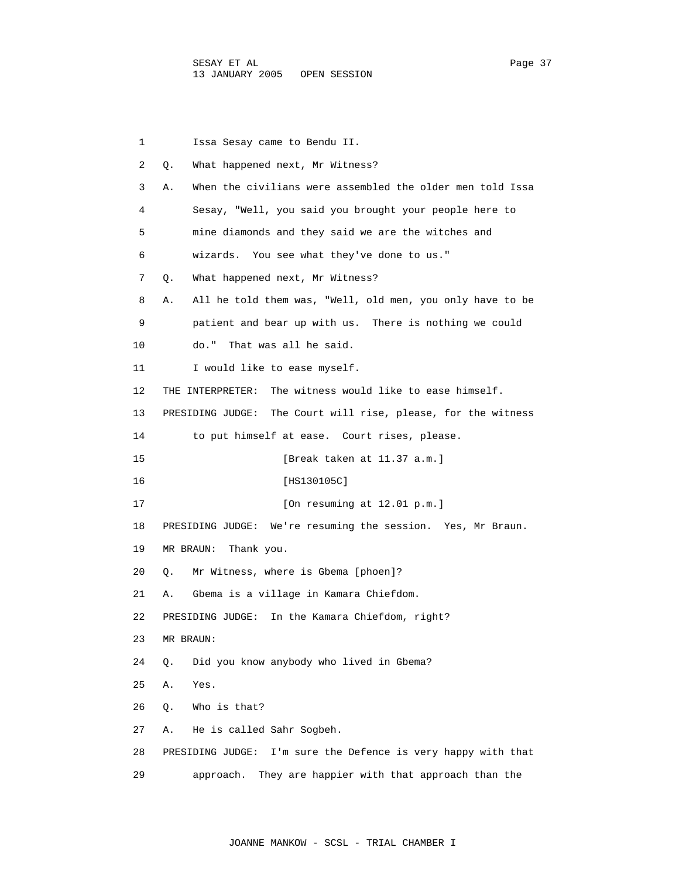| 1  | Issa Sesay came to Bendu II.                                     |
|----|------------------------------------------------------------------|
| 2  | О.<br>What happened next, Mr Witness?                            |
| 3  | When the civilians were assembled the older men told Issa<br>Α.  |
| 4  | Sesay, "Well, you said you brought your people here to           |
| 5  | mine diamonds and they said we are the witches and               |
| 6  | wizards. You see what they've done to us."                       |
| 7  | What happened next, Mr Witness?<br>Q.                            |
| 8  | All he told them was, "Well, old men, you only have to be<br>Α.  |
| 9  | patient and bear up with us. There is nothing we could           |
| 10 | do."<br>That was all he said.                                    |
| 11 | I would like to ease myself.                                     |
| 12 | The witness would like to ease himself.<br>THE INTERPRETER:      |
| 13 | PRESIDING JUDGE:<br>The Court will rise, please, for the witness |
| 14 | to put himself at ease. Court rises, please.                     |
| 15 | [Break taken at 11.37 a.m.]                                      |
| 16 | [HS130105C]                                                      |
| 17 | [On resuming at $12.01$ p.m.]                                    |
| 18 | PRESIDING JUDGE: We're resuming the session. Yes, Mr Braun.      |
| 19 | MR BRAUN: Thank you.                                             |
| 20 | Mr Witness, where is Gbema [phoen]?<br>Q.                        |
| 21 | Gbema is a village in Kamara Chiefdom.<br>Α.                     |
| 22 | In the Kamara Chiefdom, right?<br>PRESIDING JUDGE:               |
| 23 | MR BRAUN:                                                        |
| 24 | Did you know anybody who lived in Gbema?<br>Q.                   |
| 25 | Α.<br>Yes.                                                       |
| 26 | Who is that?<br>Q.                                               |
| 27 | He is called Sahr Sogbeh.<br>Α.                                  |
| 28 | I'm sure the Defence is very happy with that<br>PRESIDING JUDGE: |
| 29 | approach.<br>They are happier with that approach than the        |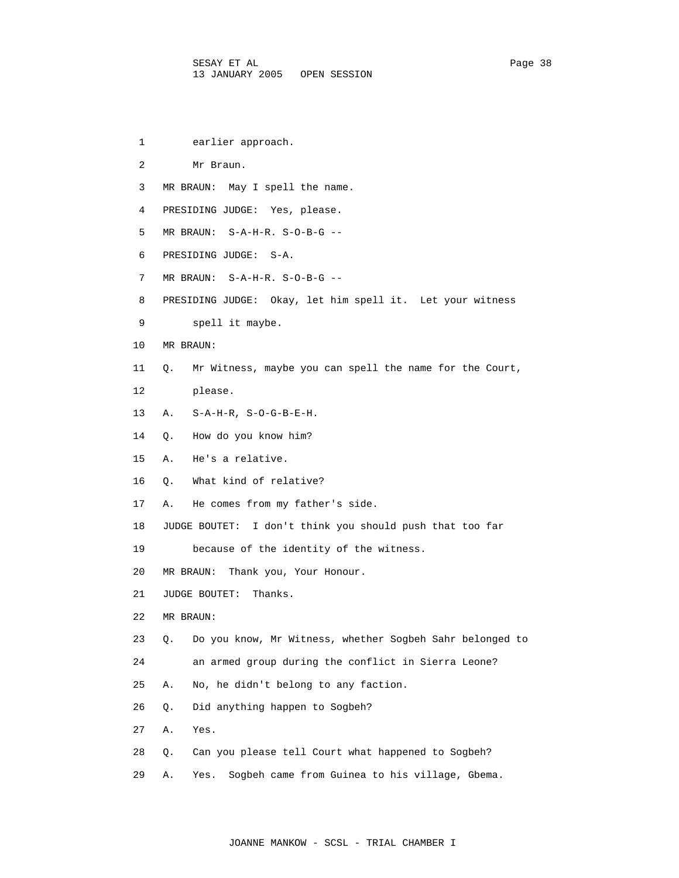- 1 earlier approach.
- 2 Mr Braun.
- 3 MR BRAUN: May I spell the name.
- 4 PRESIDING JUDGE: Yes, please.
- 5 MR BRAUN: S-A-H-R. S-O-B-G --
- 6 PRESIDING JUDGE: S-A.
- 7 MR BRAUN: S-A-H-R. S-O-B-G --
- 8 PRESIDING JUDGE: Okay, let him spell it. Let your witness
- 9 spell it maybe.
- 10 MR BRAUN:
- 11 Q. Mr Witness, maybe you can spell the name for the Court,
- 12 please.
- 13 A. S-A-H-R, S-O-G-B-E-H.
- 14 Q. How do you know him?
- 15 A. He's a relative.
- 16 Q. What kind of relative?
- 17 A. He comes from my father's side.
- 18 JUDGE BOUTET: I don't think you should push that too far
- 19 because of the identity of the witness.
- 20 MR BRAUN: Thank you, Your Honour.
- 21 JUDGE BOUTET: Thanks.
- 22 MR BRAUN:
- 23 Q. Do you know, Mr Witness, whether Sogbeh Sahr belonged to
- 24 an armed group during the conflict in Sierra Leone?
- 25 A. No, he didn't belong to any faction.
- 26 Q. Did anything happen to Sogbeh?
- 27 A. Yes.
- 28 Q. Can you please tell Court what happened to Sogbeh?
- 29 A. Yes. Sogbeh came from Guinea to his village, Gbema.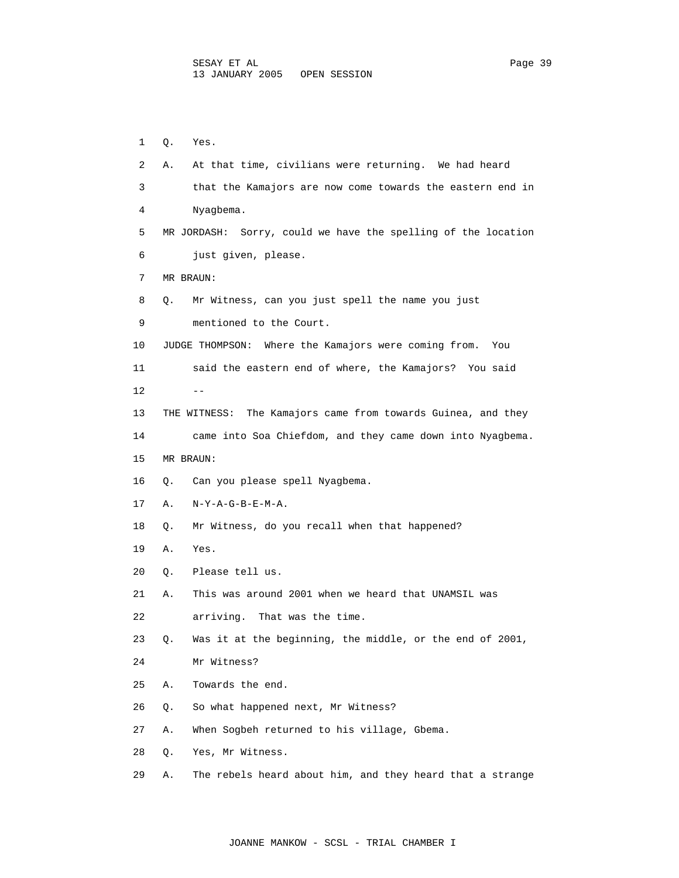| 1  | Q. | Yes.                                                          |
|----|----|---------------------------------------------------------------|
| 2  | Α. | At that time, civilians were returning. We had heard          |
| 3  |    | that the Kamajors are now come towards the eastern end in     |
| 4  |    | Nyagbema.                                                     |
| 5  |    | MR JORDASH: Sorry, could we have the spelling of the location |
| 6  |    | just given, please.                                           |
| 7  |    | MR BRAUN:                                                     |
| 8  | Q. | Mr Witness, can you just spell the name you just              |
| 9  |    | mentioned to the Court.                                       |
| 10 |    | JUDGE THOMPSON: Where the Kamajors were coming from.<br>You   |
| 11 |    | said the eastern end of where, the Kamajors? You said         |
| 12 |    |                                                               |
| 13 |    | THE WITNESS: The Kamajors came from towards Guinea, and they  |
| 14 |    | came into Soa Chiefdom, and they came down into Nyagbema.     |
| 15 |    | MR BRAUN:                                                     |
| 16 | Q. | Can you please spell Nyagbema.                                |
| 17 | Α. | $N-Y-A-G-B-E-M-A.$                                            |
| 18 | Q. | Mr Witness, do you recall when that happened?                 |
| 19 | Α. | Yes.                                                          |
| 20 | Q. | Please tell us.                                               |
| 21 | Α. | This was around 2001 when we heard that UNAMSIL was           |
| 22 |    | arriving.<br>That was the time.                               |
| 23 | Q. | Was it at the beginning, the middle, or the end of 2001,      |
| 24 |    | Mr Witness?                                                   |
| 25 | Α. | Towards the end.                                              |
| 26 | Q. | So what happened next, Mr Witness?                            |
| 27 | Α. | When Sogbeh returned to his village, Gbema.                   |

- 28 Q. Yes, Mr Witness.
- 29 A. The rebels heard about him, and they heard that a strange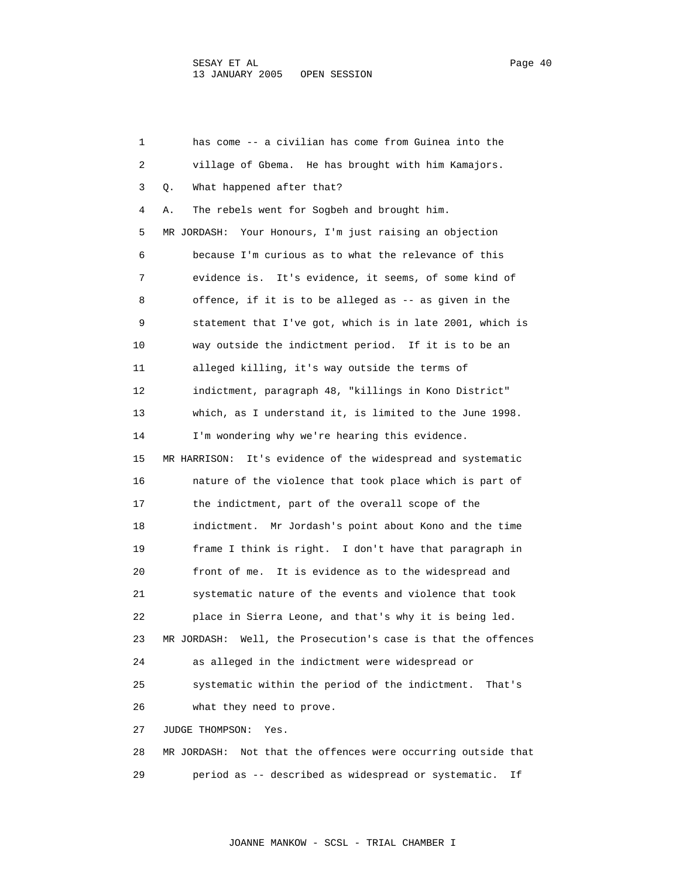1 has come -- a civilian has come from Guinea into the 2 village of Gbema. He has brought with him Kamajors. 3 Q. What happened after that? 4 A. The rebels went for Sogbeh and brought him. 5 MR JORDASH: Your Honours, I'm just raising an objection 6 because I'm curious as to what the relevance of this 7 evidence is. It's evidence, it seems, of some kind of 8 offence, if it is to be alleged as -- as given in the 9 statement that I've got, which is in late 2001, which is 10 way outside the indictment period. If it is to be an 11 alleged killing, it's way outside the terms of 12 indictment, paragraph 48, "killings in Kono District" 13 which, as I understand it, is limited to the June 1998. 14 I'm wondering why we're hearing this evidence. 15 MR HARRISON: It's evidence of the widespread and systematic 16 nature of the violence that took place which is part of 17 the indictment, part of the overall scope of the 18 indictment. Mr Jordash's point about Kono and the time 19 frame I think is right. I don't have that paragraph in 20 front of me. It is evidence as to the widespread and 21 systematic nature of the events and violence that took 22 place in Sierra Leone, and that's why it is being led. 23 MR JORDASH: Well, the Prosecution's case is that the offences 24 as alleged in the indictment were widespread or 25 systematic within the period of the indictment. That's 26 what they need to prove. 27 JUDGE THOMPSON: Yes. 28 MR JORDASH: Not that the offences were occurring outside that

29 period as -- described as widespread or systematic. If

JOANNE MANKOW - SCSL - TRIAL CHAMBER I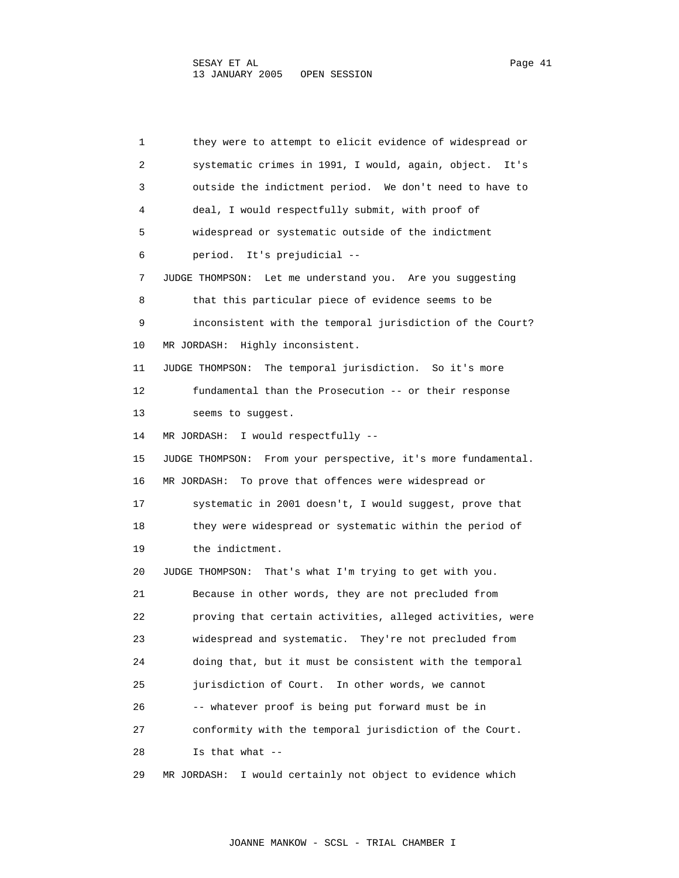1 they were to attempt to elicit evidence of widespread or 2 systematic crimes in 1991, I would, again, object. It's 3 outside the indictment period. We don't need to have to 4 deal, I would respectfully submit, with proof of 5 widespread or systematic outside of the indictment 6 period. It's prejudicial -- 7 JUDGE THOMPSON: Let me understand you. Are you suggesting 8 that this particular piece of evidence seems to be 9 inconsistent with the temporal jurisdiction of the Court? 10 MR JORDASH: Highly inconsistent. 11 JUDGE THOMPSON: The temporal jurisdiction. So it's more 12 fundamental than the Prosecution -- or their response 13 seems to suggest. 14 MR JORDASH: I would respectfully -- 15 JUDGE THOMPSON: From your perspective, it's more fundamental. 16 MR JORDASH: To prove that offences were widespread or 17 systematic in 2001 doesn't, I would suggest, prove that 18 they were widespread or systematic within the period of 19 the indictment. 20 JUDGE THOMPSON: That's what I'm trying to get with you. 21 Because in other words, they are not precluded from 22 proving that certain activities, alleged activities, were 23 widespread and systematic. They're not precluded from 24 doing that, but it must be consistent with the temporal 25 jurisdiction of Court. In other words, we cannot 26 -- whatever proof is being put forward must be in 27 conformity with the temporal jurisdiction of the Court. 28 Is that what -- 29 MR JORDASH: I would certainly not object to evidence which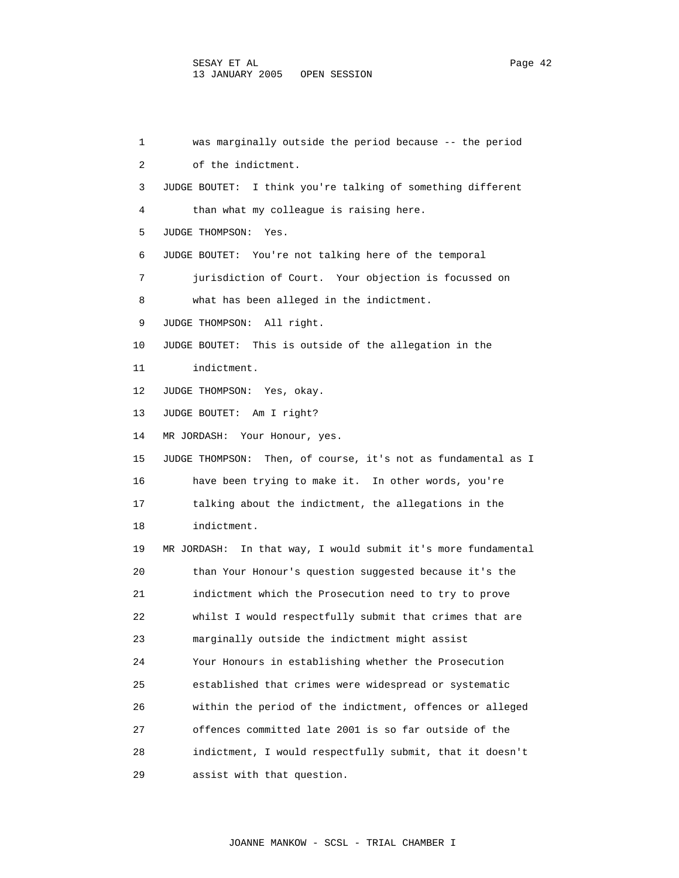1 was marginally outside the period because -- the period 2 of the indictment. 3 JUDGE BOUTET: I think you're talking of something different 4 than what my colleague is raising here. 5 JUDGE THOMPSON: Yes. 6 JUDGE BOUTET: You're not talking here of the temporal 7 jurisdiction of Court. Your objection is focussed on 8 what has been alleged in the indictment. 9 JUDGE THOMPSON: All right. 10 JUDGE BOUTET: This is outside of the allegation in the 11 indictment. 12 JUDGE THOMPSON: Yes, okay. 13 JUDGE BOUTET: Am I right? 14 MR JORDASH: Your Honour, yes. 15 JUDGE THOMPSON: Then, of course, it's not as fundamental as I 16 have been trying to make it. In other words, you're 17 talking about the indictment, the allegations in the 18 indictment. 19 MR JORDASH: In that way, I would submit it's more fundamental 20 than Your Honour's question suggested because it's the 21 indictment which the Prosecution need to try to prove 22 whilst I would respectfully submit that crimes that are 23 marginally outside the indictment might assist 24 Your Honours in establishing whether the Prosecution 25 established that crimes were widespread or systematic 26 within the period of the indictment, offences or alleged 27 offences committed late 2001 is so far outside of the 28 indictment, I would respectfully submit, that it doesn't 29 assist with that question.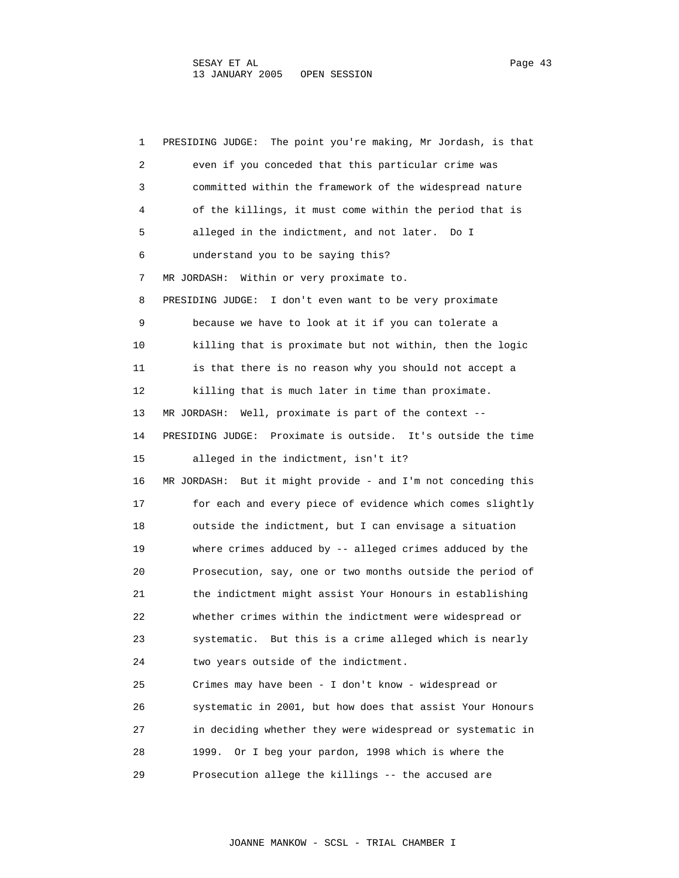1 PRESIDING JUDGE: The point you're making, Mr Jordash, is that 2 even if you conceded that this particular crime was 3 committed within the framework of the widespread nature 4 of the killings, it must come within the period that is 5 alleged in the indictment, and not later. Do I 6 understand you to be saying this? 7 MR JORDASH: Within or very proximate to. 8 PRESIDING JUDGE: I don't even want to be very proximate 9 because we have to look at it if you can tolerate a 10 killing that is proximate but not within, then the logic 11 is that there is no reason why you should not accept a 12 killing that is much later in time than proximate. 13 MR JORDASH: Well, proximate is part of the context -- 14 PRESIDING JUDGE: Proximate is outside. It's outside the time 15 alleged in the indictment, isn't it? 16 MR JORDASH: But it might provide - and I'm not conceding this 17 for each and every piece of evidence which comes slightly 18 outside the indictment, but I can envisage a situation 19 where crimes adduced by -- alleged crimes adduced by the 20 Prosecution, say, one or two months outside the period of 21 the indictment might assist Your Honours in establishing 22 whether crimes within the indictment were widespread or 23 systematic. But this is a crime alleged which is nearly 24 two years outside of the indictment. 25 Crimes may have been - I don't know - widespread or 26 systematic in 2001, but how does that assist Your Honours 27 in deciding whether they were widespread or systematic in 28 1999. Or I beg your pardon, 1998 which is where the 29 Prosecution allege the killings -- the accused are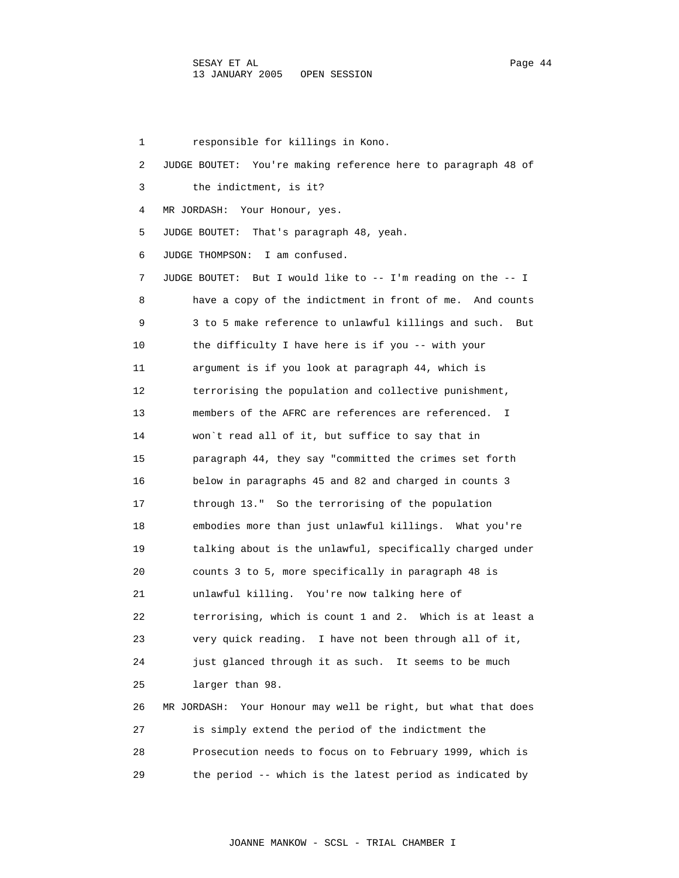1 responsible for killings in Kono. 2 JUDGE BOUTET: You're making reference here to paragraph 48 of 3 the indictment, is it? 4 MR JORDASH: Your Honour, yes. 5 JUDGE BOUTET: That's paragraph 48, yeah. 6 JUDGE THOMPSON: I am confused. 7 JUDGE BOUTET: But I would like to -- I'm reading on the -- I 8 have a copy of the indictment in front of me. And counts 9 3 to 5 make reference to unlawful killings and such. But 10 the difficulty I have here is if you -- with your 11 argument is if you look at paragraph 44, which is 12 terrorising the population and collective punishment, 13 members of the AFRC are references are referenced. I 14 won`t read all of it, but suffice to say that in 15 paragraph 44, they say "committed the crimes set forth 16 below in paragraphs 45 and 82 and charged in counts 3 17 through 13." So the terrorising of the population 18 embodies more than just unlawful killings. What you're 19 talking about is the unlawful, specifically charged under 20 counts 3 to 5, more specifically in paragraph 48 is 21 unlawful killing. You're now talking here of 22 terrorising, which is count 1 and 2. Which is at least a 23 very quick reading. I have not been through all of it, 24 just glanced through it as such. It seems to be much 25 larger than 98. 26 MR JORDASH: Your Honour may well be right, but what that does 27 is simply extend the period of the indictment the 28 Prosecution needs to focus on to February 1999, which is 29 the period -- which is the latest period as indicated by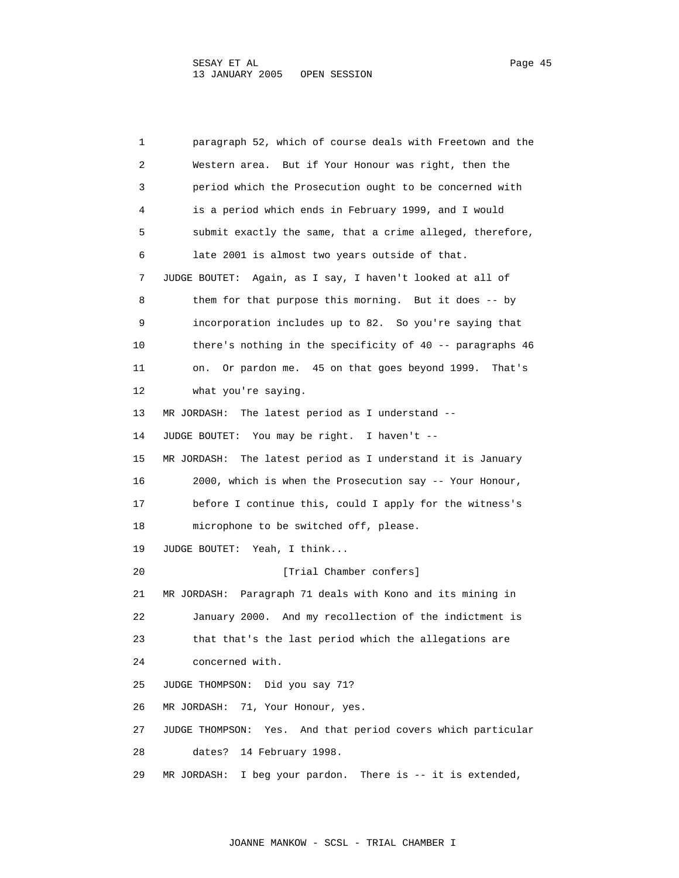1 paragraph 52, which of course deals with Freetown and the 2 Western area. But if Your Honour was right, then the 3 period which the Prosecution ought to be concerned with 4 is a period which ends in February 1999, and I would 5 submit exactly the same, that a crime alleged, therefore, 6 late 2001 is almost two years outside of that. 7 JUDGE BOUTET: Again, as I say, I haven't looked at all of 8 them for that purpose this morning. But it does -- by 9 incorporation includes up to 82. So you're saying that 10 there's nothing in the specificity of 40 -- paragraphs 46 11 on. Or pardon me. 45 on that goes beyond 1999. That's 12 what you're saying. 13 MR JORDASH: The latest period as I understand -- 14 JUDGE BOUTET: You may be right. I haven't -- 15 MR JORDASH: The latest period as I understand it is January 16 2000, which is when the Prosecution say -- Your Honour, 17 before I continue this, could I apply for the witness's 18 microphone to be switched off, please. 19 JUDGE BOUTET: Yeah, I think... 20 **I** [Trial Chamber confers] 21 MR JORDASH: Paragraph 71 deals with Kono and its mining in 22 January 2000. And my recollection of the indictment is 23 that that's the last period which the allegations are 24 concerned with. 25 JUDGE THOMPSON: Did you say 71? 26 MR JORDASH: 71, Your Honour, yes. 27 JUDGE THOMPSON: Yes. And that period covers which particular 28 dates? 14 February 1998. 29 MR JORDASH: I beg your pardon. There is -- it is extended,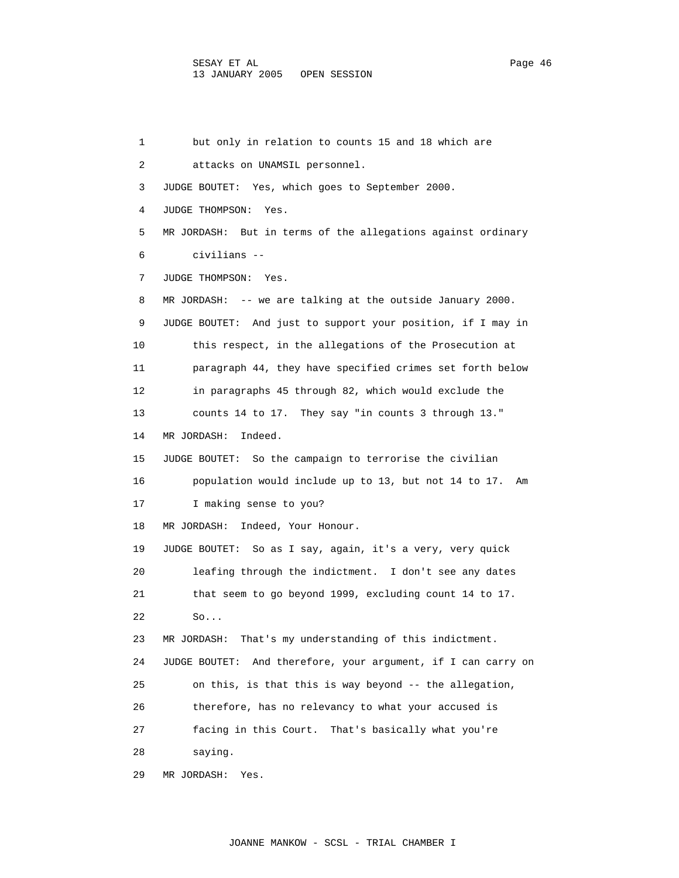1 but only in relation to counts 15 and 18 which are 2 attacks on UNAMSIL personnel. 3 JUDGE BOUTET: Yes, which goes to September 2000. 4 JUDGE THOMPSON: Yes. 5 MR JORDASH: But in terms of the allegations against ordinary 6 civilians -- 7 JUDGE THOMPSON: Yes. 8 MR JORDASH: -- we are talking at the outside January 2000. 9 JUDGE BOUTET: And just to support your position, if I may in 10 this respect, in the allegations of the Prosecution at 11 paragraph 44, they have specified crimes set forth below 12 in paragraphs 45 through 82, which would exclude the 13 counts 14 to 17. They say "in counts 3 through 13." 14 MR JORDASH: Indeed. 15 JUDGE BOUTET: So the campaign to terrorise the civilian 16 population would include up to 13, but not 14 to 17. Am 17 I making sense to you? 18 MR JORDASH: Indeed, Your Honour. 19 JUDGE BOUTET: So as I say, again, it's a very, very quick 20 leafing through the indictment. I don't see any dates 21 that seem to go beyond 1999, excluding count 14 to 17. 22 So... 23 MR JORDASH: That's my understanding of this indictment. 24 JUDGE BOUTET: And therefore, your argument, if I can carry on 25 on this, is that this is way beyond -- the allegation, 26 therefore, has no relevancy to what your accused is 27 facing in this Court. That's basically what you're 28 saying. 29 MR JORDASH: Yes.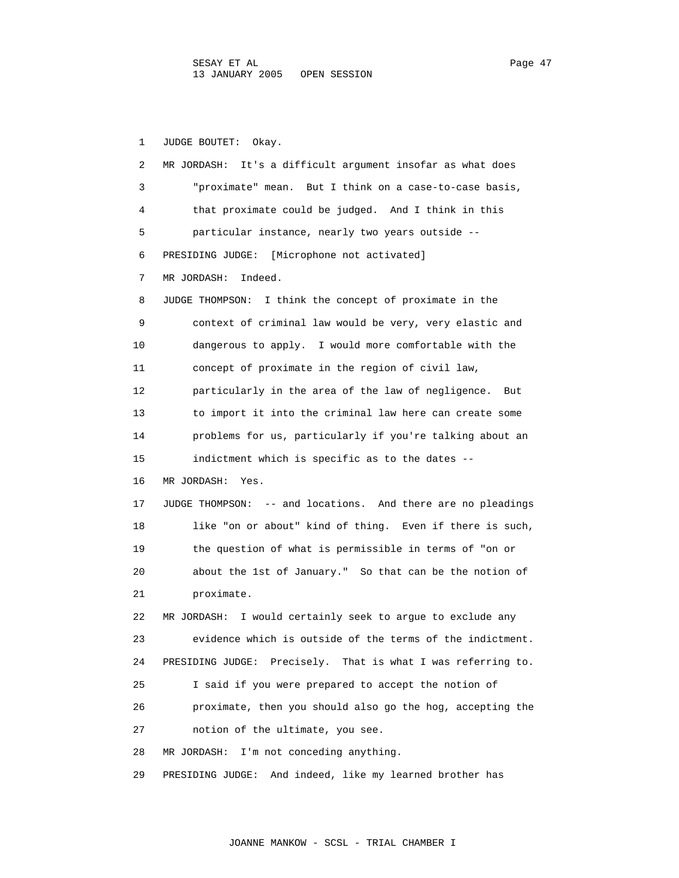1 JUDGE BOUTET: Okay. 2 MR JORDASH: It's a difficult argument insofar as what does 3 "proximate" mean. But I think on a case-to-case basis, 4 that proximate could be judged. And I think in this 5 particular instance, nearly two years outside -- 6 PRESIDING JUDGE: [Microphone not activated] 7 MR JORDASH: Indeed. 8 JUDGE THOMPSON: I think the concept of proximate in the 9 context of criminal law would be very, very elastic and 10 dangerous to apply. I would more comfortable with the 11 concept of proximate in the region of civil law, 12 particularly in the area of the law of negligence. But 13 to import it into the criminal law here can create some 14 problems for us, particularly if you're talking about an 15 indictment which is specific as to the dates -- 16 MR JORDASH: Yes. 17 JUDGE THOMPSON: -- and locations. And there are no pleadings 18 like "on or about" kind of thing. Even if there is such, 19 the question of what is permissible in terms of "on or 20 about the 1st of January." So that can be the notion of 21 proximate. 22 MR JORDASH: I would certainly seek to argue to exclude any 23 evidence which is outside of the terms of the indictment. 24 PRESIDING JUDGE: Precisely. That is what I was referring to. 25 I said if you were prepared to accept the notion of 26 proximate, then you should also go the hog, accepting the 27 notion of the ultimate, you see. 28 MR JORDASH: I'm not conceding anything. 29 PRESIDING JUDGE: And indeed, like my learned brother has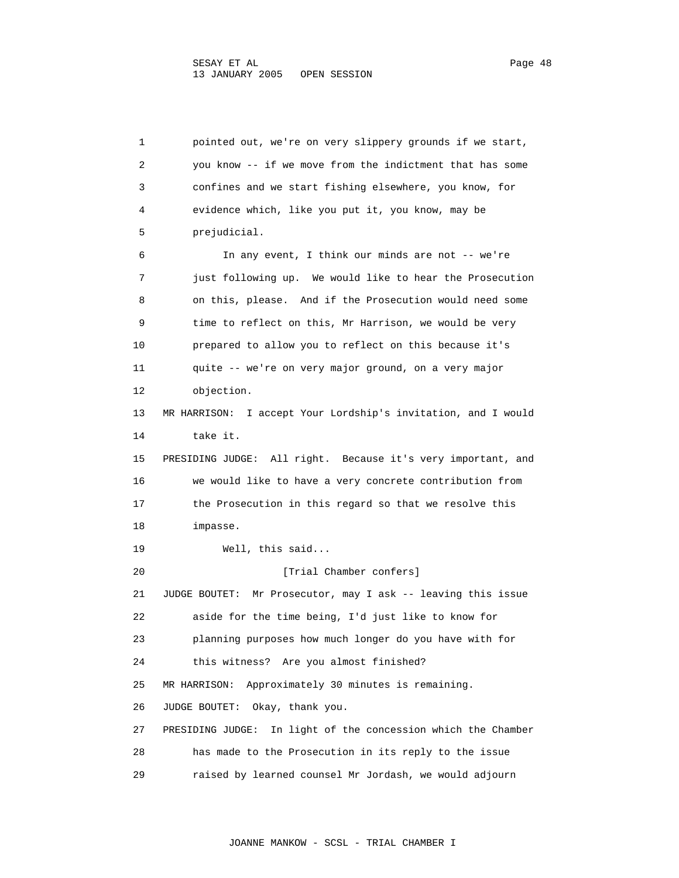1 pointed out, we're on very slippery grounds if we start, 2 you know -- if we move from the indictment that has some 3 confines and we start fishing elsewhere, you know, for 4 evidence which, like you put it, you know, may be 5 prejudicial. 6 In any event, I think our minds are not -- we're 7 just following up. We would like to hear the Prosecution 8 on this, please. And if the Prosecution would need some 9 time to reflect on this, Mr Harrison, we would be very 10 prepared to allow you to reflect on this because it's 11 quite -- we're on very major ground, on a very major 12 objection. 13 MR HARRISON: I accept Your Lordship's invitation, and I would 14 take it. 15 PRESIDING JUDGE: All right. Because it's very important, and 16 we would like to have a very concrete contribution from 17 the Prosecution in this regard so that we resolve this 18 impasse. 19 Well, this said... 20 **I** [Trial Chamber confers] 21 JUDGE BOUTET: Mr Prosecutor, may I ask -- leaving this issue 22 aside for the time being, I'd just like to know for 23 planning purposes how much longer do you have with for 24 this witness? Are you almost finished? 25 MR HARRISON: Approximately 30 minutes is remaining. 26 JUDGE BOUTET: Okay, thank you. 27 PRESIDING JUDGE: In light of the concession which the Chamber 28 has made to the Prosecution in its reply to the issue 29 raised by learned counsel Mr Jordash, we would adjourn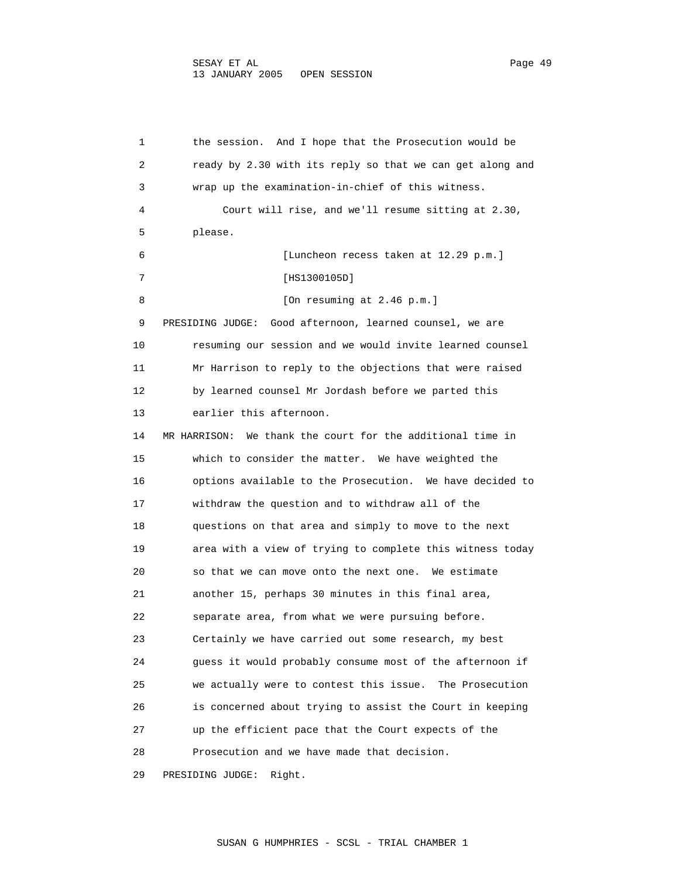1 the session. And I hope that the Prosecution would be 2 ready by 2.30 with its reply so that we can get along and 3 wrap up the examination-in-chief of this witness. 4 Court will rise, and we'll resume sitting at 2.30, 5 please. 6 [Luncheon recess taken at 12.29 p.m.] 7 [HS1300105D] 8 [On resuming at 2.46 p.m.] 9 PRESIDING JUDGE: Good afternoon, learned counsel, we are 10 resuming our session and we would invite learned counsel 11 Mr Harrison to reply to the objections that were raised 12 by learned counsel Mr Jordash before we parted this 13 earlier this afternoon. 14 MR HARRISON: We thank the court for the additional time in 15 which to consider the matter. We have weighted the 16 options available to the Prosecution. We have decided to 17 withdraw the question and to withdraw all of the 18 questions on that area and simply to move to the next 19 area with a view of trying to complete this witness today 20 so that we can move onto the next one. We estimate 21 another 15, perhaps 30 minutes in this final area, 22 separate area, from what we were pursuing before. 23 Certainly we have carried out some research, my best 24 guess it would probably consume most of the afternoon if 25 we actually were to contest this issue. The Prosecution 26 is concerned about trying to assist the Court in keeping 27 up the efficient pace that the Court expects of the 28 Prosecution and we have made that decision.

29 PRESIDING JUDGE: Right.

SUSAN G HUMPHRIES - SCSL - TRIAL CHAMBER 1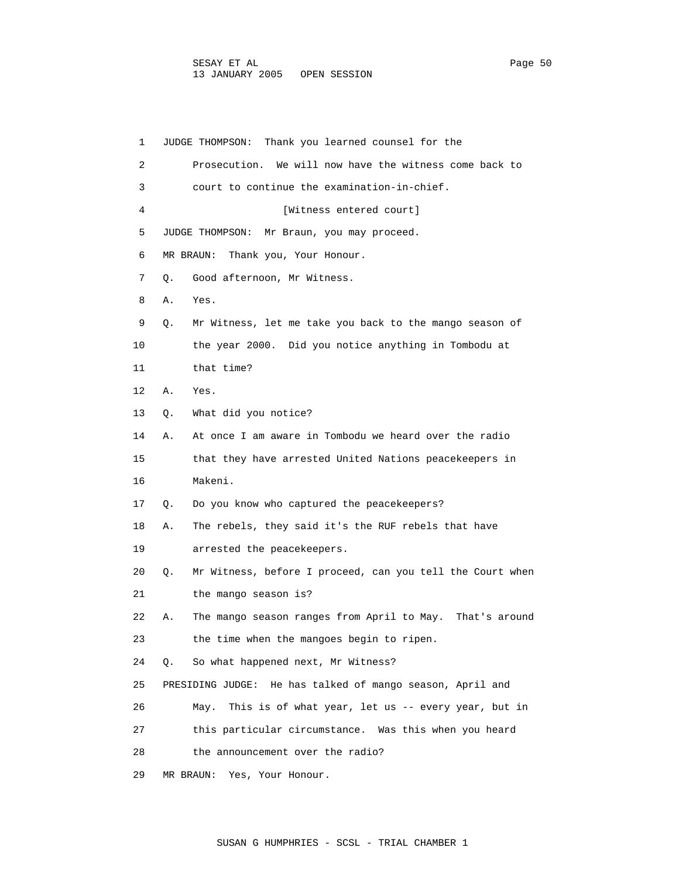1 JUDGE THOMPSON: Thank you learned counsel for the 2 Prosecution. We will now have the witness come back to 3 court to continue the examination-in-chief. 4 [Witness entered court] 5 JUDGE THOMPSON: Mr Braun, you may proceed. 6 MR BRAUN: Thank you, Your Honour. 7 Q. Good afternoon, Mr Witness. 8 A. Yes. 9 Q. Mr Witness, let me take you back to the mango season of 10 the year 2000. Did you notice anything in Tombodu at 11 that time? 12 A. Yes. 13 Q. What did you notice? 14 A. At once I am aware in Tombodu we heard over the radio 15 that they have arrested United Nations peacekeepers in 16 Makeni. 17 Q. Do you know who captured the peacekeepers? 18 A. The rebels, they said it's the RUF rebels that have 19 arrested the peacekeepers. 20 Q. Mr Witness, before I proceed, can you tell the Court when 21 the mango season is? 22 A. The mango season ranges from April to May. That's around 23 the time when the mangoes begin to ripen. 24 Q. So what happened next, Mr Witness? 25 PRESIDING JUDGE: He has talked of mango season, April and 26 May. This is of what year, let us -- every year, but in 27 this particular circumstance. Was this when you heard 28 the announcement over the radio? 29 MR BRAUN: Yes, Your Honour.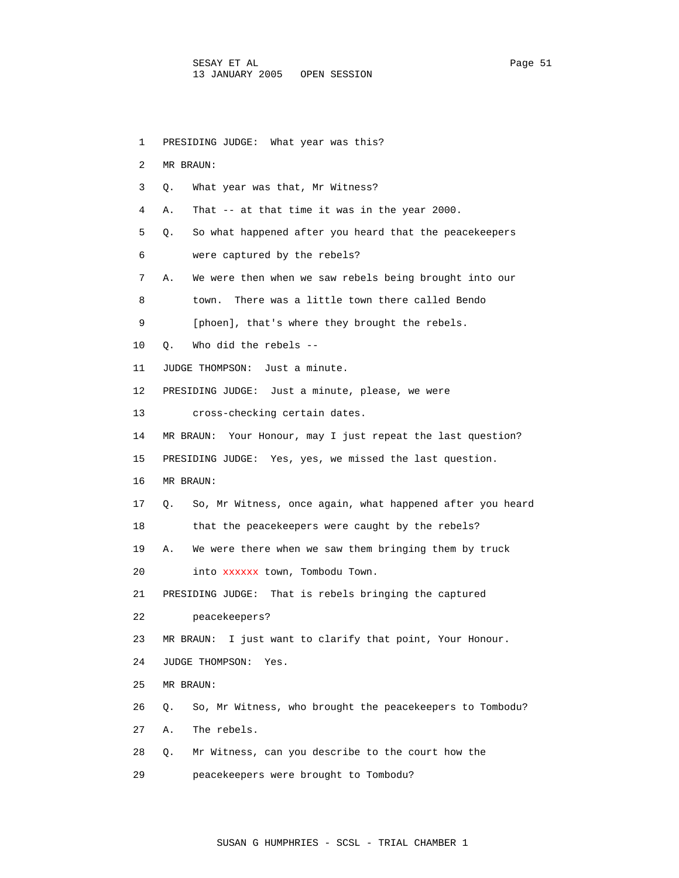1 PRESIDING JUDGE: What year was this? 2 MR BRAUN: 3 Q. What year was that, Mr Witness? 4 A. That -- at that time it was in the year 2000. 5 Q. So what happened after you heard that the peacekeepers 6 were captured by the rebels? 7 A. We were then when we saw rebels being brought into our 8 town. There was a little town there called Bendo 9 [phoen], that's where they brought the rebels. 10 Q. Who did the rebels -- 11 JUDGE THOMPSON: Just a minute. 12 PRESIDING JUDGE: Just a minute, please, we were 13 cross-checking certain dates. 14 MR BRAUN: Your Honour, may I just repeat the last question? 15 PRESIDING JUDGE: Yes, yes, we missed the last question. 16 MR BRAUN: 17 Q. So, Mr Witness, once again, what happened after you heard 18 that the peacekeepers were caught by the rebels? 19 A. We were there when we saw them bringing them by truck 20 into xxxxxx town, Tombodu Town. 21 PRESIDING JUDGE: That is rebels bringing the captured 22 peacekeepers? 23 MR BRAUN: I just want to clarify that point, Your Honour. 24 JUDGE THOMPSON: Yes. 25 MR BRAUN: 26 Q. So, Mr Witness, who brought the peacekeepers to Tombodu? 27 A. The rebels. 28 Q. Mr Witness, can you describe to the court how the 29 peacekeepers were brought to Tombodu?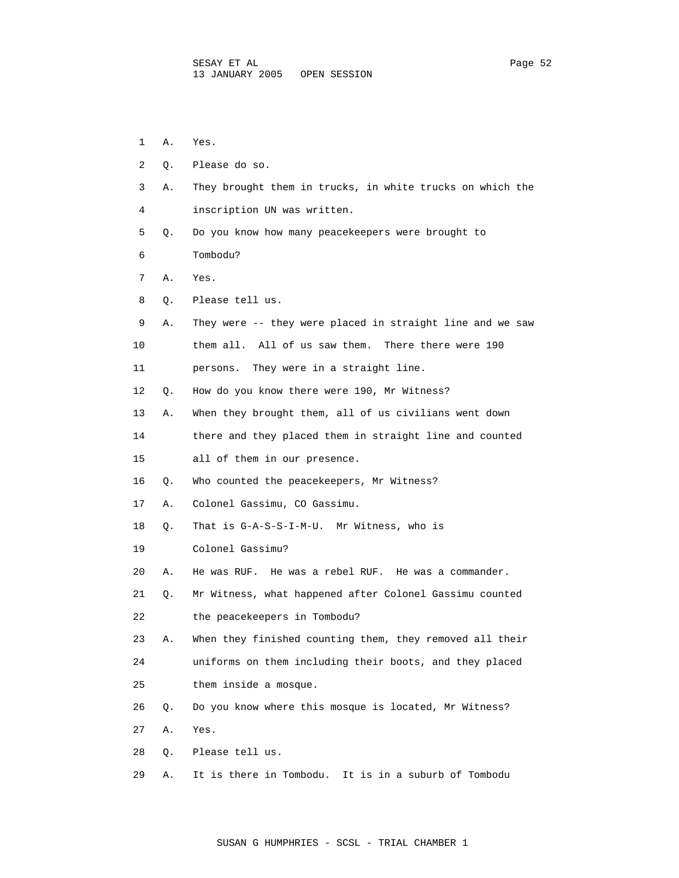| 1  | Α. | Yes.                                                      |
|----|----|-----------------------------------------------------------|
| 2  | Q. | Please do so.                                             |
| 3  | Α. | They brought them in trucks, in white trucks on which the |
| 4  |    | inscription UN was written.                               |
| 5  | Q. | Do you know how many peacekeepers were brought to         |
| 6  |    | Tombodu?                                                  |
| 7  | Α. | Yes.                                                      |
| 8  | Q. | Please tell us.                                           |
| 9  | Α. | They were -- they were placed in straight line and we saw |
| 10 |    | All of us saw them.<br>them all.<br>There there were 190  |
| 11 |    | They were in a straight line.<br>persons.                 |
| 12 | Q. | How do you know there were 190, Mr Witness?               |
| 13 | Α. | When they brought them, all of us civilians went down     |
| 14 |    | there and they placed them in straight line and counted   |
| 15 |    | all of them in our presence.                              |
| 16 | Q. | Who counted the peacekeepers, Mr Witness?                 |
| 17 | Α. | Colonel Gassimu, CO Gassimu.                              |
| 18 | Q. | That is G-A-S-S-I-M-U. Mr Witness, who is                 |
| 19 |    | Colonel Gassimu?                                          |
| 20 | Α. | He was RUF. He was a rebel RUF. He was a commander.       |
| 21 | Q. | Mr Witness, what happened after Colonel Gassimu counted   |
| 22 |    | the peacekeepers in Tombodu?                              |
| 23 | Α. | When they finished counting them, they removed all their  |
| 24 |    | uniforms on them including their boots, and they placed   |
| 25 |    | them inside a mosque.                                     |
| 26 | Q. | Do you know where this mosque is located, Mr Witness?     |
| 27 | Α. | Yes.                                                      |
| 28 | Q. | Please tell us.                                           |
| 29 | Α. | It is in a suburb of Tombodu<br>It is there in Tombodu.   |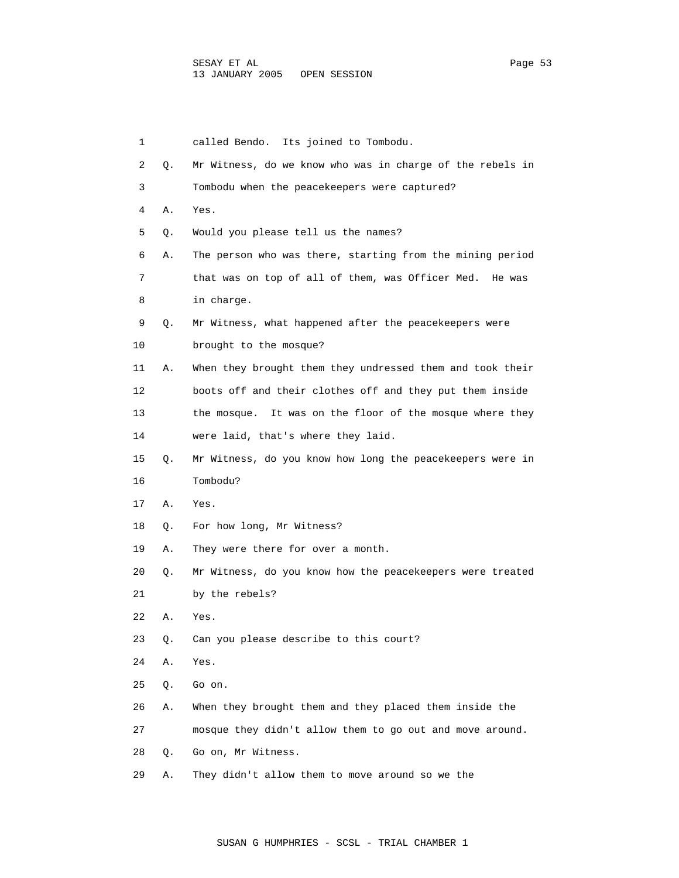1 called Bendo. Its joined to Tombodu. 2 Q. Mr Witness, do we know who was in charge of the rebels in 3 Tombodu when the peacekeepers were captured? 4 A. Yes. 5 Q. Would you please tell us the names? 7 that was on top of all of them, was Officer Med. He was 8 in charge. 9 Q. Mr Witness, what happened after the peacekeepers were 10 brought to the mosque? 11 A. When they brought them they undressed them and took their 12 boots off and their clothes off and they put them inside 14 were laid, that's where they laid. 16 Tombodu? 17 A. Yes. 18 Q. For how long, Mr Witness? 19 A. They were there for over a month. 21 by the rebels? 22 A. Yes. 23 Q. Can you please describe to this court? 24 A. Yes. 25 Q. Go on. 26 A. When they brought them and they placed them inside the 27 mosque they didn't allow them to go out and move around. 28 Q. Go on, Mr Witness.

29 A. They didn't allow them to move around so we the

6 A. The person who was there, starting from the mining period

13 the mosque. It was on the floor of the mosque where they

- 15 Q. Mr Witness, do you know how long the peacekeepers were in
- 20 Q. Mr Witness, do you know how the peacekeepers were treated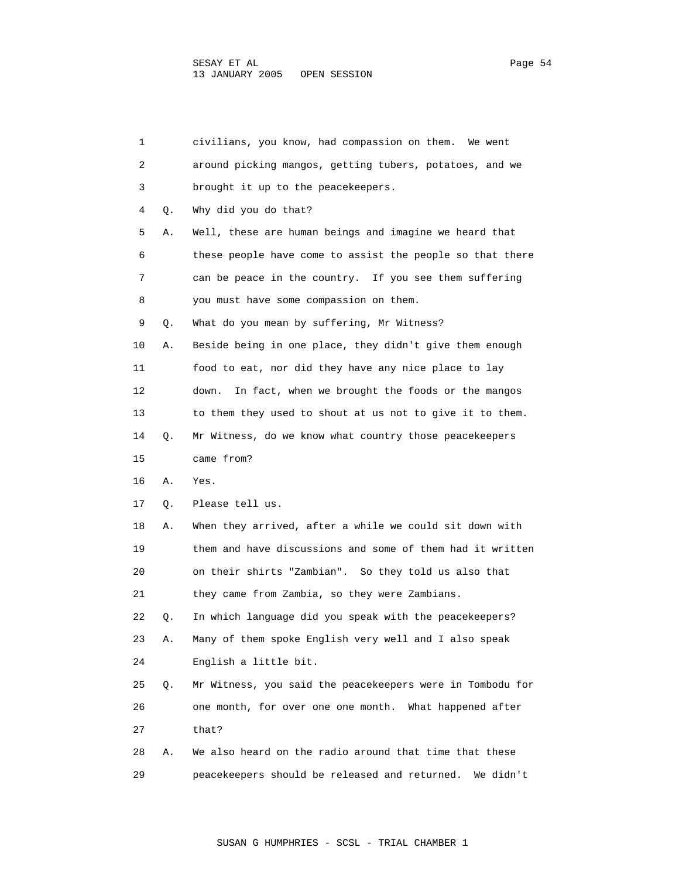| 1  |    | civilians, you know, had compassion on them.<br>We went    |
|----|----|------------------------------------------------------------|
| 2  |    | around picking mangos, getting tubers, potatoes, and we    |
| 3  |    | brought it up to the peacekeepers.                         |
| 4  | Q. | Why did you do that?                                       |
| 5  | Α. | Well, these are human beings and imagine we heard that     |
| 6  |    | these people have come to assist the people so that there  |
| 7  |    | can be peace in the country. If you see them suffering     |
| 8  |    | you must have some compassion on them.                     |
| 9  | Q. | What do you mean by suffering, Mr Witness?                 |
| 10 | Α. | Beside being in one place, they didn't give them enough    |
| 11 |    | food to eat, nor did they have any nice place to lay       |
| 12 |    | In fact, when we brought the foods or the mangos<br>down.  |
| 13 |    | to them they used to shout at us not to give it to them.   |
| 14 | Q. | Mr Witness, do we know what country those peacekeepers     |
| 15 |    | came from?                                                 |
| 16 | Α. | Yes.                                                       |
| 17 | Q. | Please tell us.                                            |
| 18 | Α. | When they arrived, after a while we could sit down with    |
| 19 |    | them and have discussions and some of them had it written  |
| 20 |    | on their shirts "Zambian". So they told us also that       |
| 21 |    | they came from Zambia, so they were Zambians.              |
| 22 | Q. | In which language did you speak with the peacekeepers?     |
| 23 | Α. | Many of them spoke English very well and I also speak      |
| 24 |    | English a little bit.                                      |
| 25 | Q. | Mr Witness, you said the peacekeepers were in Tombodu for  |
| 26 |    | one month, for over one one month. What happened after     |
| 27 |    | that?                                                      |
| 28 | Α. | We also heard on the radio around that time that these     |
| 29 |    | peacekeepers should be released and returned.<br>We didn't |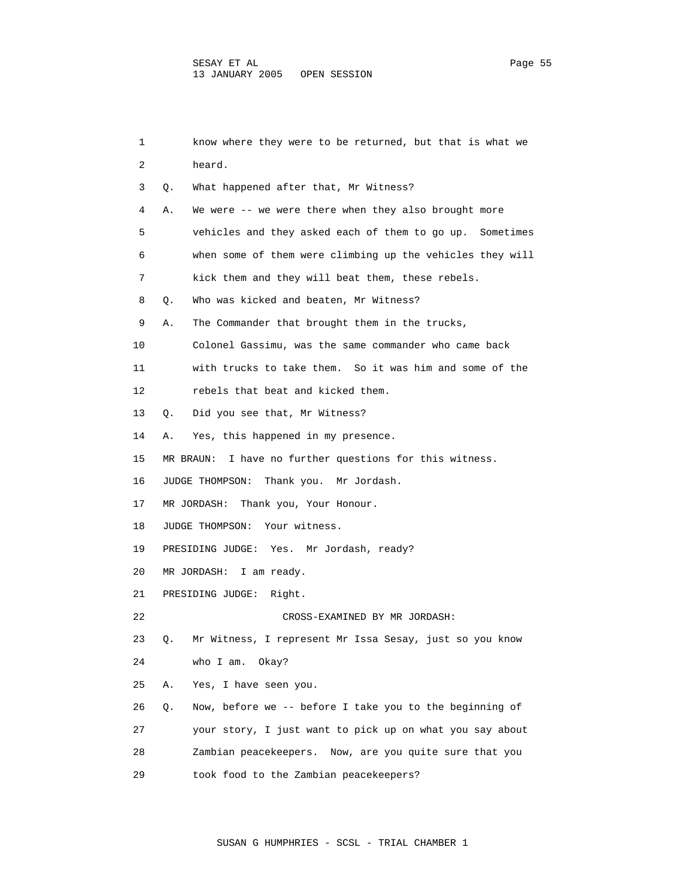| 1  | know where they were to be returned, but that is what we      |
|----|---------------------------------------------------------------|
| 2  | heard.                                                        |
| 3  | What happened after that, Mr Witness?<br>Q.                   |
| 4  | We were $--$ we were there when they also brought more<br>Α.  |
| 5  | vehicles and they asked each of them to go up. Sometimes      |
| 6  | when some of them were climbing up the vehicles they will     |
| 7  | kick them and they will beat them, these rebels.              |
| 8  | Who was kicked and beaten, Mr Witness?<br>Q.                  |
| 9  | The Commander that brought them in the trucks,<br>Α.          |
| 10 | Colonel Gassimu, was the same commander who came back         |
| 11 | with trucks to take them. So it was him and some of the       |
| 12 | rebels that beat and kicked them.                             |
| 13 | Did you see that, Mr Witness?<br>Q.                           |
| 14 | Yes, this happened in my presence.<br>Α.                      |
| 15 | MR BRAUN: I have no further questions for this witness.       |
| 16 | JUDGE THOMPSON:<br>Thank you. Mr Jordash.                     |
| 17 | MR JORDASH: Thank you, Your Honour.                           |
| 18 | Your witness.<br>JUDGE THOMPSON:                              |
| 19 | Yes. Mr Jordash, ready?<br>PRESIDING JUDGE:                   |
| 20 | MR JORDASH:<br>I am ready.                                    |
| 21 | PRESIDING JUDGE:<br>Right.                                    |
| 22 | CROSS-EXAMINED BY MR JORDASH:                                 |
| 23 | Mr Witness, I represent Mr Issa Sesay, just so you know<br>Q. |
| 24 | who I am.<br>Okay?                                            |
| 25 | Α.<br>Yes, I have seen you.                                   |
| 26 | Now, before we -- before I take you to the beginning of<br>Q. |
| 27 | your story, I just want to pick up on what you say about      |
| 28 | Zambian peacekeepers. Now, are you quite sure that you        |
| 29 | took food to the Zambian peacekeepers?                        |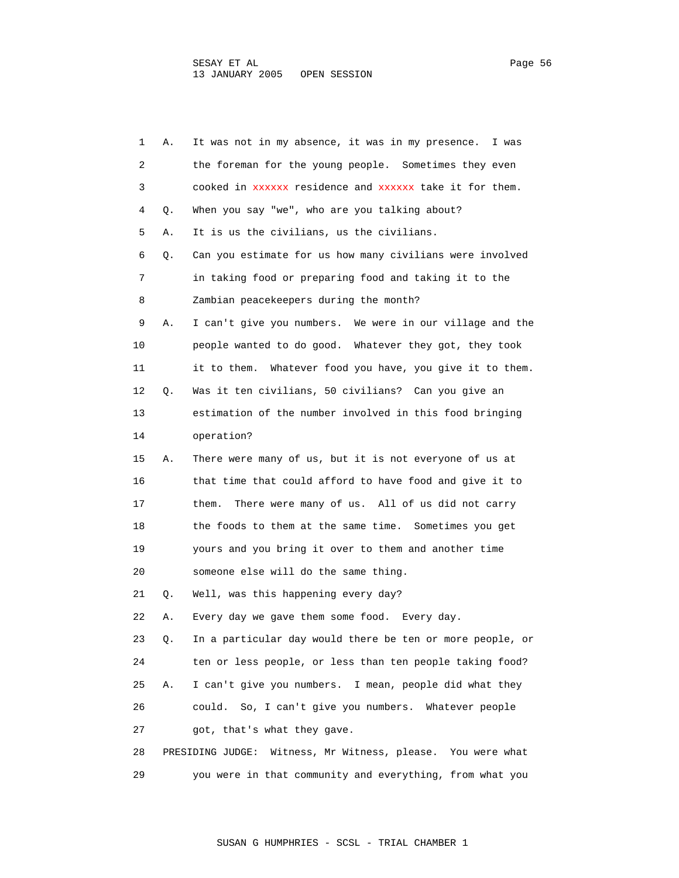1 A. It was not in my absence, it was in my presence. I was 2 the foreman for the young people. Sometimes they even 3 cooked in xxxxxx residence and xxxxxx take it for them. 4 Q. When you say "we", who are you talking about? 5 A. It is us the civilians, us the civilians. 6 Q. Can you estimate for us how many civilians were involved 7 in taking food or preparing food and taking it to the 8 Zambian peacekeepers during the month? 9 A. I can't give you numbers. We were in our village and the 10 people wanted to do good. Whatever they got, they took 11 it to them. Whatever food you have, you give it to them. 12 Q. Was it ten civilians, 50 civilians? Can you give an 13 estimation of the number involved in this food bringing 14 operation? 15 A. There were many of us, but it is not everyone of us at 16 that time that could afford to have food and give it to 17 them. There were many of us. All of us did not carry 18 the foods to them at the same time. Sometimes you get 19 yours and you bring it over to them and another time 20 someone else will do the same thing. 21 Q. Well, was this happening every day? 22 A. Every day we gave them some food. Every day. 23 Q. In a particular day would there be ten or more people, or 24 ten or less people, or less than ten people taking food? 25 A. I can't give you numbers. I mean, people did what they 26 could. So, I can't give you numbers. Whatever people 27 got, that's what they gave. 28 PRESIDING JUDGE: Witness, Mr Witness, please. You were what 29 you were in that community and everything, from what you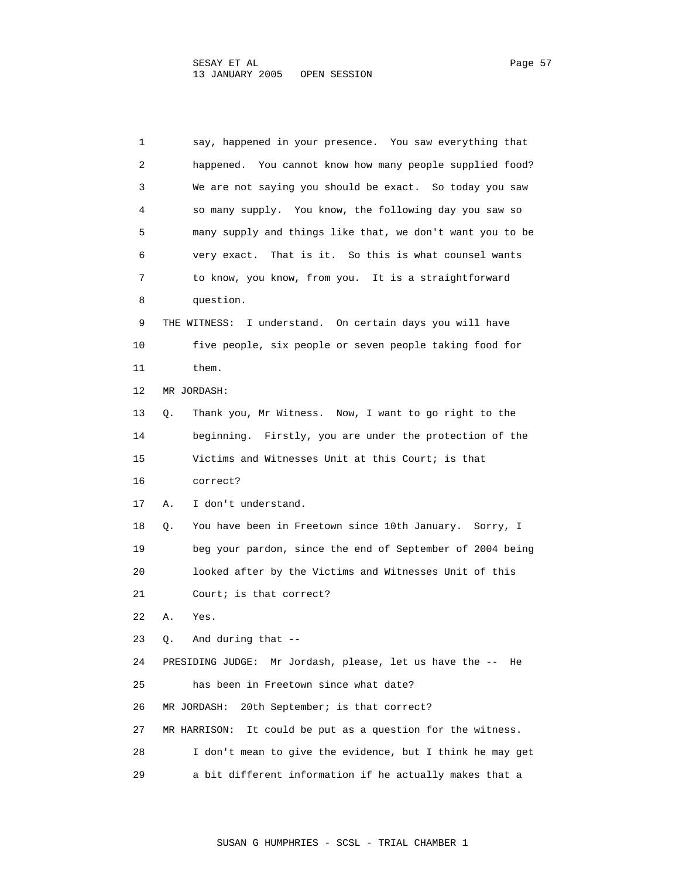1 say, happened in your presence. You saw everything that 2 happened. You cannot know how many people supplied food? 3 We are not saying you should be exact. So today you saw 4 so many supply. You know, the following day you saw so 5 many supply and things like that, we don't want you to be 6 very exact. That is it. So this is what counsel wants 7 to know, you know, from you. It is a straightforward 8 question. 9 THE WITNESS: I understand. On certain days you will have 10 five people, six people or seven people taking food for 11 them. 12 MR JORDASH: 13 Q. Thank you, Mr Witness. Now, I want to go right to the 14 beginning. Firstly, you are under the protection of the 15 Victims and Witnesses Unit at this Court; is that 16 correct? 17 A. I don't understand. 18 Q. You have been in Freetown since 10th January. Sorry, I 19 beg your pardon, since the end of September of 2004 being 20 looked after by the Victims and Witnesses Unit of this 21 Court; is that correct? 22 A. Yes. 23 Q. And during that -- 24 PRESIDING JUDGE: Mr Jordash, please, let us have the -- He 25 has been in Freetown since what date? 26 MR JORDASH: 20th September; is that correct? 27 MR HARRISON: It could be put as a question for the witness. 28 I don't mean to give the evidence, but I think he may get 29 a bit different information if he actually makes that a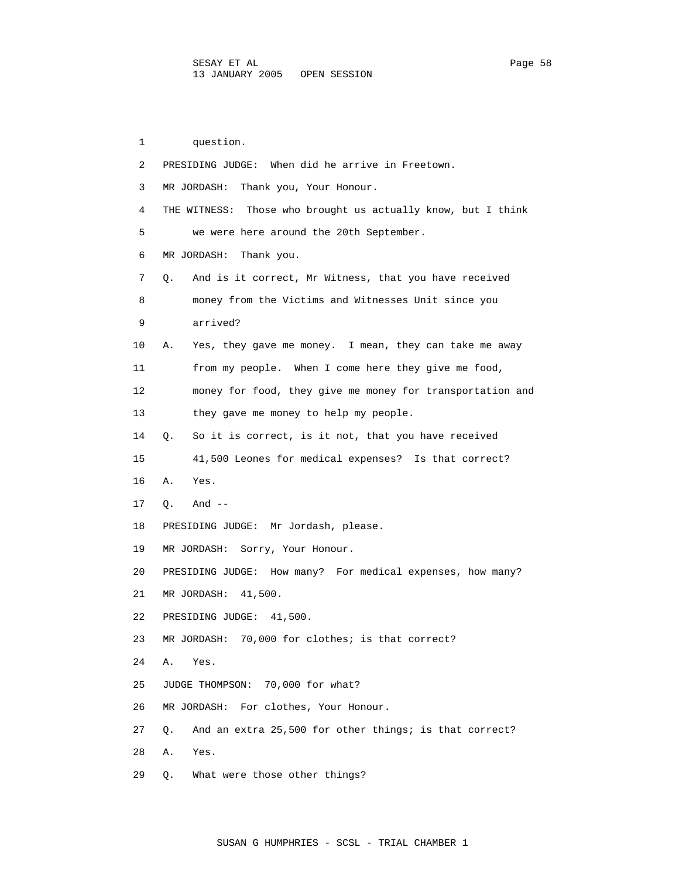1 question. 2 PRESIDING JUDGE: When did he arrive in Freetown. 3 MR JORDASH: Thank you, Your Honour. 4 THE WITNESS: Those who brought us actually know, but I think 5 we were here around the 20th September. 6 MR JORDASH: Thank you. 7 Q. And is it correct, Mr Witness, that you have received 8 money from the Victims and Witnesses Unit since you 9 arrived? 10 A. Yes, they gave me money. I mean, they can take me away 11 from my people. When I come here they give me food, 12 money for food, they give me money for transportation and 13 they gave me money to help my people. 14 Q. So it is correct, is it not, that you have received 15 41,500 Leones for medical expenses? Is that correct? 16 A. Yes. 17 Q. And -- 18 PRESIDING JUDGE: Mr Jordash, please. 19 MR JORDASH: Sorry, Your Honour. 20 PRESIDING JUDGE: How many? For medical expenses, how many? 21 MR JORDASH: 41,500. 22 PRESIDING JUDGE: 41,500. 23 MR JORDASH: 70,000 for clothes; is that correct? 24 A. Yes. 25 JUDGE THOMPSON: 70,000 for what? 26 MR JORDASH: For clothes, Your Honour. 27 Q. And an extra 25,500 for other things; is that correct? 28 A. Yes. 29 Q. What were those other things?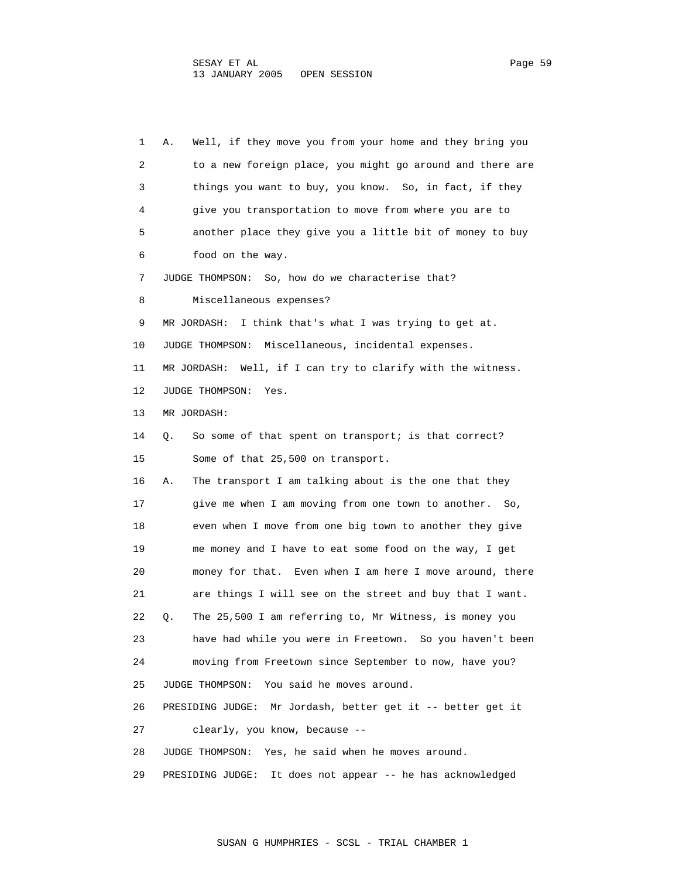1 A. Well, if they move you from your home and they bring you 2 to a new foreign place, you might go around and there are 3 things you want to buy, you know. So, in fact, if they 4 give you transportation to move from where you are to 5 another place they give you a little bit of money to buy 6 food on the way. 7 JUDGE THOMPSON: So, how do we characterise that? 8 Miscellaneous expenses? 9 MR JORDASH: I think that's what I was trying to get at. 10 JUDGE THOMPSON: Miscellaneous, incidental expenses. 11 MR JORDASH: Well, if I can try to clarify with the witness. 12 JUDGE THOMPSON: Yes. 13 MR JORDASH: 14 Q. So some of that spent on transport; is that correct? 15 Some of that 25,500 on transport. 16 A. The transport I am talking about is the one that they 17 give me when I am moving from one town to another. So, 18 even when I move from one big town to another they give 19 me money and I have to eat some food on the way, I get 20 money for that. Even when I am here I move around, there 21 are things I will see on the street and buy that I want. 22 Q. The 25,500 I am referring to, Mr Witness, is money you 23 have had while you were in Freetown. So you haven't been 24 moving from Freetown since September to now, have you? 25 JUDGE THOMPSON: You said he moves around. 26 PRESIDING JUDGE: Mr Jordash, better get it -- better get it 27 clearly, you know, because -- 28 JUDGE THOMPSON: Yes, he said when he moves around. 29 PRESIDING JUDGE: It does not appear -- he has acknowledged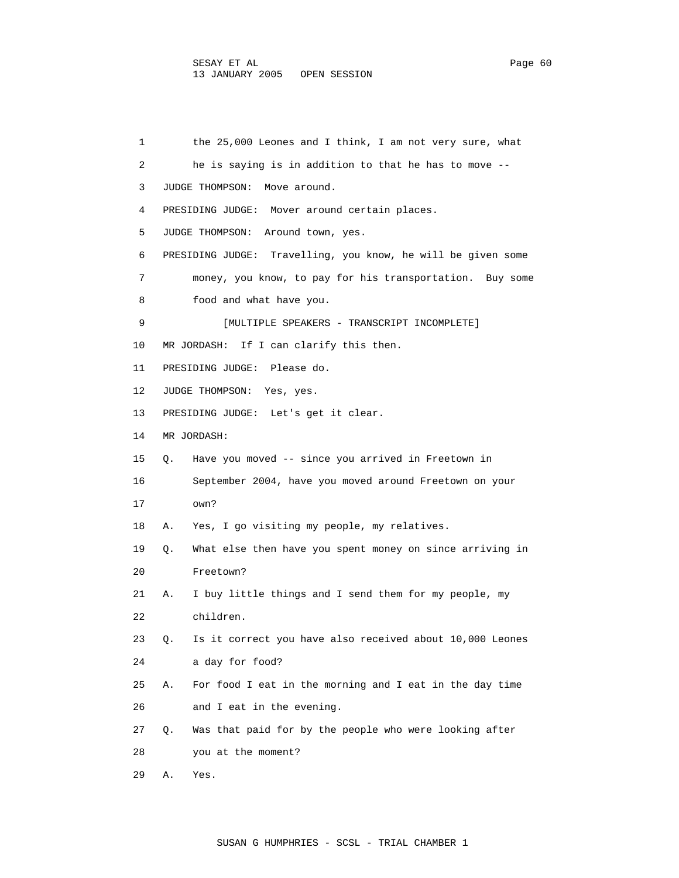1 the 25,000 Leones and I think, I am not very sure, what 2 he is saying is in addition to that he has to move -- 3 JUDGE THOMPSON: Move around. 4 PRESIDING JUDGE: Mover around certain places. 5 JUDGE THOMPSON: Around town, yes. 6 PRESIDING JUDGE: Travelling, you know, he will be given some 7 money, you know, to pay for his transportation. Buy some 8 food and what have you. 9 [MULTIPLE SPEAKERS - TRANSCRIPT INCOMPLETE] 10 MR JORDASH: If I can clarify this then. 11 PRESIDING JUDGE: Please do. 12 JUDGE THOMPSON: Yes, yes. 13 PRESIDING JUDGE: Let's get it clear. 14 MR JORDASH: 15 Q. Have you moved -- since you arrived in Freetown in 16 September 2004, have you moved around Freetown on your 17 own? 18 A. Yes, I go visiting my people, my relatives. 19 Q. What else then have you spent money on since arriving in 20 Freetown? 21 A. I buy little things and I send them for my people, my 22 children. 23 Q. Is it correct you have also received about 10,000 Leones 24 a day for food? 25 A. For food I eat in the morning and I eat in the day time 26 and I eat in the evening. 27 Q. Was that paid for by the people who were looking after 28 you at the moment? 29 A. Yes.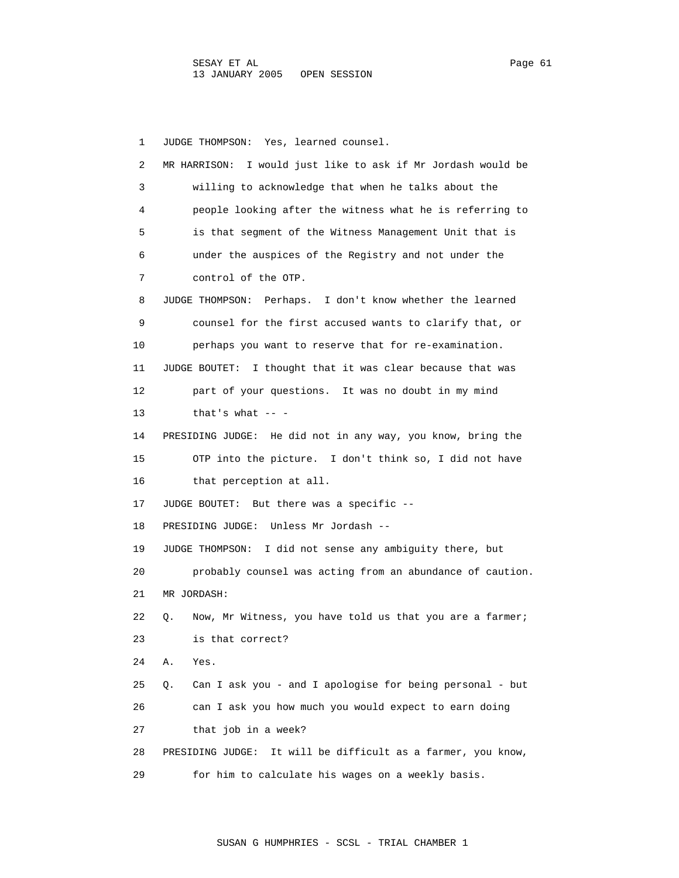1 JUDGE THOMPSON: Yes, learned counsel. 2 MR HARRISON: I would just like to ask if Mr Jordash would be 3 willing to acknowledge that when he talks about the 4 people looking after the witness what he is referring to 5 is that segment of the Witness Management Unit that is 6 under the auspices of the Registry and not under the 7 control of the OTP. 8 JUDGE THOMPSON: Perhaps. I don't know whether the learned 9 counsel for the first accused wants to clarify that, or 10 perhaps you want to reserve that for re-examination. 11 JUDGE BOUTET: I thought that it was clear because that was 12 part of your questions. It was no doubt in my mind 13 that's what  $--$  14 PRESIDING JUDGE: He did not in any way, you know, bring the 15 OTP into the picture. I don't think so, I did not have 16 that perception at all. 17 JUDGE BOUTET: But there was a specific -- 18 PRESIDING JUDGE: Unless Mr Jordash -- 19 JUDGE THOMPSON: I did not sense any ambiguity there, but 20 probably counsel was acting from an abundance of caution. 21 MR JORDASH: 22 Q. Now, Mr Witness, you have told us that you are a farmer; 23 is that correct? 24 A. Yes. 25 Q. Can I ask you - and I apologise for being personal - but 26 can I ask you how much you would expect to earn doing 27 that job in a week? 28 PRESIDING JUDGE: It will be difficult as a farmer, you know, 29 for him to calculate his wages on a weekly basis.

SUSAN G HUMPHRIES - SCSL - TRIAL CHAMBER 1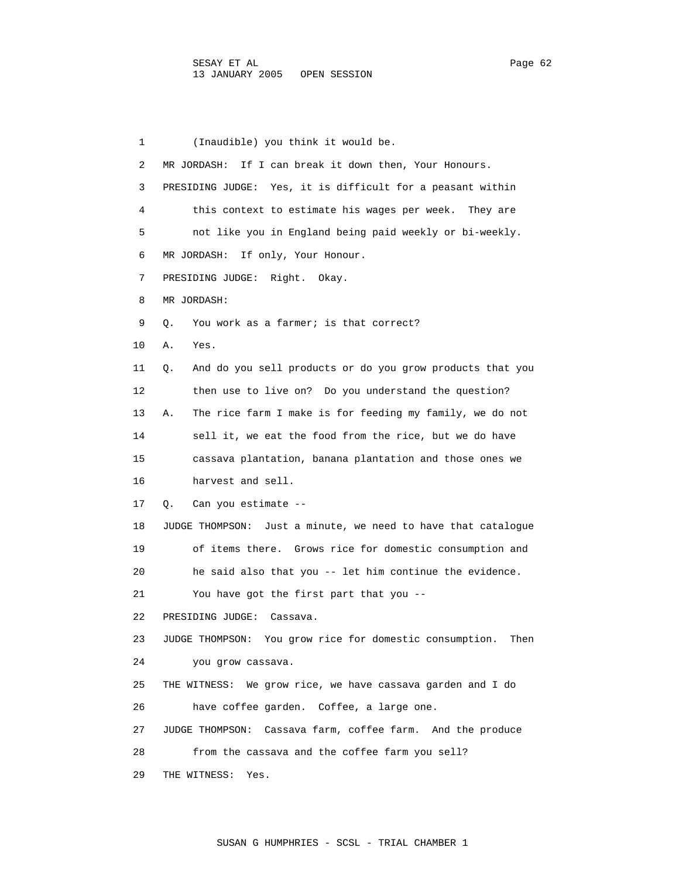1 (Inaudible) you think it would be. 2 MR JORDASH: If I can break it down then, Your Honours. 3 PRESIDING JUDGE: Yes, it is difficult for a peasant within 4 this context to estimate his wages per week. They are 5 not like you in England being paid weekly or bi-weekly. 6 MR JORDASH: If only, Your Honour. 7 PRESIDING JUDGE: Right. Okay. 8 MR JORDASH: 9 0. You work as a farmer; is that correct? 10 A. Yes. 11 Q. And do you sell products or do you grow products that you 12 then use to live on? Do you understand the question? 13 A. The rice farm I make is for feeding my family, we do not 14 sell it, we eat the food from the rice, but we do have 15 cassava plantation, banana plantation and those ones we 16 harvest and sell. 17 Q. Can you estimate -- 18 JUDGE THOMPSON: Just a minute, we need to have that catalogue 19 of items there. Grows rice for domestic consumption and 20 he said also that you -- let him continue the evidence. 21 You have got the first part that you -- 22 PRESIDING JUDGE: Cassava. 23 JUDGE THOMPSON: You grow rice for domestic consumption. Then 24 you grow cassava. 25 THE WITNESS: We grow rice, we have cassava garden and I do 26 have coffee garden. Coffee, a large one. 27 JUDGE THOMPSON: Cassava farm, coffee farm. And the produce 28 from the cassava and the coffee farm you sell? 29 THE WITNESS: Yes.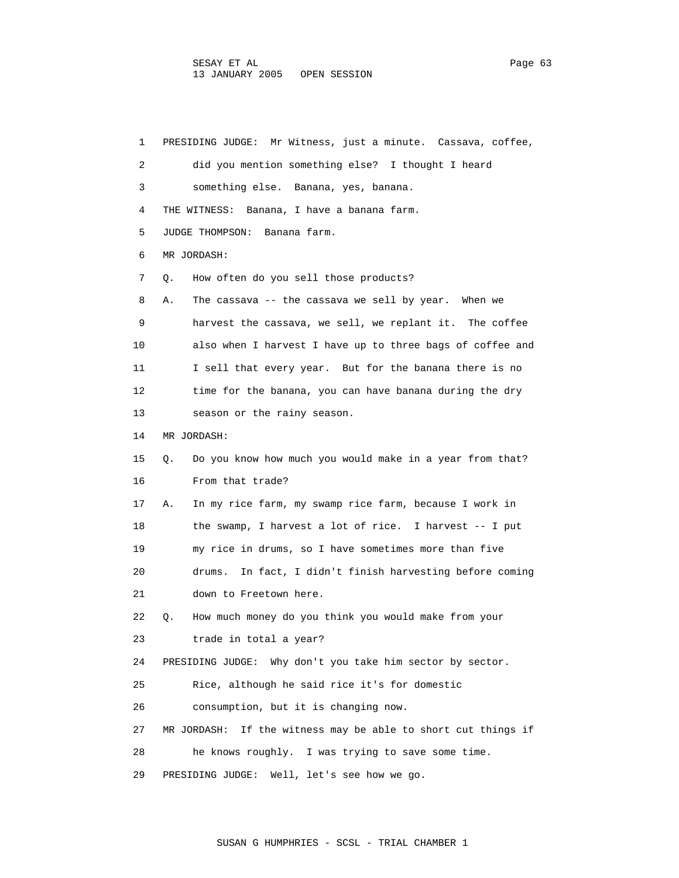1 PRESIDING JUDGE: Mr Witness, just a minute. Cassava, coffee, 2 did you mention something else? I thought I heard 3 something else. Banana, yes, banana. 4 THE WITNESS: Banana, I have a banana farm. 5 JUDGE THOMPSON: Banana farm. 6 MR JORDASH: 7 Q. How often do you sell those products? 8 A. The cassava -- the cassava we sell by year. When we 9 harvest the cassava, we sell, we replant it. The coffee 10 also when I harvest I have up to three bags of coffee and 11 I sell that every year. But for the banana there is no 12 time for the banana, you can have banana during the dry 13 season or the rainy season. 14 MR JORDASH: 15 Q. Do you know how much you would make in a year from that? 16 From that trade? 17 A. In my rice farm, my swamp rice farm, because I work in 18 the swamp, I harvest a lot of rice. I harvest -- I put 19 my rice in drums, so I have sometimes more than five 20 drums. In fact, I didn't finish harvesting before coming 21 down to Freetown here. 22 Q. How much money do you think you would make from your 23 trade in total a year? 24 PRESIDING JUDGE: Why don't you take him sector by sector. 25 Rice, although he said rice it's for domestic 26 consumption, but it is changing now. 27 MR JORDASH: If the witness may be able to short cut things if 28 he knows roughly. I was trying to save some time. 29 PRESIDING JUDGE: Well, let's see how we go.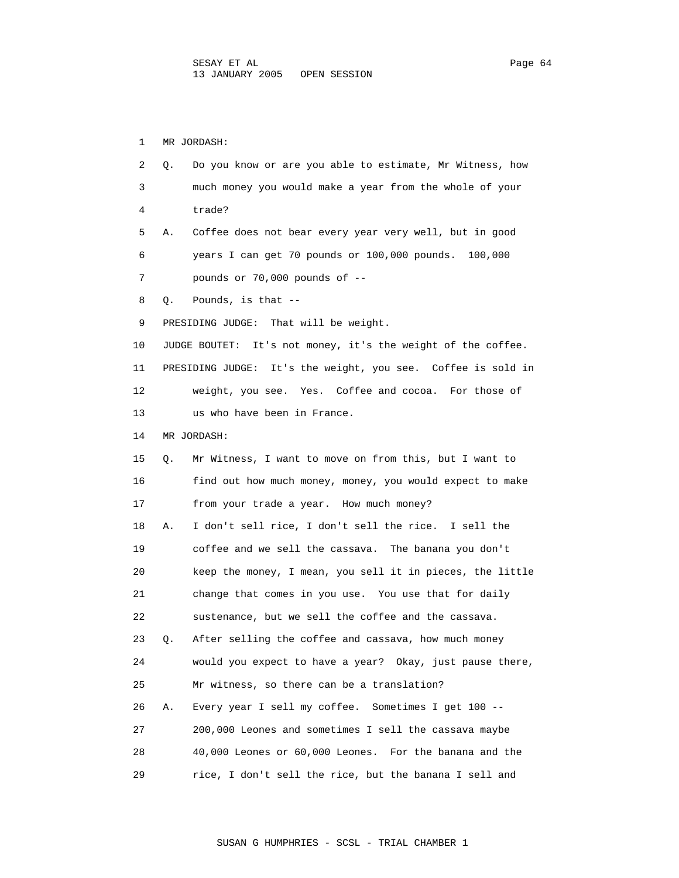1 MR JORDASH: 2 Q. Do you know or are you able to estimate, Mr Witness, how 3 much money you would make a year from the whole of your 4 trade? 5 A. Coffee does not bear every year very well, but in good 6 years I can get 70 pounds or 100,000 pounds. 100,000 7 pounds or 70,000 pounds of -- 8 Q. Pounds, is that -- 9 PRESIDING JUDGE: That will be weight. 10 JUDGE BOUTET: It's not money, it's the weight of the coffee. 11 PRESIDING JUDGE: It's the weight, you see. Coffee is sold in 12 weight, you see. Yes. Coffee and cocoa. For those of 13 us who have been in France. 14 MR JORDASH: 15 Q. Mr Witness, I want to move on from this, but I want to 16 find out how much money, money, you would expect to make 17 from your trade a year. How much money? 18 A. I don't sell rice, I don't sell the rice. I sell the 19 coffee and we sell the cassava. The banana you don't 20 keep the money, I mean, you sell it in pieces, the little 21 change that comes in you use. You use that for daily 22 sustenance, but we sell the coffee and the cassava. 23 Q. After selling the coffee and cassava, how much money 24 would you expect to have a year? Okay, just pause there, 25 Mr witness, so there can be a translation? 26 A. Every year I sell my coffee. Sometimes I get 100 -- 27 200,000 Leones and sometimes I sell the cassava maybe 28 40,000 Leones or 60,000 Leones. For the banana and the 29 rice, I don't sell the rice, but the banana I sell and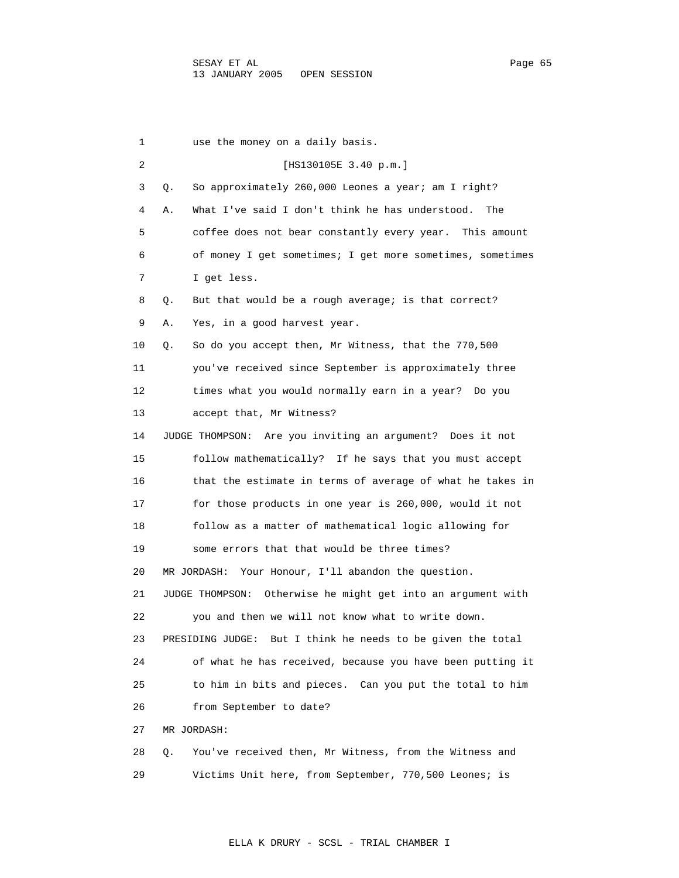1 use the money on a daily basis. 2 [HS130105E 3.40 p.m.] 3 Q. So approximately 260,000 Leones a year; am I right? 4 A. What I've said I don't think he has understood. The 5 coffee does not bear constantly every year. This amount 6 of money I get sometimes; I get more sometimes, sometimes 7 I get less. 8 Q. But that would be a rough average; is that correct? 9 A. Yes, in a good harvest year. 10 Q. So do you accept then, Mr Witness, that the 770,500 11 you've received since September is approximately three 12 times what you would normally earn in a year? Do you 13 accept that, Mr Witness? 14 JUDGE THOMPSON: Are you inviting an argument? Does it not 15 follow mathematically? If he says that you must accept 16 that the estimate in terms of average of what he takes in 17 for those products in one year is 260,000, would it not 18 follow as a matter of mathematical logic allowing for 19 some errors that that would be three times? 20 MR JORDASH: Your Honour, I'll abandon the question. 21 JUDGE THOMPSON: Otherwise he might get into an argument with 22 you and then we will not know what to write down. 23 PRESIDING JUDGE: But I think he needs to be given the total 24 of what he has received, because you have been putting it 25 to him in bits and pieces. Can you put the total to him 26 from September to date? 27 MR JORDASH: 28 Q. You've received then, Mr Witness, from the Witness and 29 Victims Unit here, from September, 770,500 Leones; is

ELLA K DRURY - SCSL - TRIAL CHAMBER I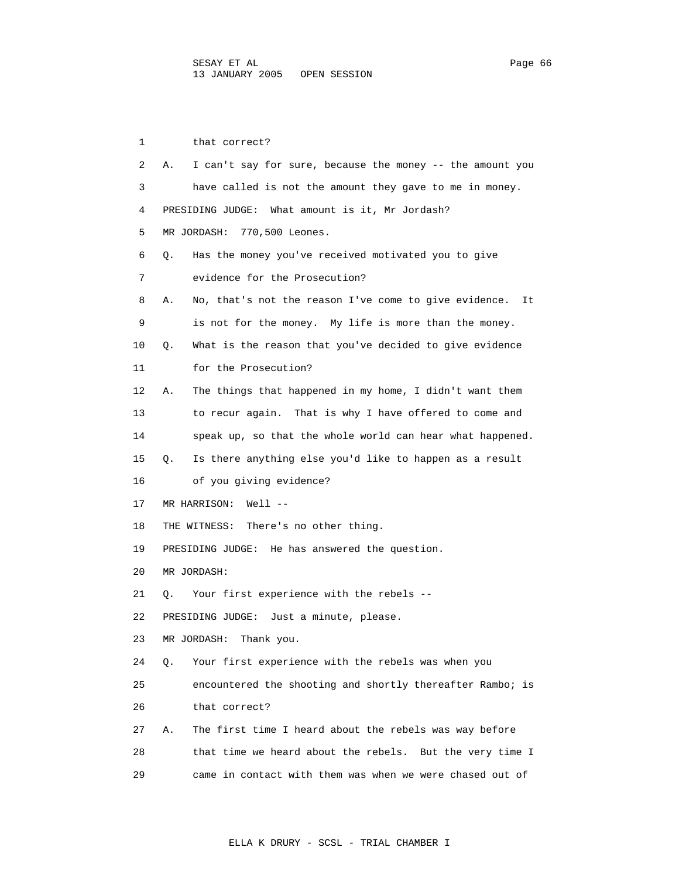1 that correct? 2 A. I can't say for sure, because the money -- the amount you 3 have called is not the amount they gave to me in money. 4 PRESIDING JUDGE: What amount is it, Mr Jordash? 5 MR JORDASH: 770,500 Leones. 6 Q. Has the money you've received motivated you to give 7 evidence for the Prosecution? 8 A. No, that's not the reason I've come to give evidence. It 9 is not for the money. My life is more than the money. 10 Q. What is the reason that you've decided to give evidence 11 for the Prosecution? 12 A. The things that happened in my home, I didn't want them 13 to recur again. That is why I have offered to come and 14 speak up, so that the whole world can hear what happened. 15 Q. Is there anything else you'd like to happen as a result 16 of you giving evidence? 17 MR HARRISON: Well -- 18 THE WITNESS: There's no other thing. 19 PRESIDING JUDGE: He has answered the question. 20 MR JORDASH: 21 Q. Your first experience with the rebels -- 22 PRESIDING JUDGE: Just a minute, please. 23 MR JORDASH: Thank you. 24 Q. Your first experience with the rebels was when you 25 encountered the shooting and shortly thereafter Rambo; is 26 that correct? 27 A. The first time I heard about the rebels was way before 28 that time we heard about the rebels. But the very time I 29 came in contact with them was when we were chased out of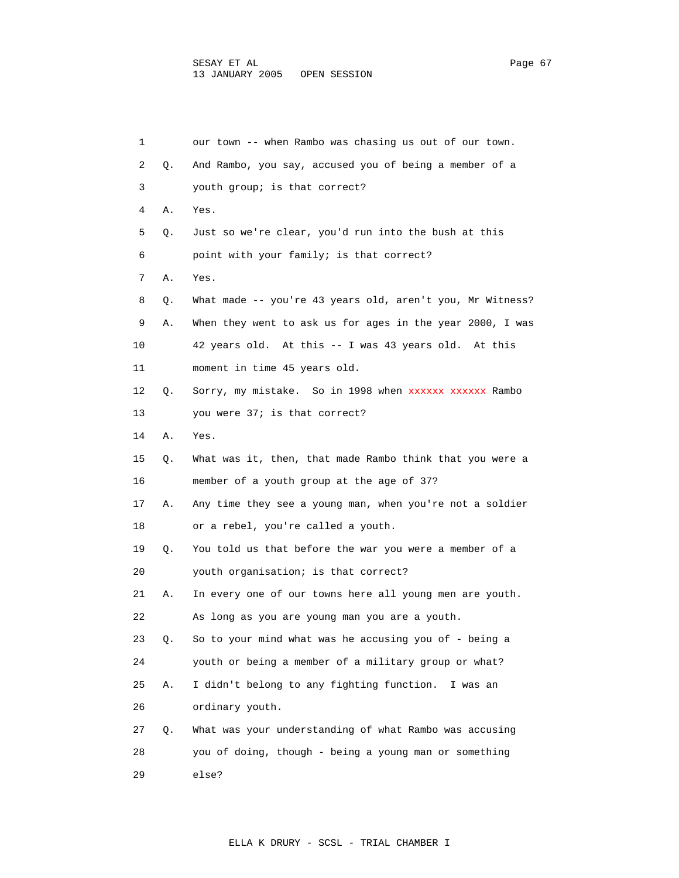| 1  |    | our town -- when Rambo was chasing us out of our town.    |
|----|----|-----------------------------------------------------------|
| 2  | Q. | And Rambo, you say, accused you of being a member of a    |
| 3  |    | youth group; is that correct?                             |
| 4  | Α. | Yes.                                                      |
| 5  | Q. | Just so we're clear, you'd run into the bush at this      |
| 6  |    | point with your family; is that correct?                  |
| 7  | Α. | Yes.                                                      |
| 8  | О. | What made -- you're 43 years old, aren't you, Mr Witness? |
| 9  | Α. | When they went to ask us for ages in the year 2000, I was |
| 10 |    | 42 years old. At this -- I was 43 years old. At this      |
| 11 |    | moment in time 45 years old.                              |
| 12 | Q. | Sorry, my mistake. So in 1998 when xxxxxx xxxxxx Rambo    |
| 13 |    | you were 37; is that correct?                             |
| 14 | Α. | Yes.                                                      |
| 15 | Q. | What was it, then, that made Rambo think that you were a  |
| 16 |    | member of a youth group at the age of 37?                 |
| 17 | Α. | Any time they see a young man, when you're not a soldier  |
| 18 |    | or a rebel, you're called a youth.                        |
| 19 | Q. | You told us that before the war you were a member of a    |
| 20 |    | youth organisation; is that correct?                      |
| 21 | Α. | In every one of our towns here all young men are youth.   |
| 22 |    | As long as you are young man you are a youth.             |
| 23 | Q. | So to your mind what was he accusing you of - being a     |
| 24 |    | youth or being a member of a military group or what?      |
| 25 | Α. | I didn't belong to any fighting function.<br>I was an     |
| 26 |    | ordinary youth.                                           |
| 27 | Q. | What was your understanding of what Rambo was accusing    |
| 28 |    | you of doing, though - being a young man or something     |
| 29 |    | else?                                                     |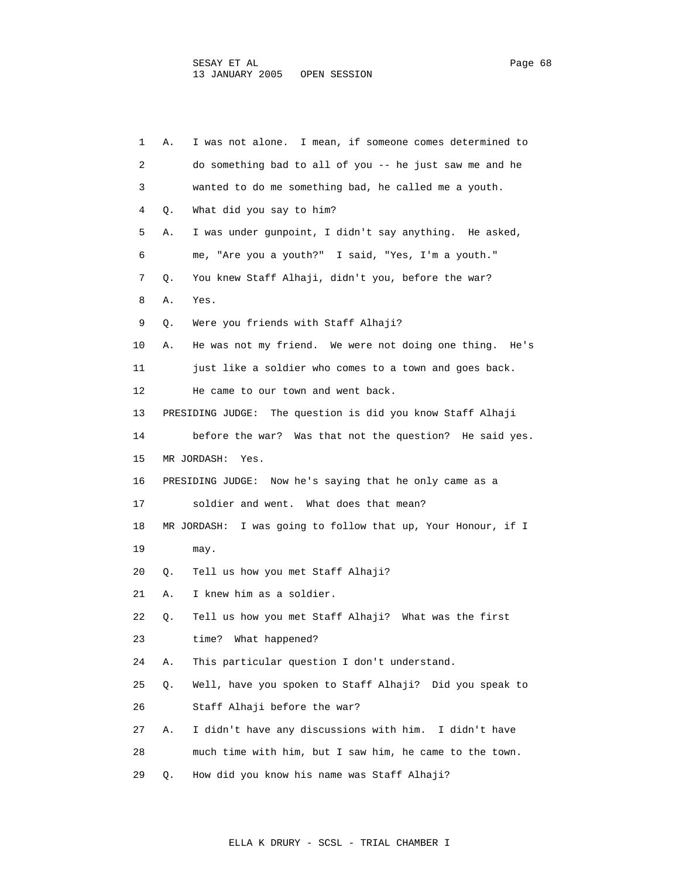| 1  | Α. | I was not alone. I mean, if someone comes determined to      |
|----|----|--------------------------------------------------------------|
| 2  |    | do something bad to all of you -- he just saw me and he      |
| 3  |    | wanted to do me something bad, he called me a youth.         |
| 4  | Q. | What did you say to him?                                     |
| 5  | Α. | I was under gunpoint, I didn't say anything. He asked,       |
| 6  |    | me, "Are you a youth?" I said, "Yes, I'm a youth."           |
| 7  | Q. | You knew Staff Alhaji, didn't you, before the war?           |
| 8  | Α. | Yes.                                                         |
| 9  | Q. | Were you friends with Staff Alhaji?                          |
| 10 | Α. | He was not my friend. We were not doing one thing. He's      |
| 11 |    | just like a soldier who comes to a town and goes back.       |
| 12 |    | He came to our town and went back.                           |
| 13 |    | PRESIDING JUDGE: The question is did you know Staff Alhaji   |
| 14 |    | before the war? Was that not the question? He said yes.      |
| 15 |    | MR JORDASH:<br>Yes.                                          |
| 16 |    | PRESIDING JUDGE: Now he's saying that he only came as a      |
| 17 |    | soldier and went. What does that mean?                       |
| 18 |    | MR JORDASH: I was going to follow that up, Your Honour, if I |
| 19 |    | may.                                                         |
| 20 | Q. | Tell us how you met Staff Alhaji?                            |
| 21 | Α. | I knew him as a soldier.                                     |
| 22 | Q. | Tell us how you met Staff Alhaji? What was the first         |
| 23 |    | time?<br>What happened?                                      |
| 24 | Α. | This particular question I don't understand.                 |
| 25 | Q. | Well, have you spoken to Staff Alhaji? Did you speak to      |
| 26 |    | Staff Alhaji before the war?                                 |
| 27 | Α. | I didn't have any discussions with him. I didn't have        |
| 28 |    | much time with him, but I saw him, he came to the town.      |
| 29 | Q. | How did you know his name was Staff Alhaji?                  |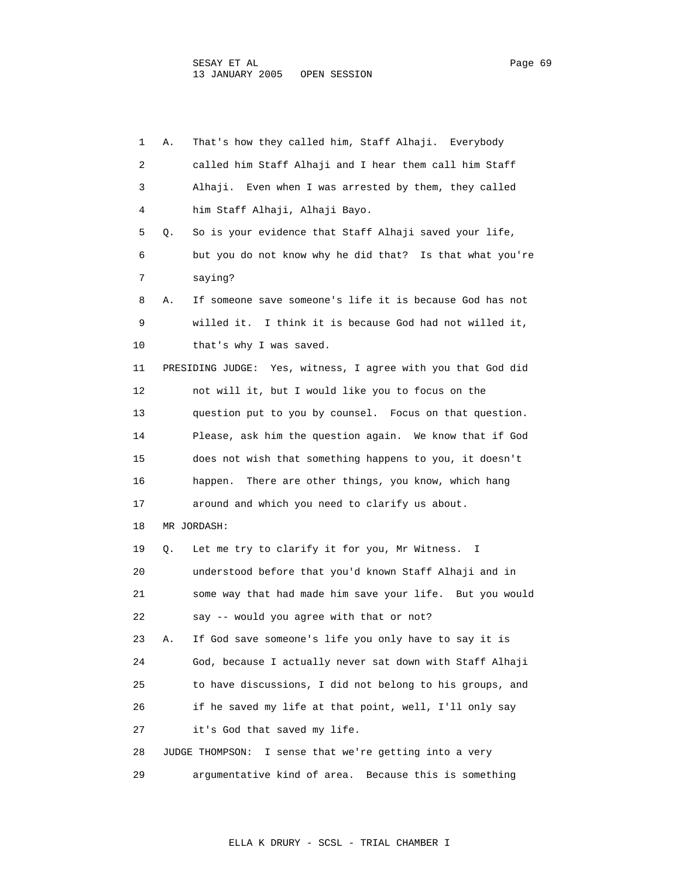1 A. That's how they called him, Staff Alhaji. Everybody 2 called him Staff Alhaji and I hear them call him Staff 3 Alhaji. Even when I was arrested by them, they called 4 him Staff Alhaji, Alhaji Bayo. 5 Q. So is your evidence that Staff Alhaji saved your life, 6 but you do not know why he did that? Is that what you're 7 saying? 8 A. If someone save someone's life it is because God has not 9 willed it. I think it is because God had not willed it, 10 that's why I was saved. 11 PRESIDING JUDGE: Yes, witness, I agree with you that God did 12 not will it, but I would like you to focus on the 13 question put to you by counsel. Focus on that question. 14 Please, ask him the question again. We know that if God 15 does not wish that something happens to you, it doesn't 16 happen. There are other things, you know, which hang 17 around and which you need to clarify us about. 18 MR JORDASH: 19 Q. Let me try to clarify it for you, Mr Witness. I 20 understood before that you'd known Staff Alhaji and in 21 some way that had made him save your life. But you would 22 say -- would you agree with that or not? 23 A. If God save someone's life you only have to say it is 24 God, because I actually never sat down with Staff Alhaji 25 to have discussions, I did not belong to his groups, and 26 if he saved my life at that point, well, I'll only say 27 it's God that saved my life. 28 JUDGE THOMPSON: I sense that we're getting into a very 29 argumentative kind of area. Because this is something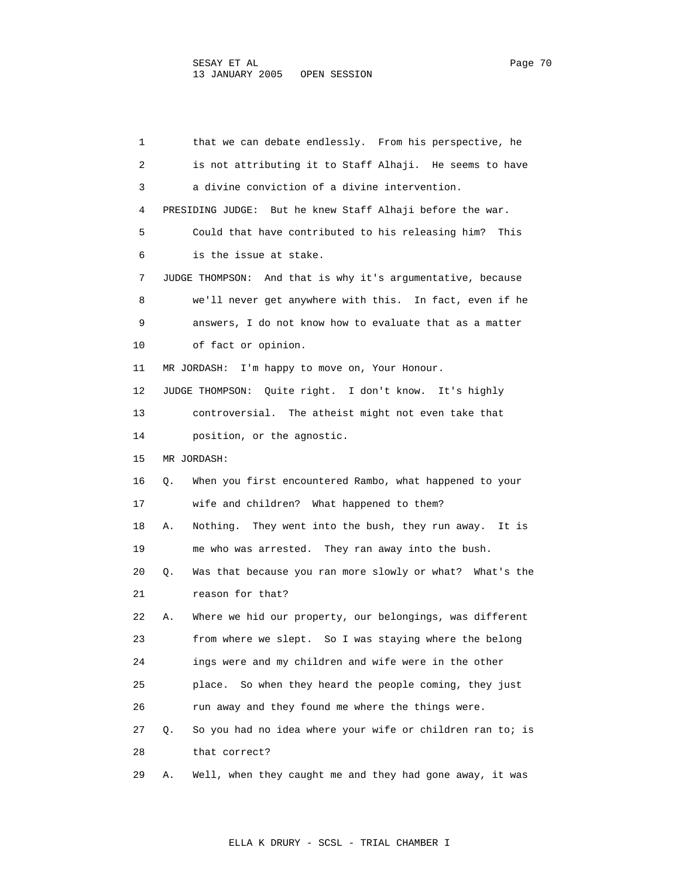1 that we can debate endlessly. From his perspective, he 2 is not attributing it to Staff Alhaji. He seems to have 3 a divine conviction of a divine intervention. 4 PRESIDING JUDGE: But he knew Staff Alhaji before the war. 5 Could that have contributed to his releasing him? This 6 is the issue at stake. 7 JUDGE THOMPSON: And that is why it's argumentative, because 8 we'll never get anywhere with this. In fact, even if he 9 answers, I do not know how to evaluate that as a matter 10 of fact or opinion. 11 MR JORDASH: I'm happy to move on, Your Honour. 12 JUDGE THOMPSON: Quite right. I don't know. It's highly 13 controversial. The atheist might not even take that 14 position, or the agnostic. 15 MR JORDASH: 16 Q. When you first encountered Rambo, what happened to your 17 wife and children? What happened to them? 18 A. Nothing. They went into the bush, they run away. It is 19 me who was arrested. They ran away into the bush. 20 Q. Was that because you ran more slowly or what? What's the 21 reason for that? 22 A. Where we hid our property, our belongings, was different 23 from where we slept. So I was staying where the belong 24 ings were and my children and wife were in the other 25 place. So when they heard the people coming, they just 26 run away and they found me where the things were. 27 Q. So you had no idea where your wife or children ran to; is 28 that correct? 29 A. Well, when they caught me and they had gone away, it was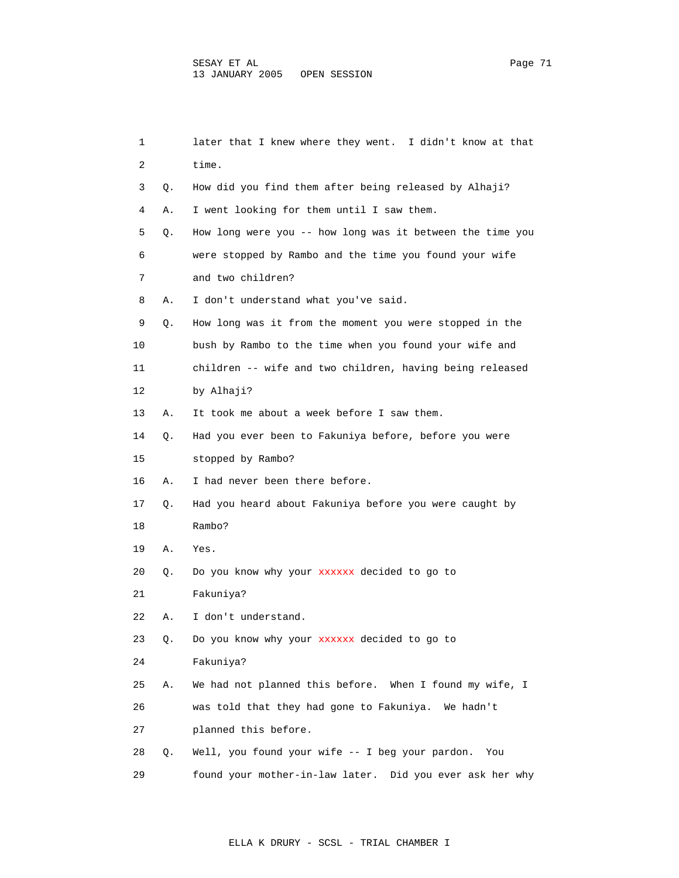| 1  |    | later that I knew where they went. I didn't know at that  |
|----|----|-----------------------------------------------------------|
| 2  |    | time.                                                     |
| 3  | Q. | How did you find them after being released by Alhaji?     |
| 4  | Α. | I went looking for them until I saw them.                 |
| 5  | Q. | How long were you -- how long was it between the time you |
| 6  |    | were stopped by Rambo and the time you found your wife    |
| 7  |    | and two children?                                         |
| 8  | Α. | I don't understand what you've said.                      |
| 9  | Q. | How long was it from the moment you were stopped in the   |
| 10 |    | bush by Rambo to the time when you found your wife and    |
| 11 |    | children -- wife and two children, having being released  |
| 12 |    | by Alhaji?                                                |
| 13 | А. | It took me about a week before I saw them.                |
| 14 | Q. | Had you ever been to Fakuniya before, before you were     |
| 15 |    | stopped by Rambo?                                         |
| 16 | Α. | I had never been there before.                            |
| 17 | Q. | Had you heard about Fakuniya before you were caught by    |
| 18 |    | Rambo?                                                    |
| 19 | Α. | Yes.                                                      |
| 20 | Q. | Do you know why your xxxxxx decided to go to              |
| 21 |    | Fakuniya?                                                 |
| 22 | Α. | I don't understand.                                       |
| 23 | Q. | Do you know why your xxxxxx decided to go to              |
| 24 |    | Fakuniya?                                                 |
| 25 | Α. | We had not planned this before. When I found my wife, I   |
| 26 |    | was told that they had gone to Fakuniya.<br>We hadn't     |
| 27 |    | planned this before.                                      |
| 28 | Q. | Well, you found your wife -- I beg your pardon.<br>You    |
| 29 |    | found your mother-in-law later. Did you ever ask her why  |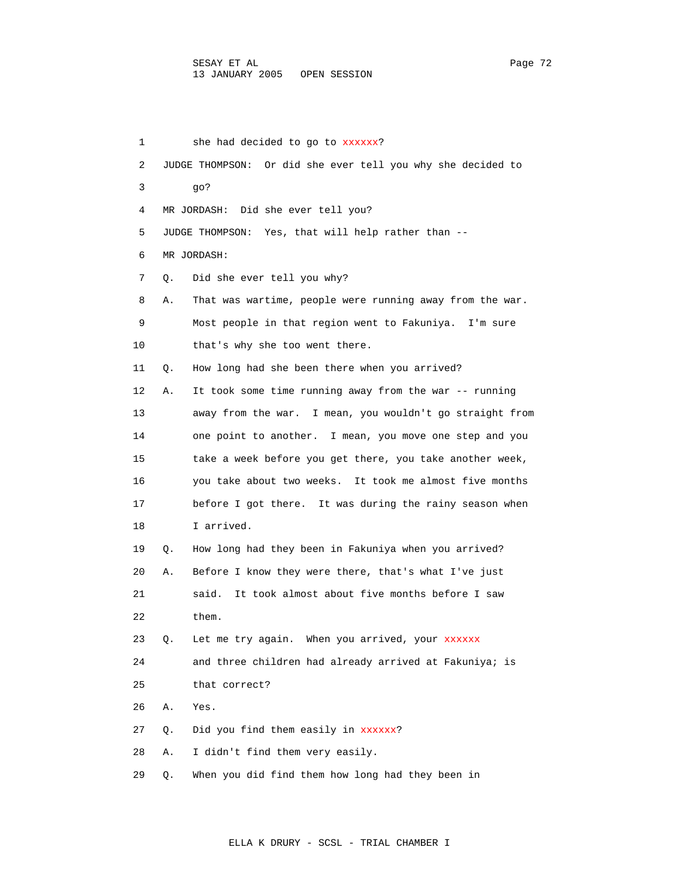1 she had decided to go to xxxxxx? 2 JUDGE THOMPSON: Or did she ever tell you why she decided to 3 go? 4 MR JORDASH: Did she ever tell you? 5 JUDGE THOMPSON: Yes, that will help rather than -- 6 MR JORDASH: 7 Q. Did she ever tell you why? 8 A. That was wartime, people were running away from the war. 9 Most people in that region went to Fakuniya. I'm sure 10 that's why she too went there. 11 Q. How long had she been there when you arrived? 12 A. It took some time running away from the war -- running 13 away from the war. I mean, you wouldn't go straight from 14 one point to another. I mean, you move one step and you 15 take a week before you get there, you take another week, 16 you take about two weeks. It took me almost five months 17 before I got there. It was during the rainy season when 18 I arrived. 19 Q. How long had they been in Fakuniya when you arrived? 20 A. Before I know they were there, that's what I've just 21 said. It took almost about five months before I saw 22 them. 23 Q. Let me try again. When you arrived, your xxxxxx 24 and three children had already arrived at Fakuniya; is 25 that correct? 26 A. Yes. 27 Q. Did you find them easily in xxxxxx? 28 A. I didn't find them very easily. 29 Q. When you did find them how long had they been in

ELLA K DRURY - SCSL - TRIAL CHAMBER I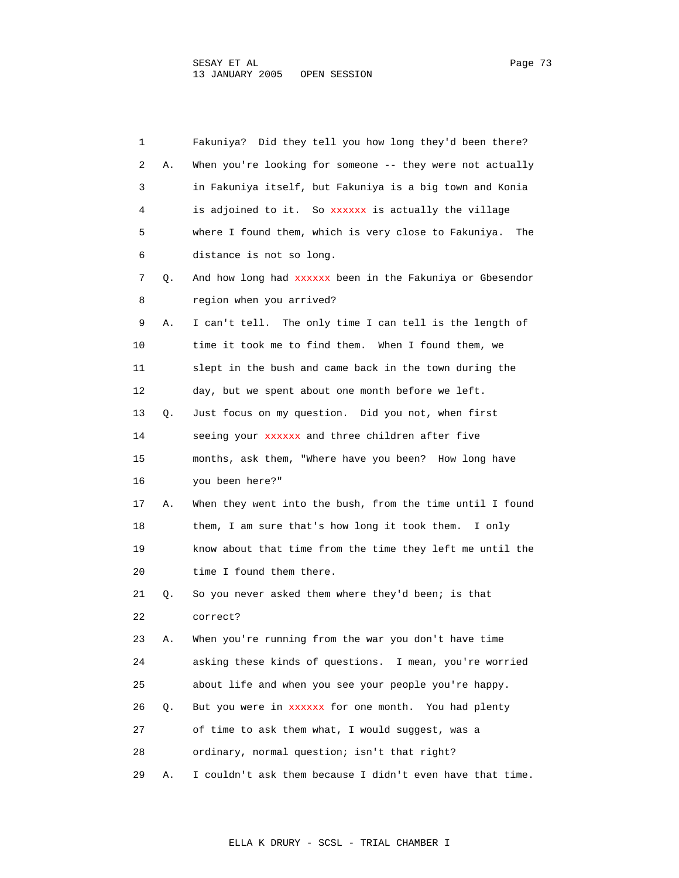| 1  |    | Fakuniya? Did they tell you how long they'd been there?     |
|----|----|-------------------------------------------------------------|
| 2  | Α. | When you're looking for someone -- they were not actually   |
| 3  |    | in Fakuniya itself, but Fakuniya is a big town and Konia    |
| 4  |    | is adjoined to it. So xxxxxx is actually the village        |
| 5  |    | where I found them, which is very close to Fakuniya.<br>The |
| 6  |    | distance is not so long.                                    |
| 7  | Q. | And how long had xxxxxx been in the Fakuniya or Gbesendor   |
| 8  |    | region when you arrived?                                    |
| 9  | Α. | I can't tell. The only time I can tell is the length of     |
| 10 |    | time it took me to find them. When I found them, we         |
| 11 |    | slept in the bush and came back in the town during the      |
| 12 |    | day, but we spent about one month before we left.           |
| 13 | Q. | Just focus on my question. Did you not, when first          |
| 14 |    | seeing your xxxxxx and three children after five            |
| 15 |    | months, ask them, "Where have you been? How long have       |
| 16 |    | you been here?"                                             |
| 17 | Α. | When they went into the bush, from the time until I found   |
| 18 |    | them, I am sure that's how long it took them.<br>I only     |
| 19 |    | know about that time from the time they left me until the   |
| 20 |    | time I found them there.                                    |
| 21 | Q. | So you never asked them where they'd been; is that          |
| 22 |    | correct?                                                    |
| 23 | Α. | When you're running from the war you don't have time        |
| 24 |    | asking these kinds of questions. I mean, you're worried     |
| 25 |    | about life and when you see your people you're happy.       |
| 26 | О. | But you were in xxxxxx for one month. You had plenty        |
| 27 |    | of time to ask them what, I would suggest, was a            |
| 28 |    | ordinary, normal question; isn't that right?                |
| 29 | Α. | I couldn't ask them because I didn't even have that time.   |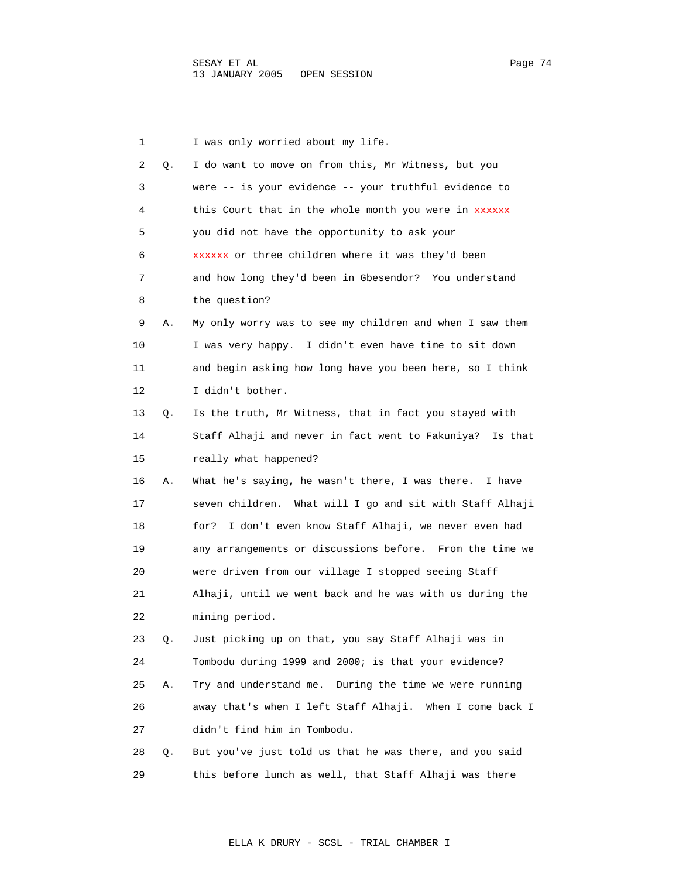1 I was only worried about my life. 2 Q. I do want to move on from this, Mr Witness, but you 3 were -- is your evidence -- your truthful evidence to 4 this Court that in the whole month you were in xxxxxx 5 you did not have the opportunity to ask your 6 xxxxxx or three children where it was they'd been 7 and how long they'd been in Gbesendor? You understand 8 the question? 9 A. My only worry was to see my children and when I saw them 10 I was very happy. I didn't even have time to sit down 11 and begin asking how long have you been here, so I think 12 I didn't bother. 13 Q. Is the truth, Mr Witness, that in fact you stayed with 14 Staff Alhaji and never in fact went to Fakuniya? Is that 15 really what happened? 16 A. What he's saying, he wasn't there, I was there. I have 17 seven children. What will I go and sit with Staff Alhaji 18 for? I don't even know Staff Alhaji, we never even had 19 any arrangements or discussions before. From the time we 20 were driven from our village I stopped seeing Staff 21 Alhaji, until we went back and he was with us during the 22 mining period. 23 Q. Just picking up on that, you say Staff Alhaji was in 24 Tombodu during 1999 and 2000; is that your evidence? 25 A. Try and understand me. During the time we were running 26 away that's when I left Staff Alhaji. When I come back I 27 didn't find him in Tombodu. 28 Q. But you've just told us that he was there, and you said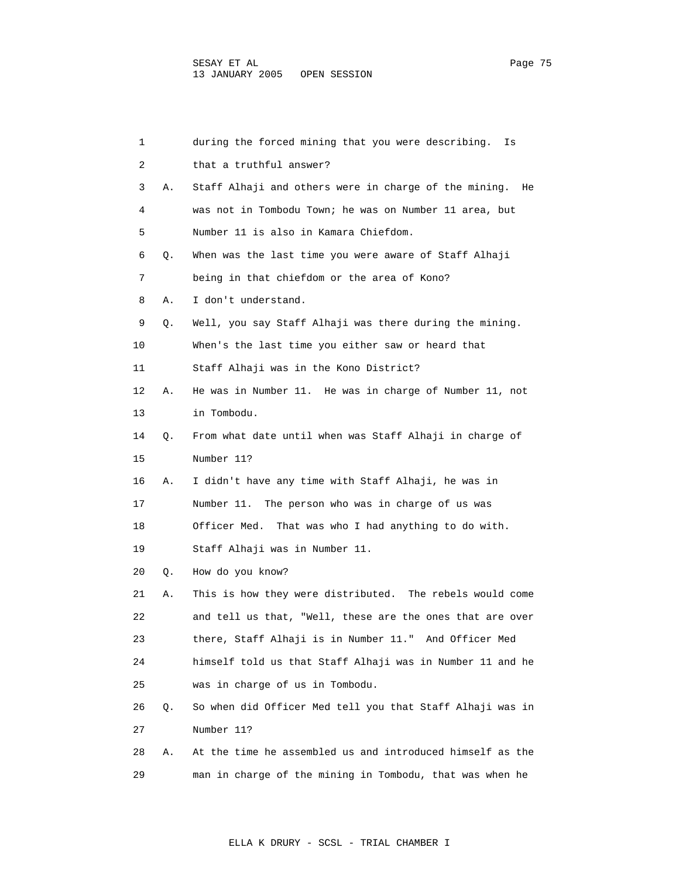| 1  |    | during the forced mining that you were describing.<br>Is  |
|----|----|-----------------------------------------------------------|
| 2  |    | that a truthful answer?                                   |
| 3  | Α. | Staff Alhaji and others were in charge of the mining. He  |
| 4  |    | was not in Tombodu Town; he was on Number 11 area, but    |
| 5  |    | Number 11 is also in Kamara Chiefdom.                     |
| 6  | Q. | When was the last time you were aware of Staff Alhaji     |
| 7  |    | being in that chiefdom or the area of Kono?               |
| 8  | Α. | I don't understand.                                       |
| 9  | Q. | Well, you say Staff Alhaji was there during the mining.   |
| 10 |    | When's the last time you either saw or heard that         |
| 11 |    | Staff Alhaji was in the Kono District?                    |
| 12 | Α. | He was in Number 11. He was in charge of Number 11, not   |
| 13 |    | in Tombodu.                                               |
| 14 | Q. | From what date until when was Staff Alhaji in charge of   |
| 15 |    | Number 11?                                                |
| 16 | Α. | I didn't have any time with Staff Alhaji, he was in       |
| 17 |    | Number 11. The person who was in charge of us was         |
| 18 |    | Officer Med.<br>That was who I had anything to do with.   |
| 19 |    | Staff Alhaji was in Number 11.                            |
| 20 | Q. | How do you know?                                          |
| 21 | Α. | This is how they were distributed. The rebels would come  |
| 22 |    | and tell us that, "Well, these are the ones that are over |
| 23 |    | there, Staff Alhaji is in Number 11." And Officer Med     |
| 24 |    | himself told us that Staff Alhaji was in Number 11 and he |
| 25 |    | was in charge of us in Tombodu.                           |
| 26 | Q. | So when did Officer Med tell you that Staff Alhaji was in |
| 27 |    | Number 11?                                                |
| 28 | Α. | At the time he assembled us and introduced himself as the |
| 29 |    | man in charge of the mining in Tombodu, that was when he  |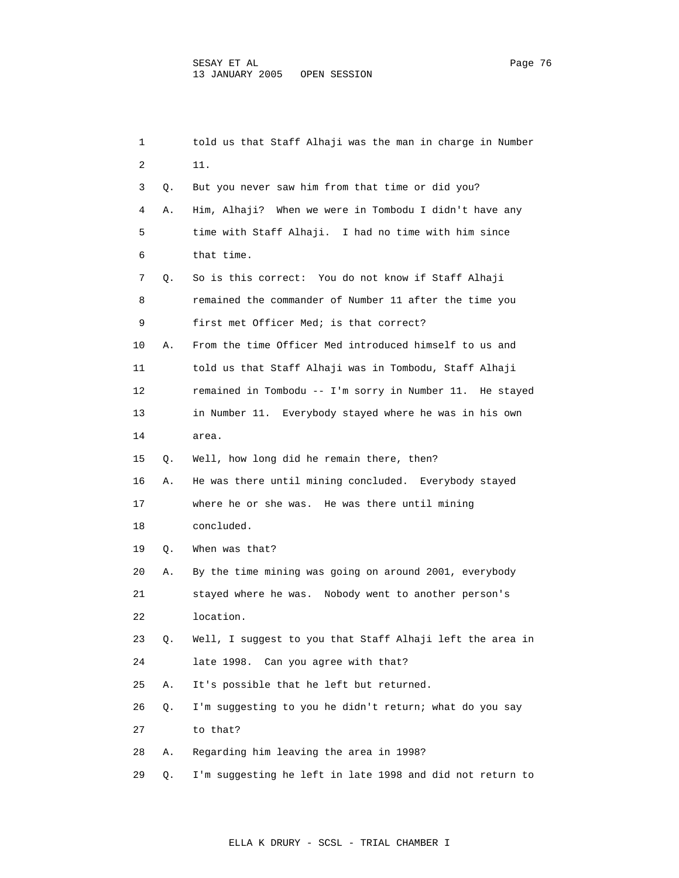| 1  |    | told us that Staff Alhaji was the man in charge in Number |
|----|----|-----------------------------------------------------------|
| 2  |    | 11.                                                       |
| 3  | Q. | But you never saw him from that time or did you?          |
| 4  | Α. | Him, Alhaji? When we were in Tombodu I didn't have any    |
| 5  |    | time with Staff Alhaji. I had no time with him since      |
| 6  |    | that time.                                                |
| 7  | Q. | So is this correct: You do not know if Staff Alhaji       |
| 8  |    | remained the commander of Number 11 after the time you    |
| 9  |    | first met Officer Med; is that correct?                   |
| 10 | Α. | From the time Officer Med introduced himself to us and    |
| 11 |    | told us that Staff Alhaji was in Tombodu, Staff Alhaji    |
| 12 |    | remained in Tombodu -- I'm sorry in Number 11. He stayed  |
| 13 |    | in Number 11. Everybody stayed where he was in his own    |
| 14 |    | area.                                                     |
| 15 | Q. | Well, how long did he remain there, then?                 |
| 16 | Α. | He was there until mining concluded. Everybody stayed     |
| 17 |    | where he or she was. He was there until mining            |
| 18 |    | concluded.                                                |
| 19 | Q. | When was that?                                            |
| 20 | Α. | By the time mining was going on around 2001, everybody    |
| 21 |    | Nobody went to another person's<br>stayed where he was.   |
| 22 |    | location.                                                 |
| 23 | Q. | Well, I suggest to you that Staff Alhaji left the area in |
| 24 |    | late 1998. Can you agree with that?                       |
| 25 | Α. | It's possible that he left but returned.                  |
| 26 | Q. | I'm suggesting to you he didn't return; what do you say   |
| 27 |    | to that?                                                  |
| 28 | Α. | Regarding him leaving the area in 1998?                   |
| 29 | Q. | I'm suggesting he left in late 1998 and did not return to |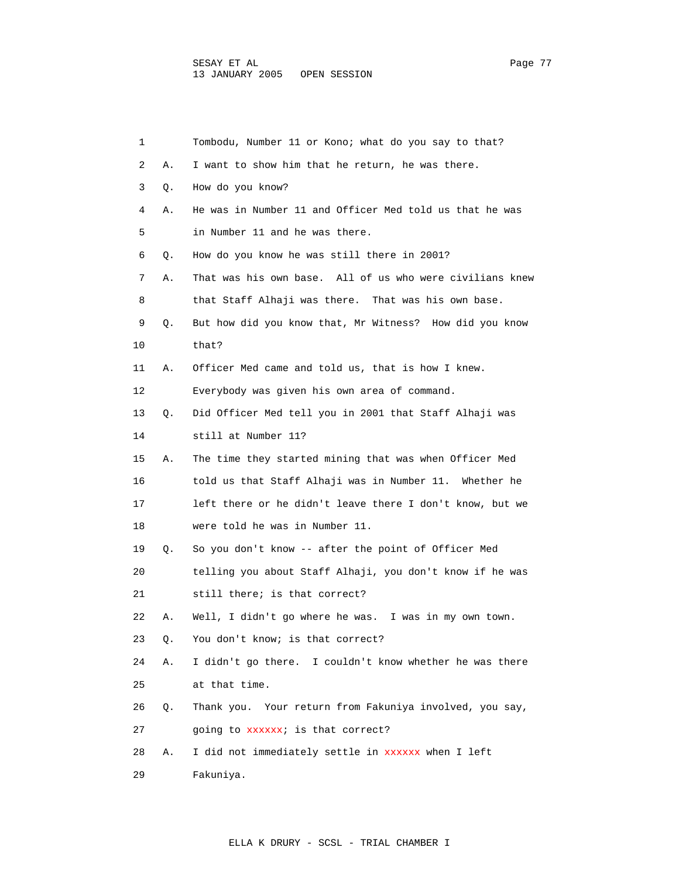| 1  |    | Tombodu, Number 11 or Kono; what do you say to that?     |
|----|----|----------------------------------------------------------|
| 2  | Α. | I want to show him that he return, he was there.         |
| 3  | Q. | How do you know?                                         |
| 4  | Α. | He was in Number 11 and Officer Med told us that he was  |
| 5  |    | in Number 11 and he was there.                           |
| 6  | Q. | How do you know he was still there in 2001?              |
| 7  | Α. | That was his own base. All of us who were civilians knew |
| 8  |    | that Staff Alhaji was there. That was his own base.      |
| 9  | Q. | But how did you know that, Mr Witness? How did you know  |
| 10 |    | that?                                                    |
| 11 | Α. | Officer Med came and told us, that is how I knew.        |
| 12 |    | Everybody was given his own area of command.             |
| 13 | Q. | Did Officer Med tell you in 2001 that Staff Alhaji was   |
| 14 |    | still at Number 11?                                      |
| 15 | Α. | The time they started mining that was when Officer Med   |
| 16 |    | told us that Staff Alhaji was in Number 11. Whether he   |
| 17 |    | left there or he didn't leave there I don't know, but we |
| 18 |    | were told he was in Number 11.                           |
| 19 | Q. | So you don't know -- after the point of Officer Med      |
| 20 |    | telling you about Staff Alhaji, you don't know if he was |
| 21 |    | still there; is that correct?                            |
| 22 | Α. | Well, I didn't go where he was. I was in my own town.    |
| 23 | Q. | You don't know; is that correct?                         |
| 24 | Α. | I didn't go there. I couldn't know whether he was there  |
| 25 |    | at that time.                                            |
| 26 | Q. | Thank you. Your return from Fakuniya involved, you say,  |
| 27 |    | going to xxxxxx; is that correct?                        |
| 28 | Α. | I did not immediately settle in xxxxxx when I left       |
| 29 |    | Fakuniya.                                                |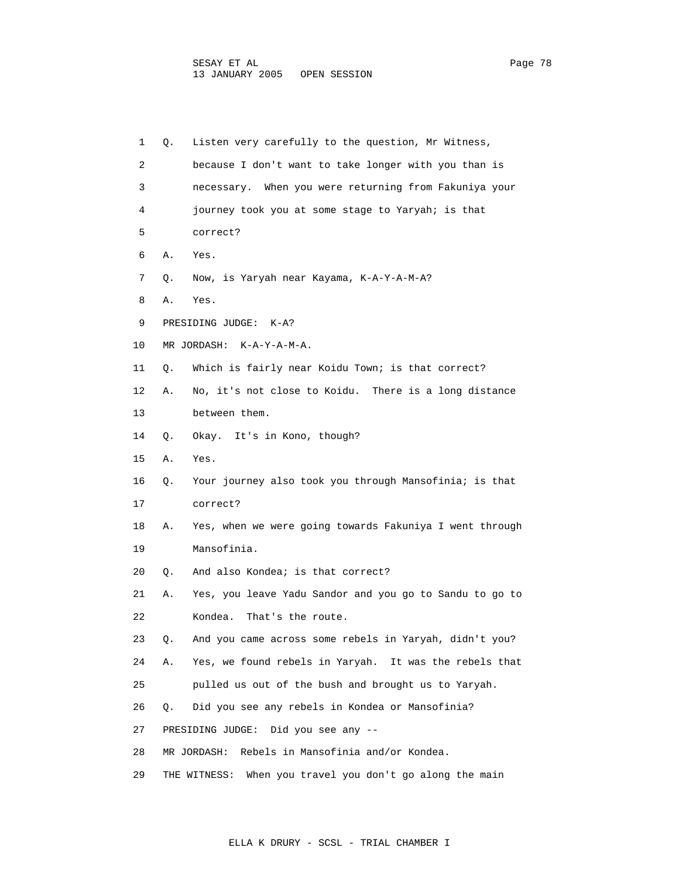| 1  | Q. | Listen very carefully to the question, Mr Witness,          |
|----|----|-------------------------------------------------------------|
| 2  |    | because I don't want to take longer with you than is        |
| 3  |    | necessary. When you were returning from Fakuniya your       |
| 4  |    | journey took you at some stage to Yaryah; is that           |
| 5  |    | correct?                                                    |
| 6  | Α. | Yes.                                                        |
| 7  | Q. | Now, is Yaryah near Kayama, K-A-Y-A-M-A?                    |
| 8  | Α. | Yes.                                                        |
| 9  |    | PRESIDING JUDGE:<br>$K- A$ ?                                |
| 10 |    | MR JORDASH: K-A-Y-A-M-A.                                    |
| 11 | Q. | Which is fairly near Koidu Town; is that correct?           |
| 12 | Α. | No, it's not close to Koidu. There is a long distance       |
| 13 |    | between them.                                               |
| 14 | Q. | Okay. It's in Kono, though?                                 |
| 15 | Α. | Yes.                                                        |
| 16 | Q. | Your journey also took you through Mansofinia; is that      |
| 17 |    | correct?                                                    |
| 18 | Α. | Yes, when we were going towards Fakuniya I went through     |
| 19 |    | Mansofinia.                                                 |
| 20 | Q. | And also Kondea; is that correct?                           |
| 21 | Α. | Yes, you leave Yadu Sandor and you go to Sandu to go to     |
| 22 |    | Kondea.<br>That's the route.                                |
| 23 | Q. | And you came across some rebels in Yaryah, didn't you?      |
| 24 | Α. | Yes, we found rebels in Yaryah. It was the rebels that      |
| 25 |    | pulled us out of the bush and brought us to Yaryah.         |
| 26 | Q. | Did you see any rebels in Kondea or Mansofinia?             |
| 27 |    | Did you see any $-$ -<br>PRESIDING JUDGE:                   |
| 28 |    | Rebels in Mansofinia and/or Kondea.<br>MR JORDASH:          |
| 29 |    | When you travel you don't go along the main<br>THE WITNESS: |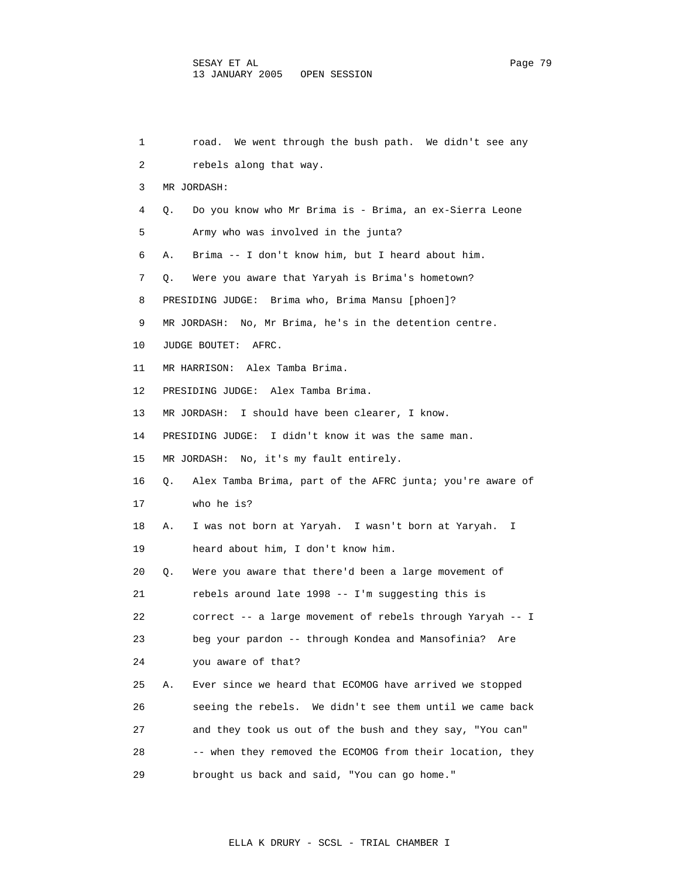1 road. We went through the bush path. We didn't see any 2 rebels along that way. 3 MR JORDASH: 4 Q. Do you know who Mr Brima is - Brima, an ex-Sierra Leone 5 Army who was involved in the junta? 6 A. Brima -- I don't know him, but I heard about him. 7 Q. Were you aware that Yaryah is Brima's hometown? 8 PRESIDING JUDGE: Brima who, Brima Mansu [phoen]? 9 MR JORDASH: No, Mr Brima, he's in the detention centre. 10 JUDGE BOUTET: AFRC. 11 MR HARRISON: Alex Tamba Brima. 12 PRESIDING JUDGE: Alex Tamba Brima. 13 MR JORDASH: I should have been clearer, I know. 14 PRESIDING JUDGE: I didn't know it was the same man. 15 MR JORDASH: No, it's my fault entirely. 16 Q. Alex Tamba Brima, part of the AFRC junta; you're aware of 17 who he is? 18 A. I was not born at Yaryah. I wasn't born at Yaryah. I 19 heard about him, I don't know him. 20 Q. Were you aware that there'd been a large movement of 21 rebels around late 1998 -- I'm suggesting this is 22 correct -- a large movement of rebels through Yaryah -- I 23 beg your pardon -- through Kondea and Mansofinia? Are 24 you aware of that? 25 A. Ever since we heard that ECOMOG have arrived we stopped 26 seeing the rebels. We didn't see them until we came back 27 and they took us out of the bush and they say, "You can" 28 -- when they removed the ECOMOG from their location, they 29 brought us back and said, "You can go home."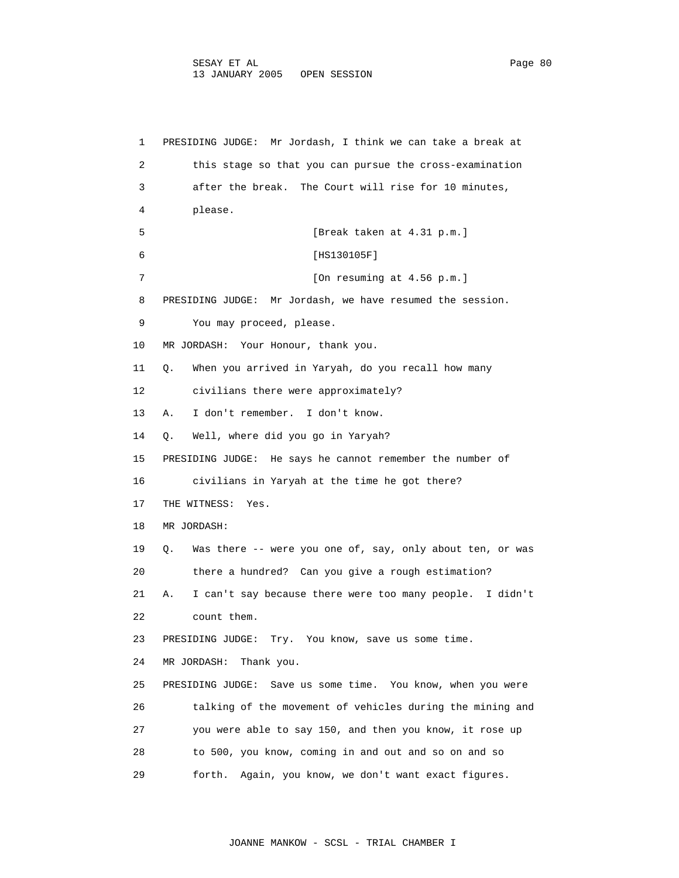1 PRESIDING JUDGE: Mr Jordash, I think we can take a break at 2 this stage so that you can pursue the cross-examination 3 after the break. The Court will rise for 10 minutes, 4 please. 5 [Break taken at 4.31 p.m.] 6 [HS130105F] 7 [On resuming at 4.56 p.m.] 8 PRESIDING JUDGE: Mr Jordash, we have resumed the session. 9 You may proceed, please. 10 MR JORDASH: Your Honour, thank you. 11 Q. When you arrived in Yaryah, do you recall how many 12 civilians there were approximately? 13 A. I don't remember. I don't know. 14 Q. Well, where did you go in Yaryah? 15 PRESIDING JUDGE: He says he cannot remember the number of 16 civilians in Yaryah at the time he got there? 17 THE WITNESS: Yes. 18 MR JORDASH: 19 Q. Was there -- were you one of, say, only about ten, or was 20 there a hundred? Can you give a rough estimation? 21 A. I can't say because there were too many people. I didn't 22 count them. 23 PRESIDING JUDGE: Try. You know, save us some time. 24 MR JORDASH: Thank you. 25 PRESIDING JUDGE: Save us some time. You know, when you were 26 talking of the movement of vehicles during the mining and 27 you were able to say 150, and then you know, it rose up 28 to 500, you know, coming in and out and so on and so

29 forth. Again, you know, we don't want exact figures.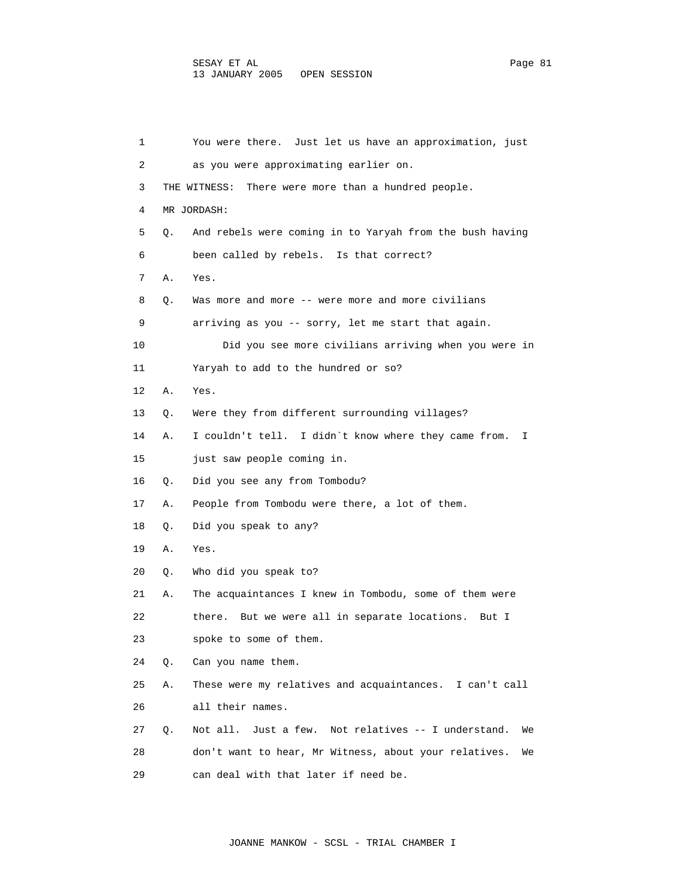| 1  |    | You were there. Just let us have an approximation, just         |
|----|----|-----------------------------------------------------------------|
| 2  |    | as you were approximating earlier on.                           |
| 3  |    | There were more than a hundred people.<br>THE WITNESS:          |
| 4  |    | MR JORDASH:                                                     |
| 5  | О. | And rebels were coming in to Yaryah from the bush having        |
| 6  |    | been called by rebels. Is that correct?                         |
| 7  | Α. | Yes.                                                            |
| 8  | Q. | Was more and more -- were more and more civilians               |
| 9  |    | arriving as you -- sorry, let me start that again.              |
| 10 |    | Did you see more civilians arriving when you were in            |
| 11 |    | Yaryah to add to the hundred or so?                             |
| 12 | Α. | Yes.                                                            |
| 13 | Q. | Were they from different surrounding villages?                  |
| 14 | Α. | I couldn't tell. I didn't know where they came from.<br>I.      |
| 15 |    | just saw people coming in.                                      |
| 16 | Q. | Did you see any from Tombodu?                                   |
| 17 | Α. | People from Tombodu were there, a lot of them.                  |
| 18 | Q. | Did you speak to any?                                           |
| 19 | Α. | Yes.                                                            |
| 20 | Q. | Who did you speak to?                                           |
| 21 | Α. | The acquaintances I knew in Tombodu, some of them were          |
| 22 |    | But we were all in separate locations.<br>there.<br>But I       |
| 23 |    | spoke to some of them.                                          |
| 24 | Q. | Can you name them.                                              |
| 25 | Α. | These were my relatives and acquaintances. I can't call         |
| 26 |    | all their names.                                                |
| 27 | О. | Not relatives -- I understand.<br>Not all.<br>Just a few.<br>We |
| 28 |    | don't want to hear, Mr Witness, about your relatives.<br>We     |
| 29 |    | can deal with that later if need be.                            |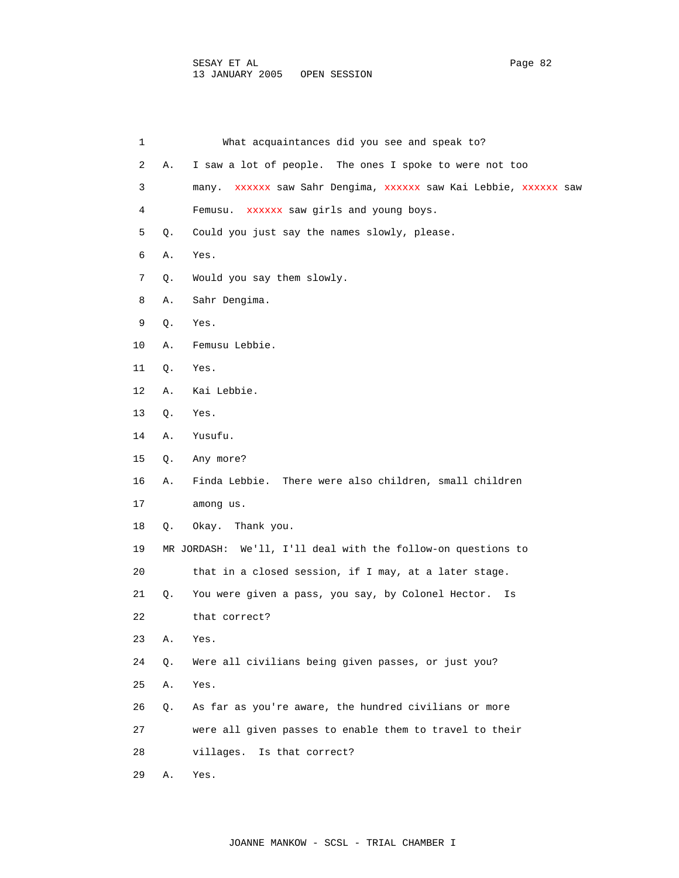| $\mathbf 1$ |    | What acquaintances did you see and speak to?                     |
|-------------|----|------------------------------------------------------------------|
| 2           | Α. | I saw a lot of people. The ones I spoke to were not too          |
| 3           |    | many. xxxxxx saw Sahr Dengima, xxxxxx saw Kai Lebbie, xxxxxx saw |
| 4           |    | Femusu. XXXXXX saw girls and young boys.                         |
| 5           | Q. | Could you just say the names slowly, please.                     |
| 6           | Α. | Yes.                                                             |
| 7           | Q. | Would you say them slowly.                                       |
| 8           | Α. | Sahr Dengima.                                                    |
| 9           | Q. | Yes.                                                             |
| 10          | Α. | Femusu Lebbie.                                                   |
| 11          | Q. | Yes.                                                             |
| 12          | Α. | Kai Lebbie.                                                      |
| 13          | Q. | Yes.                                                             |
| 14          | Α. | Yusufu.                                                          |
| 15          | Q. | Any more?                                                        |
| 16          | Α. | Finda Lebbie. There were also children, small children           |
| 17          |    | among us.                                                        |
| 18          | Q. | Thank you.<br>Okay.                                              |
| 19          |    | MR JORDASH: We'll, I'll deal with the follow-on questions to     |
| 20          |    | that in a closed session, if I may, at a later stage.            |
| 21          | Q. | You were given a pass, you say, by Colonel Hector.<br>Is         |
| 22          |    | that correct?                                                    |
| 23          | Α. | Yes.                                                             |
| 24          | Q. | Were all civilians being given passes, or just you?              |
| 25          | Α. | Yes.                                                             |
| 26          | Q. | As far as you're aware, the hundred civilians or more            |
| 27          |    | were all given passes to enable them to travel to their          |
| 28          |    | Is that correct?<br>villages.                                    |
| 29          | Α. | Yes.                                                             |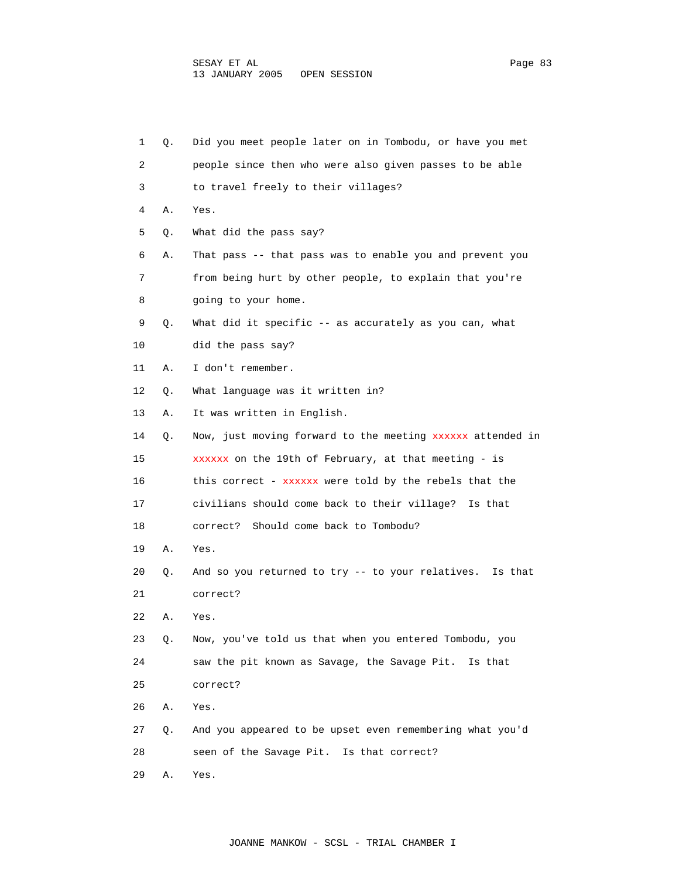1 Q. Did you meet people later on in Tombodu, or have you met 2 people since then who were also given passes to be able 3 to travel freely to their villages? 4 A. Yes. 5 Q. What did the pass say? 6 A. That pass -- that pass was to enable you and prevent you 7 from being hurt by other people, to explain that you're 8 going to your home. 9 Q. What did it specific -- as accurately as you can, what 10 did the pass say? 11 A. I don't remember. 12 Q. What language was it written in? 13 A. It was written in English. 14 Q. Now, just moving forward to the meeting xxxxxx attended in 15 xxxxxx on the 19th of February, at that meeting - is 16 this correct - xxxxxx were told by the rebels that the 17 civilians should come back to their village? Is that 18 correct? Should come back to Tombodu? 19 A. Yes. 20 Q. And so you returned to try -- to your relatives. Is that 21 correct? 22 A. Yes. 23 Q. Now, you've told us that when you entered Tombodu, you 24 saw the pit known as Savage, the Savage Pit. Is that 25 correct? 26 A. Yes. 27 Q. And you appeared to be upset even remembering what you'd 28 seen of the Savage Pit. Is that correct? 29 A. Yes.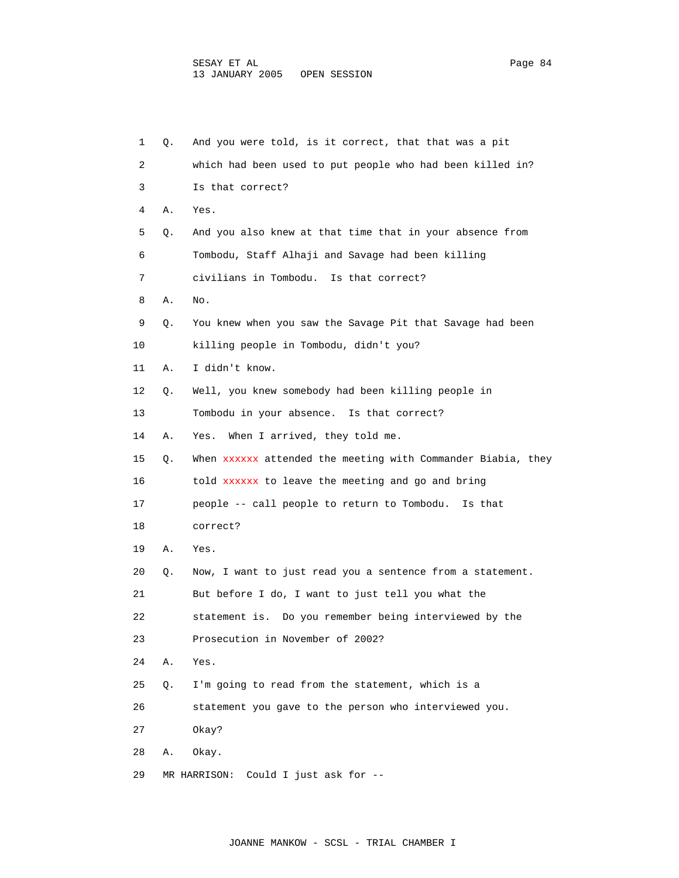| 1  | Q. | And you were told, is it correct, that that was a pit        |
|----|----|--------------------------------------------------------------|
| 2  |    | which had been used to put people who had been killed in?    |
| 3  |    | Is that correct?                                             |
| 4  | Α. | Yes.                                                         |
| 5  | Q. | And you also knew at that time that in your absence from     |
| 6  |    | Tombodu, Staff Alhaji and Savage had been killing            |
| 7  |    | civilians in Tombodu. Is that correct?                       |
| 8  | Α. | No.                                                          |
| 9  | Q. | You knew when you saw the Savage Pit that Savage had been    |
| 10 |    | killing people in Tombodu, didn't you?                       |
| 11 | Α. | I didn't know.                                               |
| 12 | Q. | Well, you knew somebody had been killing people in           |
| 13 |    | Tombodu in your absence. Is that correct?                    |
| 14 | Α. | When I arrived, they told me.<br>Yes.                        |
| 15 | Q. | When xxxxxx attended the meeting with Commander Biabia, they |
| 16 |    | told XXXXXX to leave the meeting and go and bring            |
| 17 |    | people -- call people to return to Tombodu.<br>Is that       |
| 18 |    | correct?                                                     |
| 19 | Α. | Yes.                                                         |
| 20 | Q. | Now, I want to just read you a sentence from a statement.    |
| 21 |    | But before I do, I want to just tell you what the            |
| 22 |    | statement is. Do you remember being interviewed by the       |
| 23 |    | Prosecution in November of 2002?                             |
| 24 | Α. | Yes.                                                         |
| 25 | Q. | I'm going to read from the statement, which is a             |
| 26 |    | statement you gave to the person who interviewed you.        |
| 27 |    | Okay?                                                        |
| 28 | Α. | Okay.                                                        |
| 29 |    | Could I just ask for --<br>MR HARRISON:                      |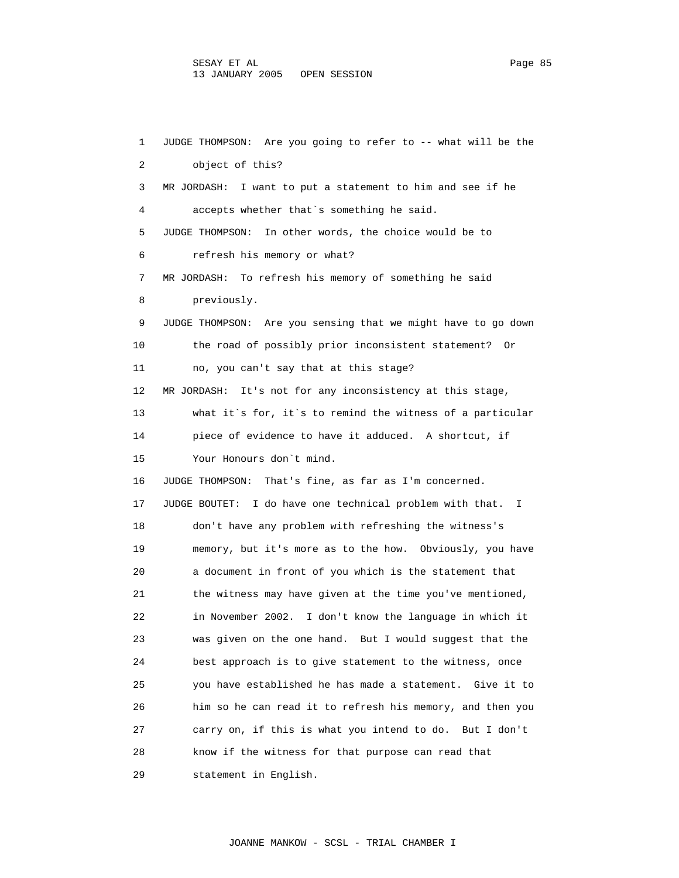1 JUDGE THOMPSON: Are you going to refer to -- what will be the 2 object of this? 3 MR JORDASH: I want to put a statement to him and see if he 4 accepts whether that`s something he said. 5 JUDGE THOMPSON: In other words, the choice would be to 6 refresh his memory or what? 7 MR JORDASH: To refresh his memory of something he said 8 previously. 9 JUDGE THOMPSON: Are you sensing that we might have to go down 10 the road of possibly prior inconsistent statement? Or 11 no, you can't say that at this stage? 12 MR JORDASH: It's not for any inconsistency at this stage, 13 what it`s for, it`s to remind the witness of a particular 14 piece of evidence to have it adduced. A shortcut, if 15 Your Honours don`t mind. 16 JUDGE THOMPSON: That's fine, as far as I'm concerned. 17 JUDGE BOUTET: I do have one technical problem with that. I 18 don't have any problem with refreshing the witness's 19 memory, but it's more as to the how. Obviously, you have 20 a document in front of you which is the statement that 21 the witness may have given at the time you've mentioned, 22 in November 2002. I don't know the language in which it 23 was given on the one hand. But I would suggest that the 24 best approach is to give statement to the witness, once 25 you have established he has made a statement. Give it to 26 him so he can read it to refresh his memory, and then you 27 carry on, if this is what you intend to do. But I don't 28 know if the witness for that purpose can read that 29 statement in English.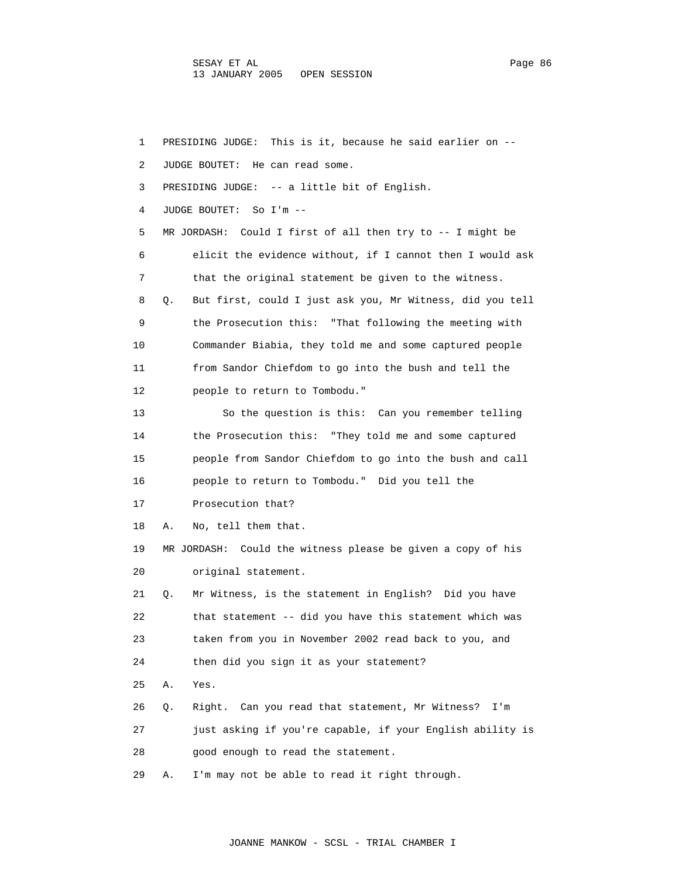SESAY ET AL PAGE 2012 CONTROL 2014 12:30 Page 86 13 JANUARY 2005 OPEN SESSION

 1 PRESIDING JUDGE: This is it, because he said earlier on -- 2 JUDGE BOUTET: He can read some. 3 PRESIDING JUDGE: -- a little bit of English. 4 JUDGE BOUTET: So I'm -- 5 MR JORDASH: Could I first of all then try to -- I might be 6 elicit the evidence without, if I cannot then I would ask 7 that the original statement be given to the witness. 8 Q. But first, could I just ask you, Mr Witness, did you tell 9 the Prosecution this: "That following the meeting with 10 Commander Biabia, they told me and some captured people 11 from Sandor Chiefdom to go into the bush and tell the 12 people to return to Tombodu." 13 So the question is this: Can you remember telling 14 the Prosecution this: "They told me and some captured 15 people from Sandor Chiefdom to go into the bush and call 16 people to return to Tombodu." Did you tell the 17 Prosecution that? 18 A. No, tell them that. 19 MR JORDASH: Could the witness please be given a copy of his 20 original statement. 21 Q. Mr Witness, is the statement in English? Did you have 22 that statement -- did you have this statement which was 23 taken from you in November 2002 read back to you, and 24 then did you sign it as your statement? 25 A. Yes. 26 Q. Right. Can you read that statement, Mr Witness? I'm 27 just asking if you're capable, if your English ability is 28 good enough to read the statement. 29 A. I'm may not be able to read it right through.

JOANNE MANKOW - SCSL - TRIAL CHAMBER I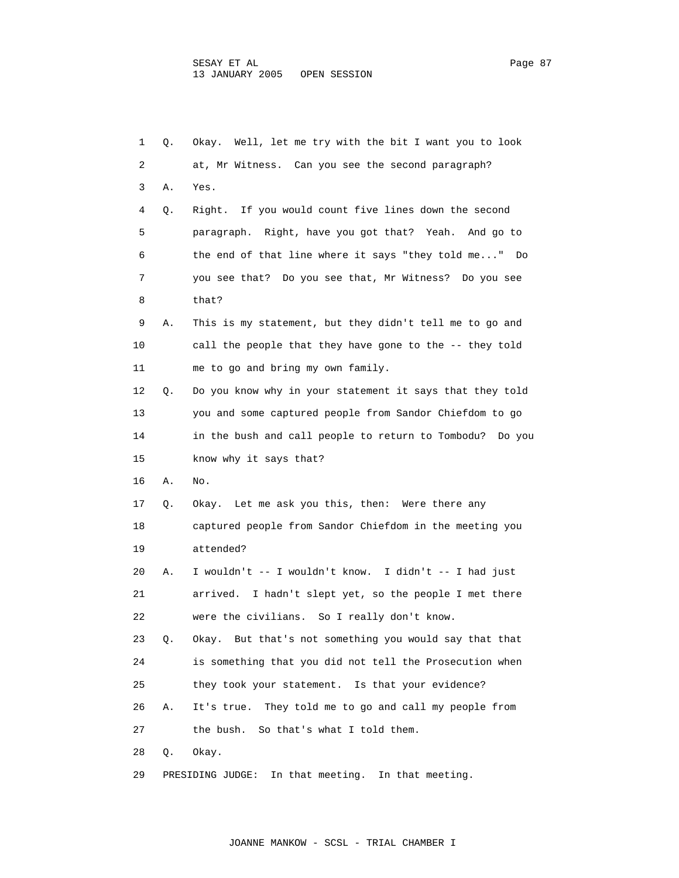| 1  | Q. | Okay. Well, let me try with the bit I want you to look   |
|----|----|----------------------------------------------------------|
| 2  |    | at, Mr Witness. Can you see the second paragraph?        |
| 3  | Α. | Yes.                                                     |
| 4  | Q. | Right. If you would count five lines down the second     |
| 5  |    | paragraph. Right, have you got that? Yeah. And go to     |
| 6  |    | the end of that line where it says "they told me" Do     |
| 7  |    | you see that? Do you see that, Mr Witness? Do you see    |
| 8  |    | that?                                                    |
| 9  | Α. | This is my statement, but they didn't tell me to go and  |
| 10 |    | call the people that they have gone to the -- they told  |
| 11 |    | me to go and bring my own family.                        |
| 12 | Q. | Do you know why in your statement it says that they told |
| 13 |    | you and some captured people from Sandor Chiefdom to go  |
| 14 |    | in the bush and call people to return to Tombodu? Do you |
| 15 |    | know why it says that?                                   |
| 16 | Α. | No.                                                      |
| 17 | Q. | Okay. Let me ask you this, then: Were there any          |
| 18 |    | captured people from Sandor Chiefdom in the meeting you  |
| 19 |    | attended?                                                |
| 20 | А. | I wouldn't -- I wouldn't know. I didn't -- I had just    |
| 21 |    | arrived. I hadn't slept yet, so the people I met there   |
| 22 |    | were the civilians. So I really don't know.              |
| 23 | Q. | Okay. But that's not something you would say that that   |
| 24 |    | is something that you did not tell the Prosecution when  |
| 25 |    | they took your statement. Is that your evidence?         |
| 26 | Α. | They told me to go and call my people from<br>It's true. |
| 27 |    | So that's what I told them.<br>the bush.                 |
| 28 | Q. | Okay.                                                    |
| 29 |    | In that meeting. In that meeting.<br>PRESIDING JUDGE:    |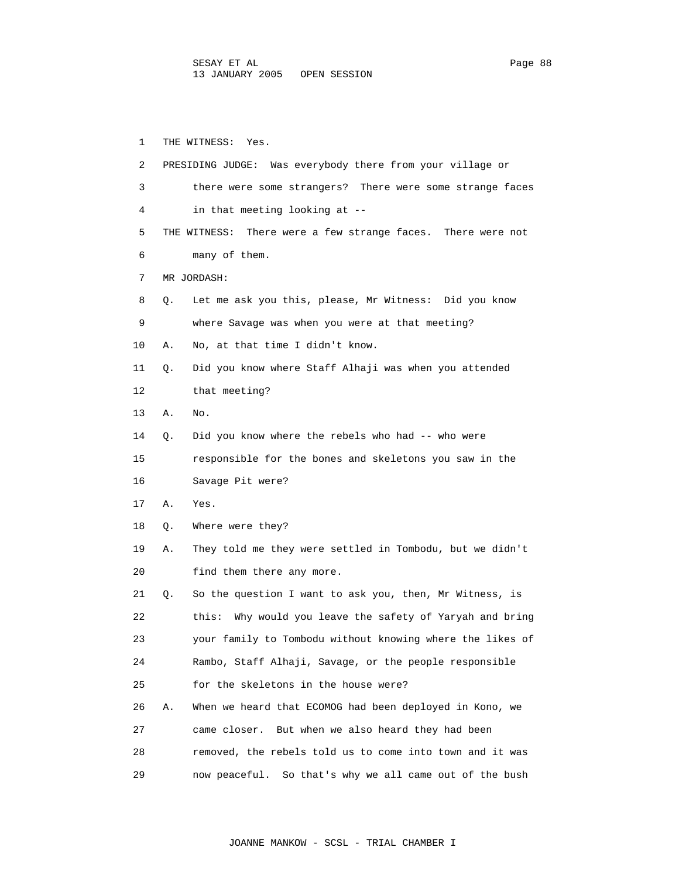1 THE WITNESS: Yes. 2 PRESIDING JUDGE: Was everybody there from your village or 3 there were some strangers? There were some strange faces 4 in that meeting looking at -- 5 THE WITNESS: There were a few strange faces. There were not 6 many of them. 7 MR JORDASH: 8 Q. Let me ask you this, please, Mr Witness: Did you know 9 where Savage was when you were at that meeting? 10 A. No, at that time I didn't know. 11 Q. Did you know where Staff Alhaji was when you attended 12 that meeting? 13 A. No. 14 Q. Did you know where the rebels who had -- who were 15 responsible for the bones and skeletons you saw in the 16 Savage Pit were? 17 A. Yes. 18 Q. Where were they? 19 A. They told me they were settled in Tombodu, but we didn't 20 find them there any more. 21 Q. So the question I want to ask you, then, Mr Witness, is 22 this: Why would you leave the safety of Yaryah and bring 23 your family to Tombodu without knowing where the likes of 24 Rambo, Staff Alhaji, Savage, or the people responsible 25 for the skeletons in the house were? 26 A. When we heard that ECOMOG had been deployed in Kono, we 27 came closer. But when we also heard they had been 28 removed, the rebels told us to come into town and it was 29 now peaceful. So that's why we all came out of the bush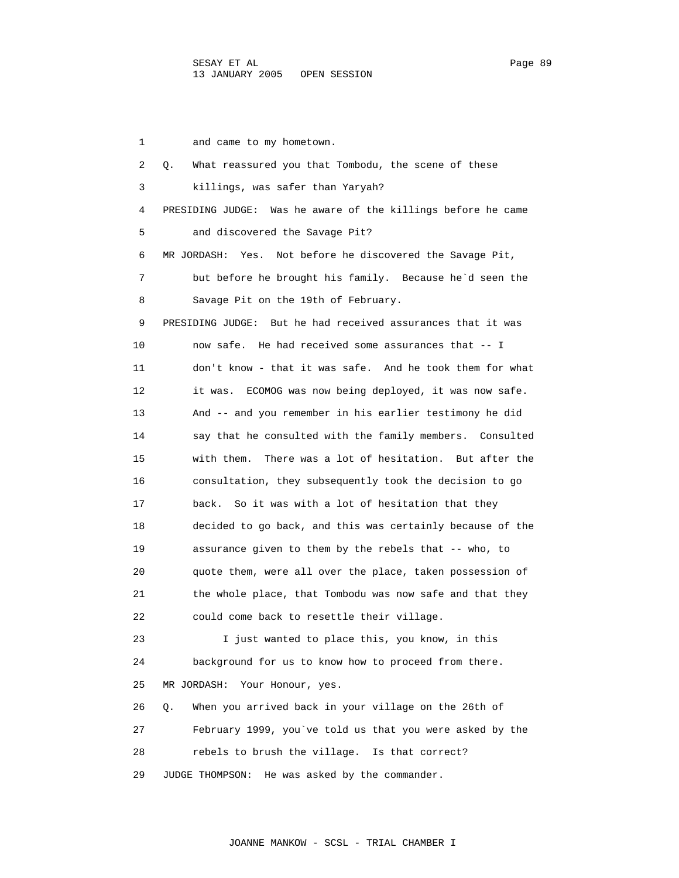1 and came to my hometown. 2 Q. What reassured you that Tombodu, the scene of these 3 killings, was safer than Yaryah? 4 PRESIDING JUDGE: Was he aware of the killings before he came 5 and discovered the Savage Pit? 6 MR JORDASH: Yes. Not before he discovered the Savage Pit, 7 but before he brought his family. Because he`d seen the 8 Savage Pit on the 19th of February. 9 PRESIDING JUDGE: But he had received assurances that it was 10 now safe. He had received some assurances that -- I 11 don't know - that it was safe. And he took them for what 12 it was. ECOMOG was now being deployed, it was now safe. 13 And -- and you remember in his earlier testimony he did 14 say that he consulted with the family members. Consulted 15 with them. There was a lot of hesitation. But after the 16 consultation, they subsequently took the decision to go 17 back. So it was with a lot of hesitation that they 18 decided to go back, and this was certainly because of the 19 assurance given to them by the rebels that -- who, to 20 quote them, were all over the place, taken possession of 21 the whole place, that Tombodu was now safe and that they 22 could come back to resettle their village. 23 I just wanted to place this, you know, in this 24 background for us to know how to proceed from there. 25 MR JORDASH: Your Honour, yes. 26 Q. When you arrived back in your village on the 26th of 27 February 1999, you`ve told us that you were asked by the 28 rebels to brush the village. Is that correct? 29 JUDGE THOMPSON: He was asked by the commander.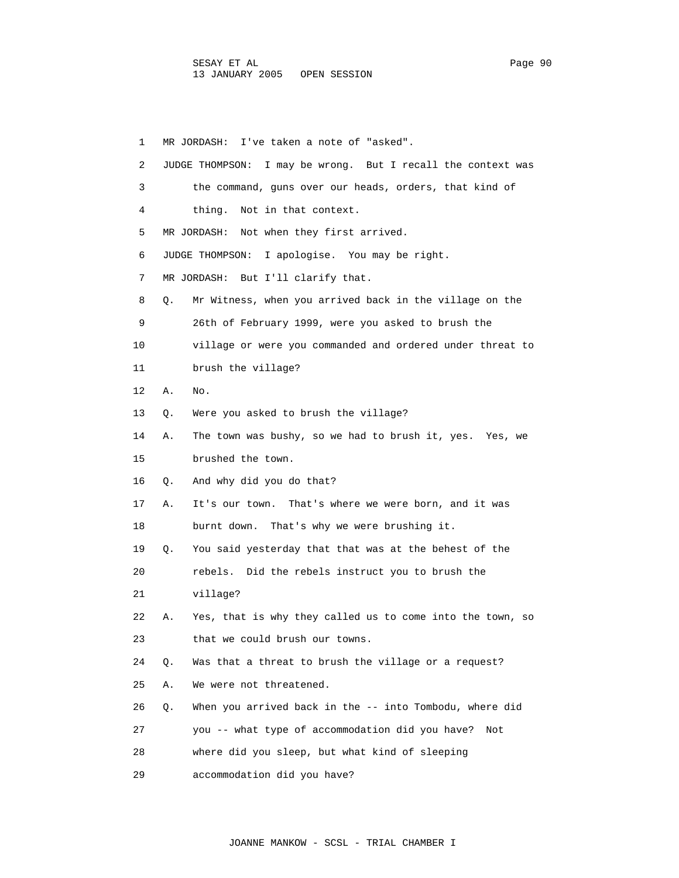1 MR JORDASH: I've taken a note of "asked". 2 JUDGE THOMPSON: I may be wrong. But I recall the context was 3 the command, guns over our heads, orders, that kind of 4 thing. Not in that context. 5 MR JORDASH: Not when they first arrived. 6 JUDGE THOMPSON: I apologise. You may be right. 7 MR JORDASH: But I'll clarify that. 8 Q. Mr Witness, when you arrived back in the village on the 9 26th of February 1999, were you asked to brush the 10 village or were you commanded and ordered under threat to 11 brush the village? 12 A. No. 13 Q. Were you asked to brush the village? 14 A. The town was bushy, so we had to brush it, yes. Yes, we 15 brushed the town. 16 Q. And why did you do that? 17 A. It's our town. That's where we were born, and it was 18 burnt down. That's why we were brushing it. 19 Q. You said yesterday that that was at the behest of the 20 rebels. Did the rebels instruct you to brush the 21 village? 22 A. Yes, that is why they called us to come into the town, so 23 that we could brush our towns. 24 Q. Was that a threat to brush the village or a request? 25 A. We were not threatened. 26 Q. When you arrived back in the -- into Tombodu, where did 27 you -- what type of accommodation did you have? Not 28 where did you sleep, but what kind of sleeping 29 accommodation did you have?

JOANNE MANKOW - SCSL - TRIAL CHAMBER I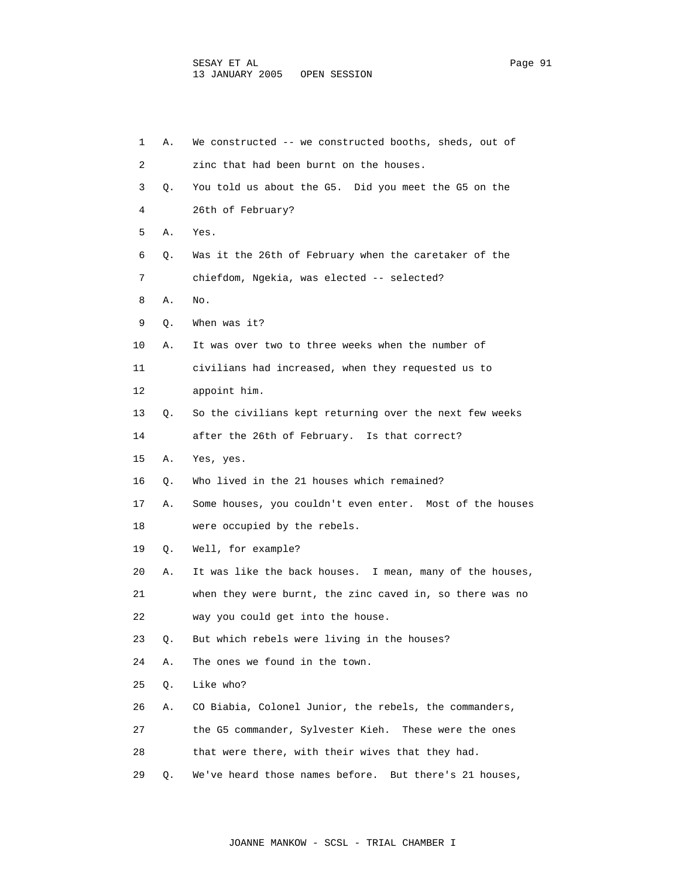| 1  | Α. | We constructed -- we constructed booths, sheds, out of    |
|----|----|-----------------------------------------------------------|
| 2  |    | zinc that had been burnt on the houses.                   |
| 3  | О. | You told us about the G5. Did you meet the G5 on the      |
| 4  |    | 26th of February?                                         |
| 5  | Α. | Yes.                                                      |
| 6  | Q. | Was it the 26th of February when the caretaker of the     |
| 7  |    | chiefdom, Ngekia, was elected -- selected?                |
| 8  | Α. | No.                                                       |
| 9  | Q. | When was it?                                              |
| 10 | А. | It was over two to three weeks when the number of         |
| 11 |    | civilians had increased, when they requested us to        |
| 12 |    | appoint him.                                              |
| 13 | Q. | So the civilians kept returning over the next few weeks   |
| 14 |    | after the 26th of February. Is that correct?              |
| 15 | Α. | Yes, yes.                                                 |
| 16 | Q. | Who lived in the 21 houses which remained?                |
| 17 | Α. | Some houses, you couldn't even enter. Most of the houses  |
| 18 |    | were occupied by the rebels.                              |
| 19 | Q. | Well, for example?                                        |
| 20 | Α. | It was like the back houses. I mean, many of the houses,  |
| 21 |    | when they were burnt, the zinc caved in, so there was no  |
| 22 |    | way you could get into the house.                         |
| 23 | Q. | But which rebels were living in the houses?               |
| 24 | Α. | The ones we found in the town.                            |
| 25 | Q. | Like who?                                                 |
| 26 | Α. | CO Biabia, Colonel Junior, the rebels, the commanders,    |
| 27 |    | the G5 commander, Sylvester Kieh. These were the ones     |
| 28 |    | that were there, with their wives that they had.          |
| 29 | Q. | We've heard those names before.<br>But there's 21 houses, |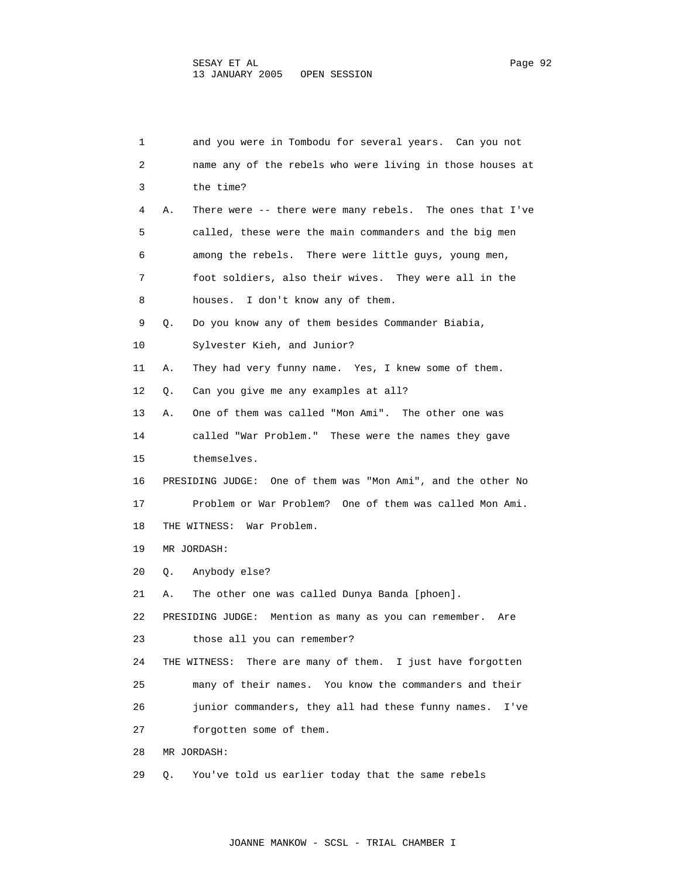| 1  |    | and you were in Tombodu for several years. Can you not        |
|----|----|---------------------------------------------------------------|
| 2  |    | name any of the rebels who were living in those houses at     |
| 3  |    | the time?                                                     |
| 4  | Α. | There were -- there were many rebels. The ones that I've      |
| 5  |    | called, these were the main commanders and the big men        |
| 6  |    | among the rebels. There were little guys, young men,          |
| 7  |    | foot soldiers, also their wives. They were all in the         |
| 8  |    | I don't know any of them.<br>houses.                          |
| 9  | Q. | Do you know any of them besides Commander Biabia,             |
| 10 |    | Sylvester Kieh, and Junior?                                   |
| 11 | Α. | They had very funny name. Yes, I knew some of them.           |
| 12 | Q. | Can you give me any examples at all?                          |
| 13 | Α. | One of them was called "Mon Ami". The other one was           |
| 14 |    | called "War Problem." These were the names they gave          |
| 15 |    | themselves.                                                   |
| 16 |    | PRESIDING JUDGE: One of them was "Mon Ami", and the other No  |
| 17 |    | Problem or War Problem? One of them was called Mon Ami.       |
| 18 |    | THE WITNESS: War Problem.                                     |
| 19 |    | MR JORDASH:                                                   |
| 20 | Q. | Anybody else?                                                 |
| 21 | Α. | The other one was called Dunya Banda [phoen].                 |
| 22 |    | PRESIDING JUDGE:<br>Mention as many as you can remember. Are  |
| 23 |    | those all you can remember?                                   |
| 24 |    | There are many of them. I just have forgotten<br>THE WITNESS: |
| 25 |    | many of their names. You know the commanders and their        |
| 26 |    | junior commanders, they all had these funny names.<br>I've    |
| 27 |    | forgotten some of them.                                       |
| 28 |    | MR JORDASH:                                                   |
| 29 | О. | You've told us earlier today that the same rebels             |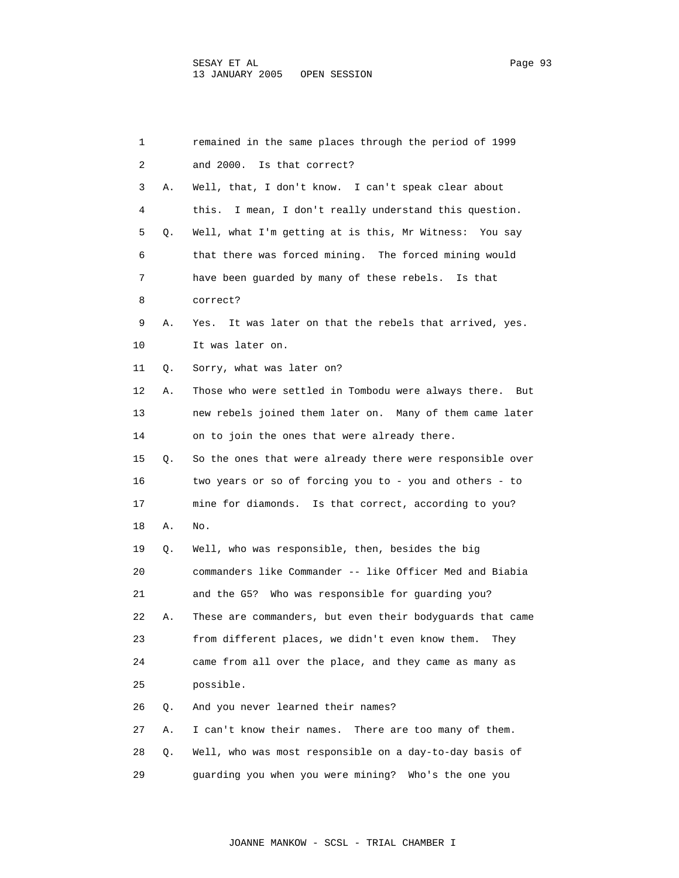| 1  |    | remained in the same places through the period of 1999     |
|----|----|------------------------------------------------------------|
| 2  |    | Is that correct?<br>and 2000.                              |
| 3  | Α. | Well, that, I don't know. I can't speak clear about        |
| 4  |    | I mean, I don't really understand this question.<br>this.  |
| 5  | Q. | Well, what I'm getting at is this, Mr Witness: You say     |
| 6  |    | that there was forced mining. The forced mining would      |
| 7  |    | have been quarded by many of these rebels. Is that         |
| 8  |    | correct?                                                   |
| 9  | Α. | It was later on that the rebels that arrived, yes.<br>Yes. |
| 10 |    | It was later on.                                           |
| 11 | Q. | Sorry, what was later on?                                  |
| 12 | Α. | Those who were settled in Tombodu were always there. But   |
| 13 |    | new rebels joined them later on. Many of them came later   |
| 14 |    | on to join the ones that were already there.               |
| 15 | Q. | So the ones that were already there were responsible over  |
| 16 |    | two years or so of forcing you to - you and others - to    |
| 17 |    | mine for diamonds. Is that correct, according to you?      |
| 18 | Α. | No.                                                        |
| 19 | Q. | Well, who was responsible, then, besides the big           |
| 20 |    | commanders like Commander -- like Officer Med and Biabia   |
| 21 |    | and the G5? Who was responsible for quarding you?          |
| 22 | Α. | These are commanders, but even their bodyguards that came  |
| 23 |    | from different places, we didn't even know them.<br>Thev   |
| 24 |    | came from all over the place, and they came as many as     |
| 25 |    | possible.                                                  |
| 26 | Q. | And you never learned their names?                         |
| 27 | Α. | I can't know their names.<br>There are too many of them.   |
| 28 | Q. | Well, who was most responsible on a day-to-day basis of    |
| 29 |    | guarding you when you were mining? Who's the one you       |

JOANNE MANKOW - SCSL - TRIAL CHAMBER I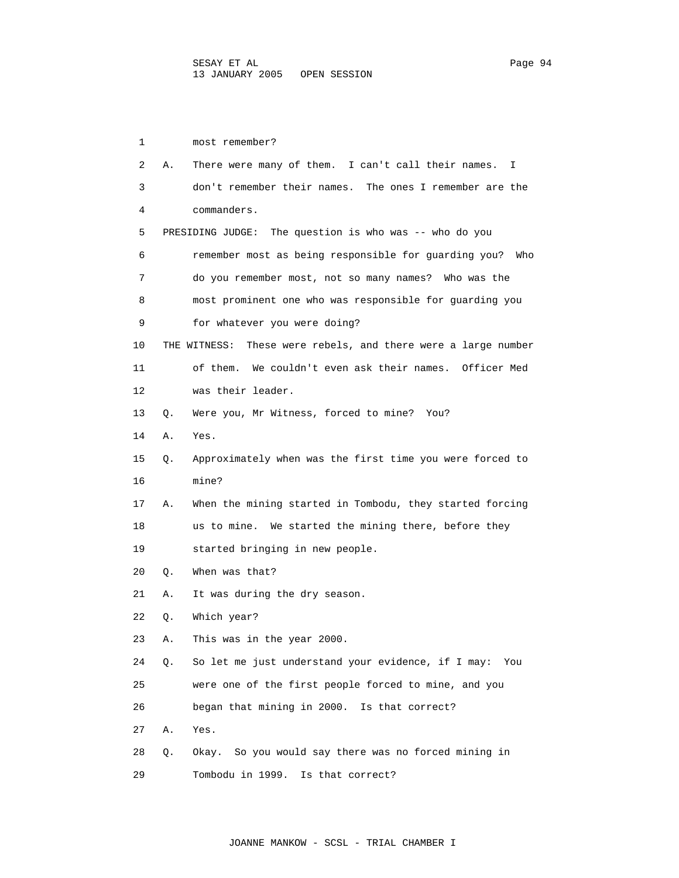1 most remember? 2 A. There were many of them. I can't call their names. I 3 don't remember their names. The ones I remember are the 4 commanders. 5 PRESIDING JUDGE: The question is who was -- who do you 6 remember most as being responsible for guarding you? Who 7 do you remember most, not so many names? Who was the 8 most prominent one who was responsible for guarding you 9 for whatever you were doing? 10 THE WITNESS: These were rebels, and there were a large number 11 of them. We couldn't even ask their names. Officer Med 12 was their leader. 13 Q. Were you, Mr Witness, forced to mine? You? 14 A. Yes. 15 Q. Approximately when was the first time you were forced to 16 mine? 17 A. When the mining started in Tombodu, they started forcing 18 us to mine. We started the mining there, before they 19 started bringing in new people. 20 Q. When was that? 21 A. It was during the dry season. 22 Q. Which year? 23 A. This was in the year 2000. 24 Q. So let me just understand your evidence, if I may: You 25 were one of the first people forced to mine, and you 26 began that mining in 2000. Is that correct? 27 A. Yes. 28 Q. Okay. So you would say there was no forced mining in 29 Tombodu in 1999. Is that correct?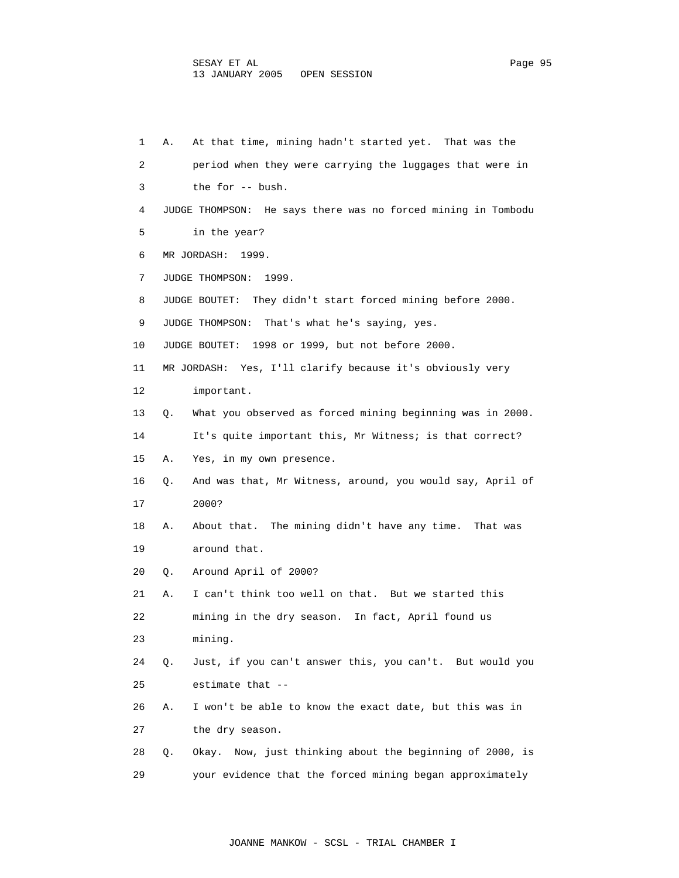| 1  | At that time, mining hadn't started yet. That was the<br>Α.     |
|----|-----------------------------------------------------------------|
| 2  | period when they were carrying the luggages that were in        |
| 3  | the for -- bush.                                                |
| 4  | JUDGE THOMPSON: He says there was no forced mining in Tombodu   |
| 5  | in the year?                                                    |
| 6  | MR JORDASH:<br>1999.                                            |
| 7  | JUDGE THOMPSON: 1999.                                           |
| 8  | JUDGE BOUTET: They didn't start forced mining before 2000.      |
| 9  | That's what he's saying, yes.<br>JUDGE THOMPSON:                |
| 10 | JUDGE BOUTET: 1998 or 1999, but not before 2000.                |
| 11 | MR JORDASH: Yes, I'll clarify because it's obviously very       |
| 12 | important.                                                      |
| 13 | What you observed as forced mining beginning was in 2000.<br>Q. |
| 14 | It's quite important this, Mr Witness; is that correct?         |
| 15 | Yes, in my own presence.<br>Α.                                  |
| 16 | And was that, Mr Witness, around, you would say, April of<br>Q. |
| 17 | 2000?                                                           |
| 18 | About that. The mining didn't have any time.<br>That was<br>Α.  |
| 19 | around that.                                                    |
| 20 | Around April of 2000?<br>Q.                                     |
| 21 | I can't think too well on that. But we started this<br>Α.       |
| 22 | mining in the dry season. In fact, April found us               |
| 23 | mining.                                                         |
| 24 | Just, if you can't answer this, you can't. But would you<br>О.  |
| 25 | estimate that --                                                |
| 26 | I won't be able to know the exact date, but this was in<br>Α.   |
| 27 | the dry season.                                                 |
| 28 | Okay. Now, just thinking about the beginning of 2000, is<br>Q.  |
| 29 | your evidence that the forced mining began approximately        |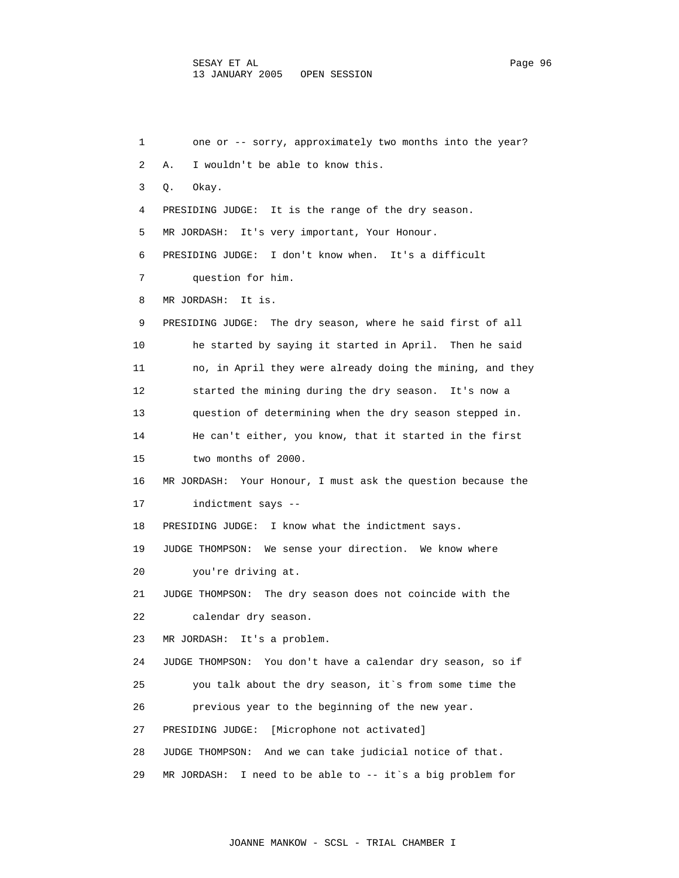1 one or -- sorry, approximately two months into the year? 2 A. I wouldn't be able to know this. 3 Q. Okay. 4 PRESIDING JUDGE: It is the range of the dry season. 5 MR JORDASH: It's very important, Your Honour. 6 PRESIDING JUDGE: I don't know when. It's a difficult 7 question for him. 8 MR JORDASH: It is. 9 PRESIDING JUDGE: The dry season, where he said first of all 10 he started by saying it started in April. Then he said 11 no, in April they were already doing the mining, and they 12 started the mining during the dry season. It's now a 13 question of determining when the dry season stepped in. 14 He can't either, you know, that it started in the first 15 two months of 2000. 16 MR JORDASH: Your Honour, I must ask the question because the 17 indictment says -- 18 PRESIDING JUDGE: I know what the indictment says. 19 JUDGE THOMPSON: We sense your direction. We know where 20 you're driving at. 21 JUDGE THOMPSON: The dry season does not coincide with the 22 calendar dry season. 23 MR JORDASH: It's a problem. 24 JUDGE THOMPSON: You don't have a calendar dry season, so if 25 you talk about the dry season, it`s from some time the 26 previous year to the beginning of the new year. 27 PRESIDING JUDGE: [Microphone not activated] 28 JUDGE THOMPSON: And we can take judicial notice of that. 29 MR JORDASH: I need to be able to -- it`s a big problem for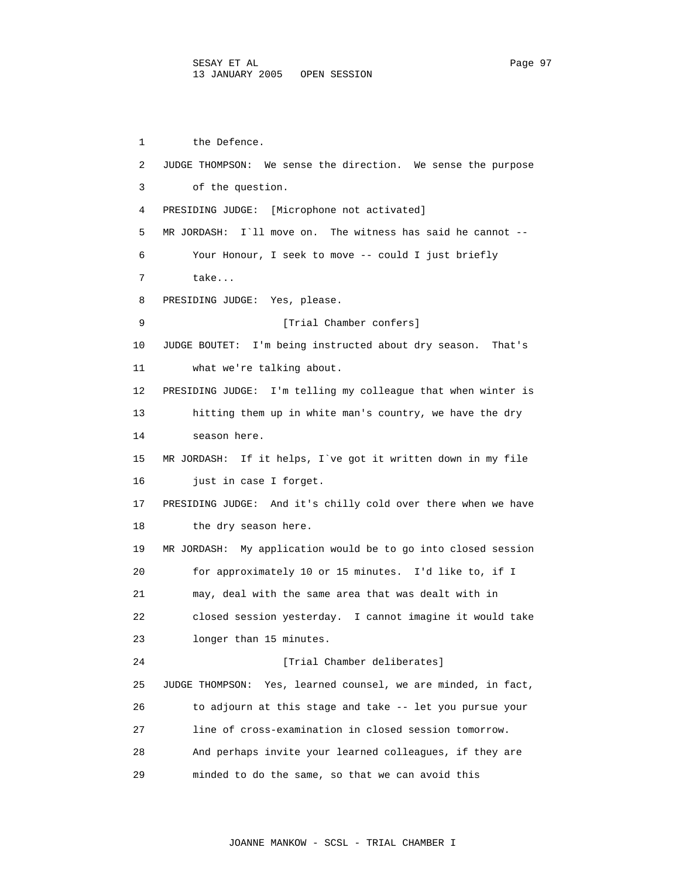1 the Defence. 2 JUDGE THOMPSON: We sense the direction. We sense the purpose 3 of the question. 4 PRESIDING JUDGE: [Microphone not activated] 5 MR JORDASH: I`ll move on. The witness has said he cannot -- 6 Your Honour, I seek to move -- could I just briefly 7 take... 8 PRESIDING JUDGE: Yes, please. 9 [Trial Chamber confers] 10 JUDGE BOUTET: I'm being instructed about dry season. That's 11 what we're talking about. 12 PRESIDING JUDGE: I'm telling my colleague that when winter is 13 hitting them up in white man's country, we have the dry 14 season here. 15 MR JORDASH: If it helps, I`ve got it written down in my file 16 just in case I forget. 17 PRESIDING JUDGE: And it's chilly cold over there when we have 18 the dry season here. 19 MR JORDASH: My application would be to go into closed session 20 for approximately 10 or 15 minutes. I'd like to, if I 21 may, deal with the same area that was dealt with in 22 closed session yesterday. I cannot imagine it would take 23 longer than 15 minutes. 24 [Trial Chamber deliberates] 25 JUDGE THOMPSON: Yes, learned counsel, we are minded, in fact, 26 to adjourn at this stage and take -- let you pursue your 27 line of cross-examination in closed session tomorrow. 28 And perhaps invite your learned colleagues, if they are 29 minded to do the same, so that we can avoid this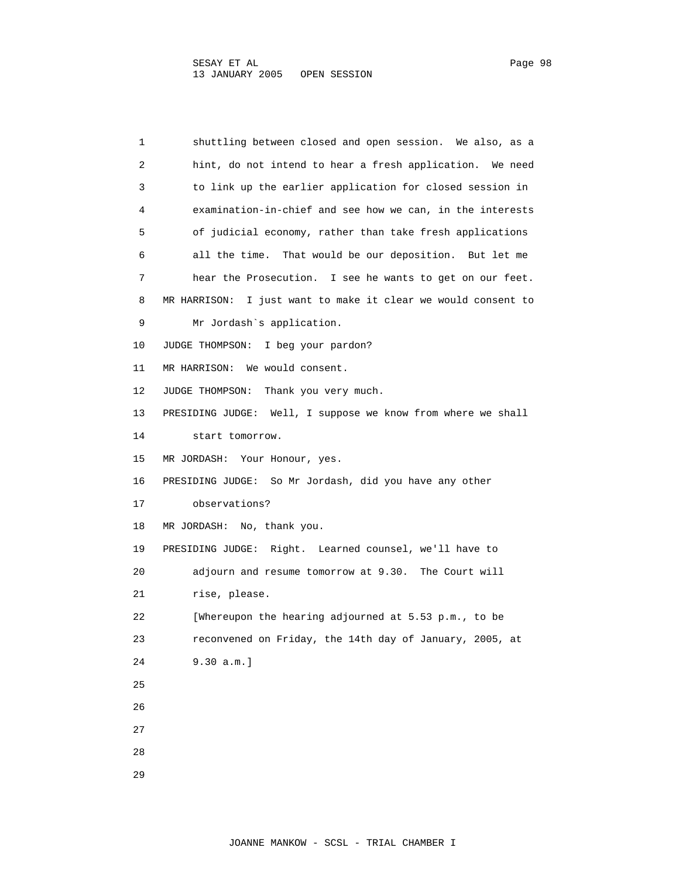1 shuttling between closed and open session. We also, as a 2 hint, do not intend to hear a fresh application. We need 3 to link up the earlier application for closed session in 4 examination-in-chief and see how we can, in the interests 5 of judicial economy, rather than take fresh applications 6 all the time. That would be our deposition. But let me 7 hear the Prosecution. I see he wants to get on our feet. 8 MR HARRISON: I just want to make it clear we would consent to 9 Mr Jordash`s application. 10 JUDGE THOMPSON: I beg your pardon? 11 MR HARRISON: We would consent. 12 JUDGE THOMPSON: Thank you very much. 13 PRESIDING JUDGE: Well, I suppose we know from where we shall 14 start tomorrow. 15 MR JORDASH: Your Honour, yes. 16 PRESIDING JUDGE: So Mr Jordash, did you have any other 17 observations? 18 MR JORDASH: No, thank you. 19 PRESIDING JUDGE: Right. Learned counsel, we'll have to 20 adjourn and resume tomorrow at 9.30. The Court will 21 rise, please. 22 [Whereupon the hearing adjourned at 5.53 p.m., to be 23 reconvened on Friday, the 14th day of January, 2005, at 24 9.30 a.m.] 25 26 27 28 29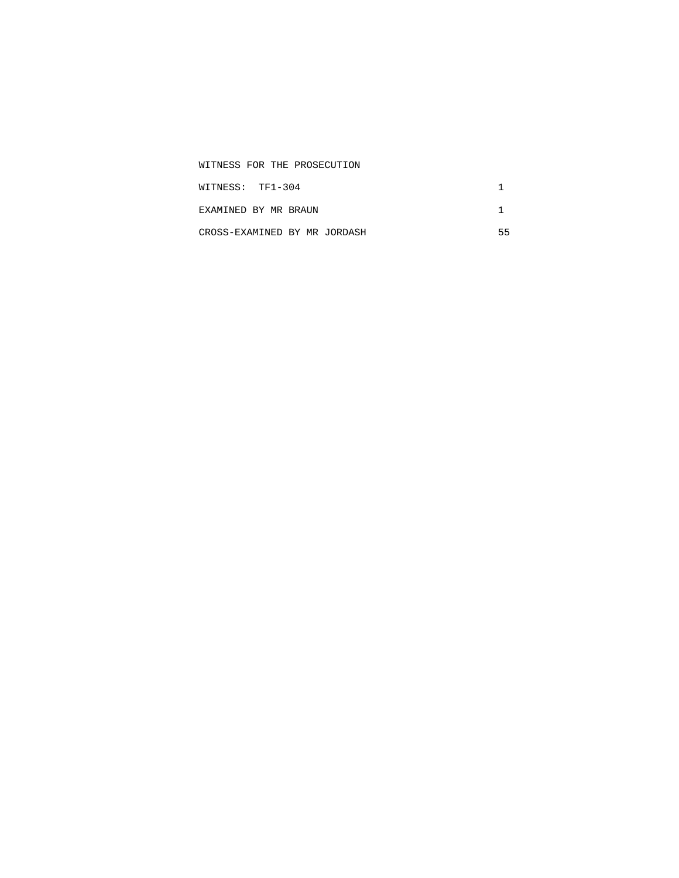| WITNESS FOR THE PROSECUTION  |  |
|------------------------------|--|
| WITNESS: TF1-304             |  |
| EXAMINED BY MR BRAUN         |  |
| CROSS-EXAMINED BY MR JORDASH |  |